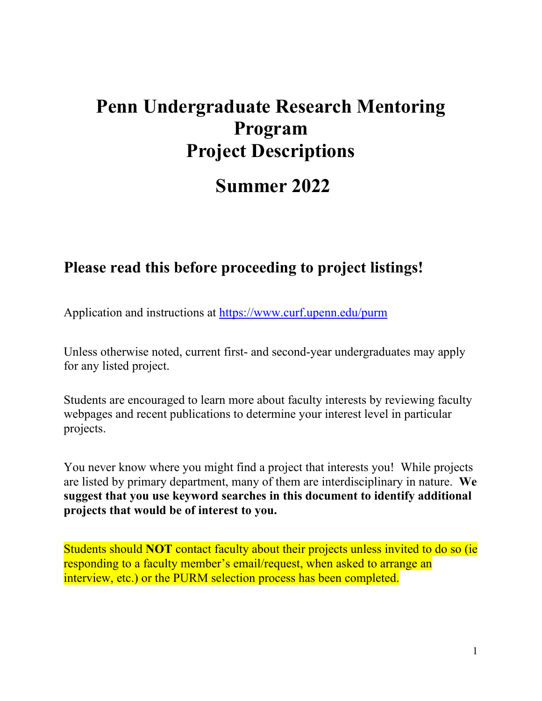# **Penn Undergraduate Research Mentoring Program Project Descriptions**

# **Summer 2022**

## **Please read this before proceeding to project listings!**

Application and instructions at <https://www.curf.upenn.edu/purm>

Unless otherwise noted, current first- and second-year undergraduates may apply for any listed project.

Students are encouraged to learn more about faculty interests by reviewing faculty webpages and recent publications to determine your interest level in particular projects.

You never know where you might find a project that interests you! While projects are listed by primary department, many of them are interdisciplinary in nature. **We suggest that you use keyword searches in this document to identify additional projects that would be of interest to you.**

Students should **NOT** contact faculty about their projects unless invited to do so (ie responding to a faculty member's email/request, when asked to arrange an interview, etc.) or the PURM selection process has been completed.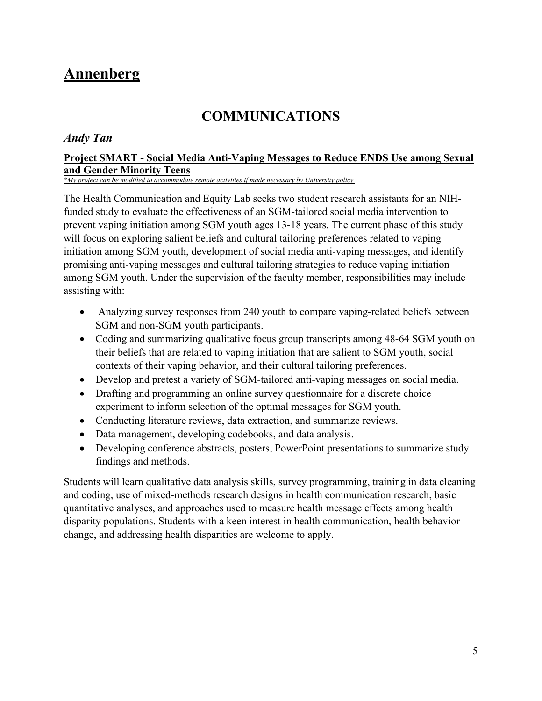## <span id="page-4-0"></span>**Annenberg**

## **COMMUNICATIONS**

### <span id="page-4-1"></span>*Andy Tan*

### **Project SMART - Social Media Anti-Vaping Messages to Reduce ENDS Use among Sexual and Gender Minority Teens**

*\*My project can be modified to accommodate remote activities if made necessary by University policy.*

The Health Communication and Equity Lab seeks two student research assistants for an NIHfunded study to evaluate the effectiveness of an SGM-tailored social media intervention to prevent vaping initiation among SGM youth ages 13-18 years. The current phase of this study will focus on exploring salient beliefs and cultural tailoring preferences related to vaping initiation among SGM youth, development of social media anti-vaping messages, and identify promising anti-vaping messages and cultural tailoring strategies to reduce vaping initiation among SGM youth. Under the supervision of the faculty member, responsibilities may include assisting with:

- Analyzing survey responses from 240 youth to compare vaping-related beliefs between SGM and non-SGM youth participants.
- Coding and summarizing qualitative focus group transcripts among 48-64 SGM youth on their beliefs that are related to vaping initiation that are salient to SGM youth, social contexts of their vaping behavior, and their cultural tailoring preferences.
- Develop and pretest a variety of SGM-tailored anti-vaping messages on social media.
- Drafting and programming an online survey questionnaire for a discrete choice experiment to inform selection of the optimal messages for SGM youth.
- Conducting literature reviews, data extraction, and summarize reviews.
- Data management, developing codebooks, and data analysis.
- Developing conference abstracts, posters, PowerPoint presentations to summarize study findings and methods.

Students will learn qualitative data analysis skills, survey programming, training in data cleaning and coding, use of mixed-methods research designs in health communication research, basic quantitative analyses, and approaches used to measure health message effects among health disparity populations. Students with a keen interest in health communication, health behavior change, and addressing health disparities are welcome to apply.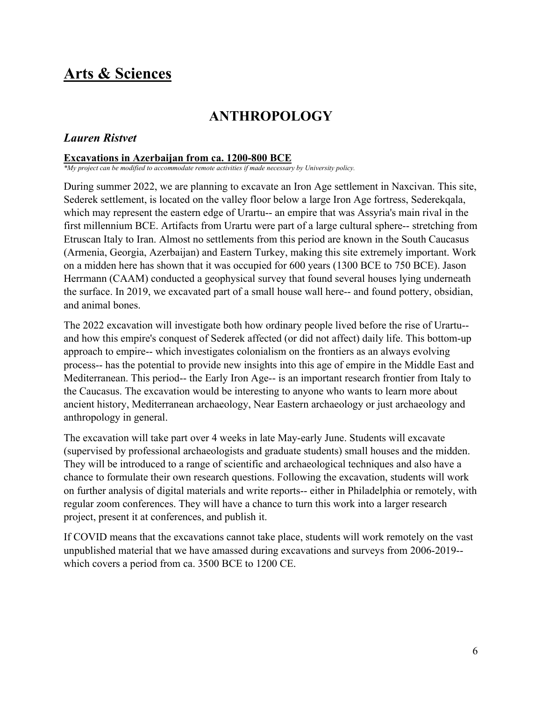## <span id="page-5-0"></span>**Arts & Sciences**

## **ANTHROPOLOGY**

## <span id="page-5-1"></span>*Lauren Ristvet*

### **Excavations in Azerbaijan from ca. 1200-800 BCE**

*\*My project can be modified to accommodate remote activities if made necessary by University policy.*

During summer 2022, we are planning to excavate an Iron Age settlement in Naxcivan. This site, Sederek settlement, is located on the valley floor below a large Iron Age fortress, Sederekqala, which may represent the eastern edge of Urartu-- an empire that was Assyria's main rival in the first millennium BCE. Artifacts from Urartu were part of a large cultural sphere-- stretching from Etruscan Italy to Iran. Almost no settlements from this period are known in the South Caucasus (Armenia, Georgia, Azerbaijan) and Eastern Turkey, making this site extremely important. Work on a midden here has shown that it was occupied for 600 years (1300 BCE to 750 BCE). Jason Herrmann (CAAM) conducted a geophysical survey that found several houses lying underneath the surface. In 2019, we excavated part of a small house wall here-- and found pottery, obsidian, and animal bones.

The 2022 excavation will investigate both how ordinary people lived before the rise of Urartu- and how this empire's conquest of Sederek affected (or did not affect) daily life. This bottom-up approach to empire-- which investigates colonialism on the frontiers as an always evolving process-- has the potential to provide new insights into this age of empire in the Middle East and Mediterranean. This period-- the Early Iron Age-- is an important research frontier from Italy to the Caucasus. The excavation would be interesting to anyone who wants to learn more about ancient history, Mediterranean archaeology, Near Eastern archaeology or just archaeology and anthropology in general.

The excavation will take part over 4 weeks in late May-early June. Students will excavate (supervised by professional archaeologists and graduate students) small houses and the midden. They will be introduced to a range of scientific and archaeological techniques and also have a chance to formulate their own research questions. Following the excavation, students will work on further analysis of digital materials and write reports-- either in Philadelphia or remotely, with regular zoom conferences. They will have a chance to turn this work into a larger research project, present it at conferences, and publish it.

If COVID means that the excavations cannot take place, students will work remotely on the vast unpublished material that we have amassed during excavations and surveys from 2006-2019- which covers a period from ca. 3500 BCE to 1200 CE.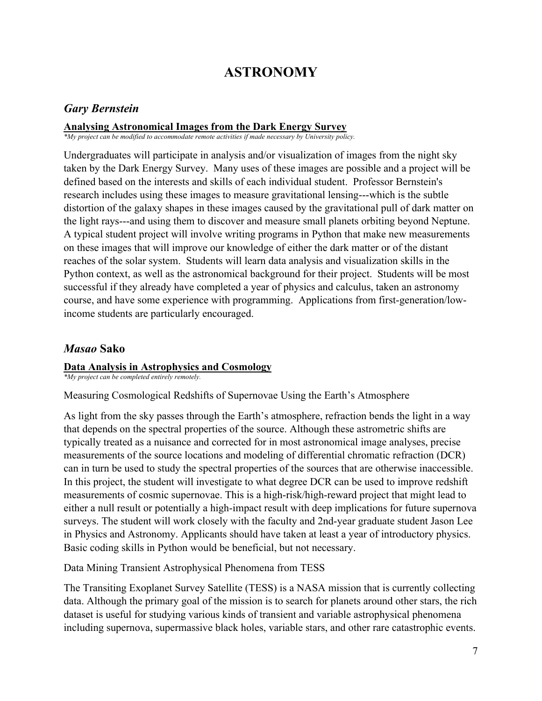## **ASTRONOMY**

## <span id="page-6-0"></span>*Gary Bernstein*

## **Analysing Astronomical Images from the Dark Energy Survey**

*\*My project can be modified to accommodate remote activities if made necessary by University policy.*

Undergraduates will participate in analysis and/or visualization of images from the night sky taken by the Dark Energy Survey. Many uses of these images are possible and a project will be defined based on the interests and skills of each individual student. Professor Bernstein's research includes using these images to measure gravitational lensing---which is the subtle distortion of the galaxy shapes in these images caused by the gravitational pull of dark matter on the light rays---and using them to discover and measure small planets orbiting beyond Neptune. A typical student project will involve writing programs in Python that make new measurements on these images that will improve our knowledge of either the dark matter or of the distant reaches of the solar system. Students will learn data analysis and visualization skills in the Python context, as well as the astronomical background for their project. Students will be most successful if they already have completed a year of physics and calculus, taken an astronomy course, and have some experience with programming. Applications from first-generation/lowincome students are particularly encouraged.

## *Masao* **Sako**

#### **Data Analysis in Astrophysics and Cosmology**

*\*My project can be completed entirely remotely.*

Measuring Cosmological Redshifts of Supernovae Using the Earth's Atmosphere

As light from the sky passes through the Earth's atmosphere, refraction bends the light in a way that depends on the spectral properties of the source. Although these astrometric shifts are typically treated as a nuisance and corrected for in most astronomical image analyses, precise measurements of the source locations and modeling of differential chromatic refraction (DCR) can in turn be used to study the spectral properties of the sources that are otherwise inaccessible. In this project, the student will investigate to what degree DCR can be used to improve redshift measurements of cosmic supernovae. This is a high-risk/high-reward project that might lead to either a null result or potentially a high-impact result with deep implications for future supernova surveys. The student will work closely with the faculty and 2nd-year graduate student Jason Lee in Physics and Astronomy. Applicants should have taken at least a year of introductory physics. Basic coding skills in Python would be beneficial, but not necessary.

Data Mining Transient Astrophysical Phenomena from TESS

The Transiting Exoplanet Survey Satellite (TESS) is a NASA mission that is currently collecting data. Although the primary goal of the mission is to search for planets around other stars, the rich dataset is useful for studying various kinds of transient and variable astrophysical phenomena including supernova, supermassive black holes, variable stars, and other rare catastrophic events.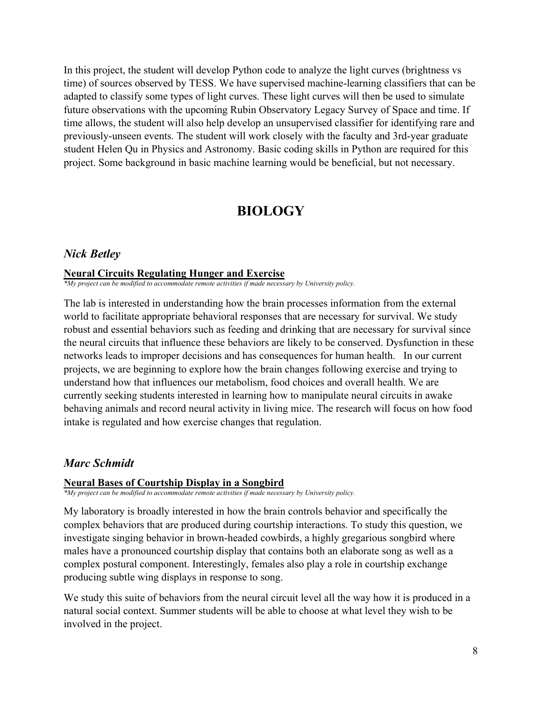In this project, the student will develop Python code to analyze the light curves (brightness vs time) of sources observed by TESS. We have supervised machine-learning classifiers that can be adapted to classify some types of light curves. These light curves will then be used to simulate future observations with the upcoming Rubin Observatory Legacy Survey of Space and time. If time allows, the student will also help develop an unsupervised classifier for identifying rare and previously-unseen events. The student will work closely with the faculty and 3rd-year graduate student Helen Qu in Physics and Astronomy. Basic coding skills in Python are required for this project. Some background in basic machine learning would be beneficial, but not necessary.

## **BIOLOGY**

#### <span id="page-7-0"></span>*Nick Betley*

#### **Neural Circuits Regulating Hunger and Exercise**

*\*My project can be modified to accommodate remote activities if made necessary by University policy.*

The lab is interested in understanding how the brain processes information from the external world to facilitate appropriate behavioral responses that are necessary for survival. We study robust and essential behaviors such as feeding and drinking that are necessary for survival since the neural circuits that influence these behaviors are likely to be conserved. Dysfunction in these networks leads to improper decisions and has consequences for human health. In our current projects, we are beginning to explore how the brain changes following exercise and trying to understand how that influences our metabolism, food choices and overall health. We are currently seeking students interested in learning how to manipulate neural circuits in awake behaving animals and record neural activity in living mice. The research will focus on how food intake is regulated and how exercise changes that regulation.

#### *Marc Schmidt*

#### **Neural Bases of Courtship Display in a Songbird**

*\*My project can be modified to accommodate remote activities if made necessary by University policy.*

My laboratory is broadly interested in how the brain controls behavior and specifically the complex behaviors that are produced during courtship interactions. To study this question, we investigate singing behavior in brown-headed cowbirds, a highly gregarious songbird where males have a pronounced courtship display that contains both an elaborate song as well as a complex postural component. Interestingly, females also play a role in courtship exchange producing subtle wing displays in response to song.

We study this suite of behaviors from the neural circuit level all the way how it is produced in a natural social context. Summer students will be able to choose at what level they wish to be involved in the project.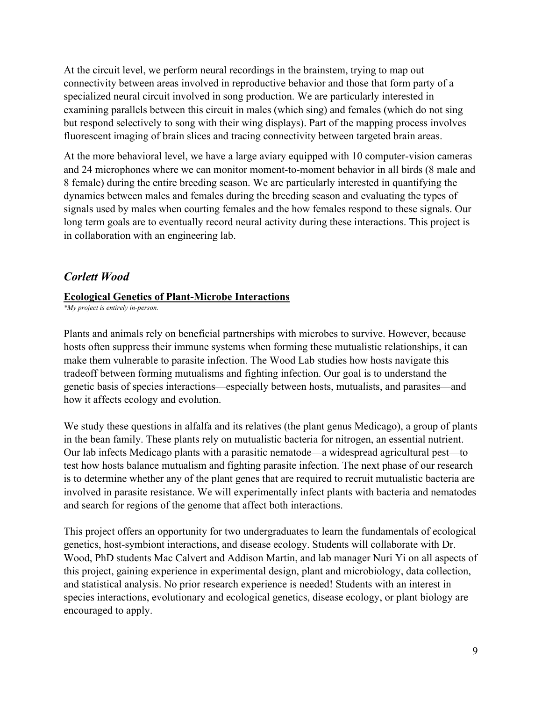At the circuit level, we perform neural recordings in the brainstem, trying to map out connectivity between areas involved in reproductive behavior and those that form party of a specialized neural circuit involved in song production. We are particularly interested in examining parallels between this circuit in males (which sing) and females (which do not sing but respond selectively to song with their wing displays). Part of the mapping process involves fluorescent imaging of brain slices and tracing connectivity between targeted brain areas.

At the more behavioral level, we have a large aviary equipped with 10 computer-vision cameras and 24 microphones where we can monitor moment-to-moment behavior in all birds (8 male and 8 female) during the entire breeding season. We are particularly interested in quantifying the dynamics between males and females during the breeding season and evaluating the types of signals used by males when courting females and the how females respond to these signals. Our long term goals are to eventually record neural activity during these interactions. This project is in collaboration with an engineering lab.

## *Corlett Wood*

### **Ecological Genetics of Plant-Microbe Interactions**

*\*My project is entirely in-person.*

Plants and animals rely on beneficial partnerships with microbes to survive. However, because hosts often suppress their immune systems when forming these mutualistic relationships, it can make them vulnerable to parasite infection. The Wood Lab studies how hosts navigate this tradeoff between forming mutualisms and fighting infection. Our goal is to understand the genetic basis of species interactions—especially between hosts, mutualists, and parasites—and how it affects ecology and evolution.

We study these questions in alfalfa and its relatives (the plant genus Medicago), a group of plants in the bean family. These plants rely on mutualistic bacteria for nitrogen, an essential nutrient. Our lab infects Medicago plants with a parasitic nematode—a widespread agricultural pest—to test how hosts balance mutualism and fighting parasite infection. The next phase of our research is to determine whether any of the plant genes that are required to recruit mutualistic bacteria are involved in parasite resistance. We will experimentally infect plants with bacteria and nematodes and search for regions of the genome that affect both interactions.

This project offers an opportunity for two undergraduates to learn the fundamentals of ecological genetics, host-symbiont interactions, and disease ecology. Students will collaborate with Dr. Wood, PhD students Mac Calvert and Addison Martin, and lab manager Nuri Yi on all aspects of this project, gaining experience in experimental design, plant and microbiology, data collection, and statistical analysis. No prior research experience is needed! Students with an interest in species interactions, evolutionary and ecological genetics, disease ecology, or plant biology are encouraged to apply.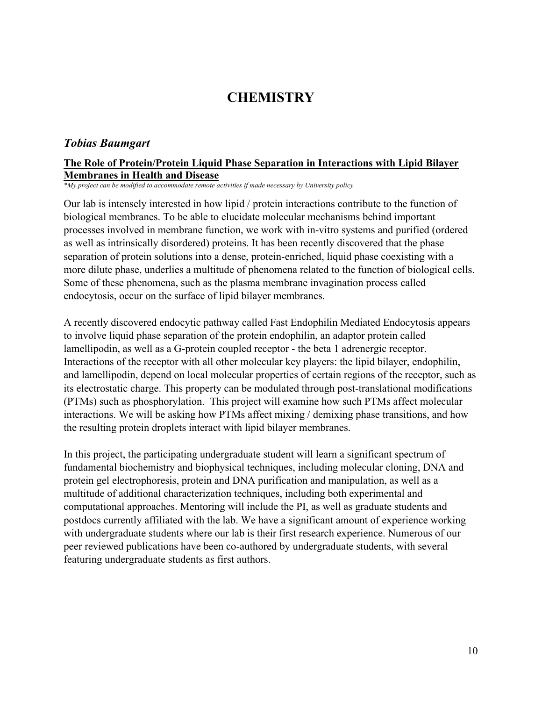## **CHEMISTRY**

#### <span id="page-9-0"></span>*Tobias Baumgart*

#### **The Role of Protein/Protein Liquid Phase Separation in Interactions with Lipid Bilayer Membranes in Health and Disease**

*\*My project can be modified to accommodate remote activities if made necessary by University policy.*

Our lab is intensely interested in how lipid / protein interactions contribute to the function of biological membranes. To be able to elucidate molecular mechanisms behind important processes involved in membrane function, we work with in-vitro systems and purified (ordered as well as intrinsically disordered) proteins. It has been recently discovered that the phase separation of protein solutions into a dense, protein-enriched, liquid phase coexisting with a more dilute phase, underlies a multitude of phenomena related to the function of biological cells. Some of these phenomena, such as the plasma membrane invagination process called endocytosis, occur on the surface of lipid bilayer membranes.

A recently discovered endocytic pathway called Fast Endophilin Mediated Endocytosis appears to involve liquid phase separation of the protein endophilin, an adaptor protein called lamellipodin, as well as a G-protein coupled receptor - the beta 1 adrenergic receptor. Interactions of the receptor with all other molecular key players: the lipid bilayer, endophilin, and lamellipodin, depend on local molecular properties of certain regions of the receptor, such as its electrostatic charge. This property can be modulated through post-translational modifications (PTMs) such as phosphorylation. This project will examine how such PTMs affect molecular interactions. We will be asking how PTMs affect mixing / demixing phase transitions, and how the resulting protein droplets interact with lipid bilayer membranes.

In this project, the participating undergraduate student will learn a significant spectrum of fundamental biochemistry and biophysical techniques, including molecular cloning, DNA and protein gel electrophoresis, protein and DNA purification and manipulation, as well as a multitude of additional characterization techniques, including both experimental and computational approaches. Mentoring will include the PI, as well as graduate students and postdocs currently affiliated with the lab. We have a significant amount of experience working with undergraduate students where our lab is their first research experience. Numerous of our peer reviewed publications have been co-authored by undergraduate students, with several featuring undergraduate students as first authors.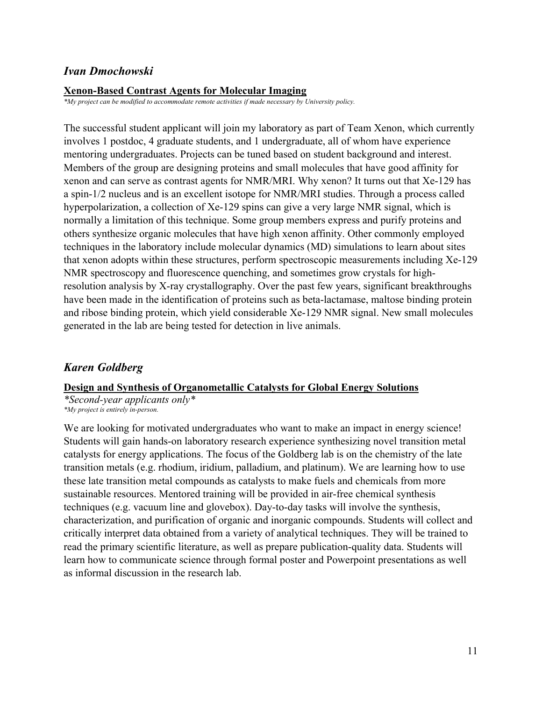### *Ivan Dmochowski*

#### **Xenon-Based Contrast Agents for Molecular Imaging**

*\*My project can be modified to accommodate remote activities if made necessary by University policy.*

The successful student applicant will join my laboratory as part of Team Xenon, which currently involves 1 postdoc, 4 graduate students, and 1 undergraduate, all of whom have experience mentoring undergraduates. Projects can be tuned based on student background and interest. Members of the group are designing proteins and small molecules that have good affinity for xenon and can serve as contrast agents for NMR/MRI. Why xenon? It turns out that Xe-129 has a spin-1/2 nucleus and is an excellent isotope for NMR/MRI studies. Through a process called hyperpolarization, a collection of Xe-129 spins can give a very large NMR signal, which is normally a limitation of this technique. Some group members express and purify proteins and others synthesize organic molecules that have high xenon affinity. Other commonly employed techniques in the laboratory include molecular dynamics (MD) simulations to learn about sites that xenon adopts within these structures, perform spectroscopic measurements including Xe-129 NMR spectroscopy and fluorescence quenching, and sometimes grow crystals for highresolution analysis by X-ray crystallography. Over the past few years, significant breakthroughs have been made in the identification of proteins such as beta-lactamase, maltose binding protein and ribose binding protein, which yield considerable Xe-129 NMR signal. New small molecules generated in the lab are being tested for detection in live animals.

## *Karen Goldberg*

## **Design and Synthesis of Organometallic Catalysts for Global Energy Solutions**

*\*Second-year applicants only\* \*My project is entirely in-person.*

We are looking for motivated undergraduates who want to make an impact in energy science! Students will gain hands-on laboratory research experience synthesizing novel transition metal catalysts for energy applications. The focus of the Goldberg lab is on the chemistry of the late transition metals (e.g. rhodium, iridium, palladium, and platinum). We are learning how to use these late transition metal compounds as catalysts to make fuels and chemicals from more sustainable resources. Mentored training will be provided in air-free chemical synthesis techniques (e.g. vacuum line and glovebox). Day-to-day tasks will involve the synthesis, characterization, and purification of organic and inorganic compounds. Students will collect and critically interpret data obtained from a variety of analytical techniques. They will be trained to read the primary scientific literature, as well as prepare publication-quality data. Students will learn how to communicate science through formal poster and Powerpoint presentations as well as informal discussion in the research lab.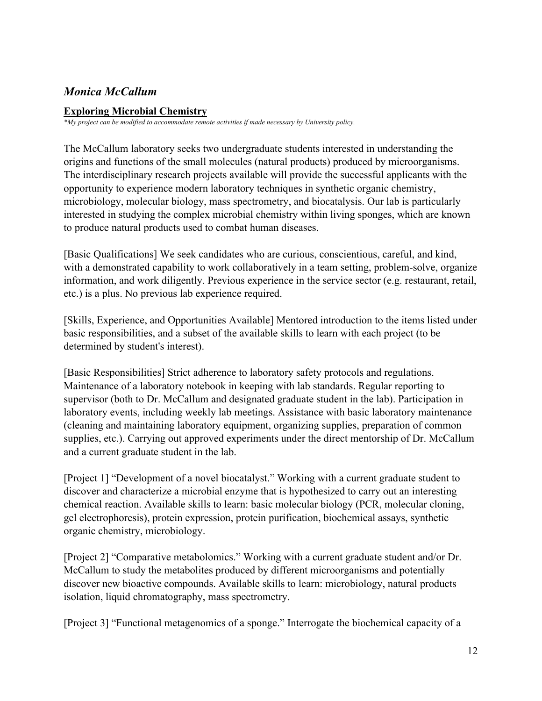## *Monica McCallum*

### **Exploring Microbial Chemistry**

*\*My project can be modified to accommodate remote activities if made necessary by University policy.*

The McCallum laboratory seeks two undergraduate students interested in understanding the origins and functions of the small molecules (natural products) produced by microorganisms. The interdisciplinary research projects available will provide the successful applicants with the opportunity to experience modern laboratory techniques in synthetic organic chemistry, microbiology, molecular biology, mass spectrometry, and biocatalysis. Our lab is particularly interested in studying the complex microbial chemistry within living sponges, which are known to produce natural products used to combat human diseases.

[Basic Qualifications] We seek candidates who are curious, conscientious, careful, and kind, with a demonstrated capability to work collaboratively in a team setting, problem-solve, organize information, and work diligently. Previous experience in the service sector (e.g. restaurant, retail, etc.) is a plus. No previous lab experience required.

[Skills, Experience, and Opportunities Available] Mentored introduction to the items listed under basic responsibilities, and a subset of the available skills to learn with each project (to be determined by student's interest).

[Basic Responsibilities] Strict adherence to laboratory safety protocols and regulations. Maintenance of a laboratory notebook in keeping with lab standards. Regular reporting to supervisor (both to Dr. McCallum and designated graduate student in the lab). Participation in laboratory events, including weekly lab meetings. Assistance with basic laboratory maintenance (cleaning and maintaining laboratory equipment, organizing supplies, preparation of common supplies, etc.). Carrying out approved experiments under the direct mentorship of Dr. McCallum and a current graduate student in the lab.

[Project 1] "Development of a novel biocatalyst." Working with a current graduate student to discover and characterize a microbial enzyme that is hypothesized to carry out an interesting chemical reaction. Available skills to learn: basic molecular biology (PCR, molecular cloning, gel electrophoresis), protein expression, protein purification, biochemical assays, synthetic organic chemistry, microbiology.

[Project 2] "Comparative metabolomics." Working with a current graduate student and/or Dr. McCallum to study the metabolites produced by different microorganisms and potentially discover new bioactive compounds. Available skills to learn: microbiology, natural products isolation, liquid chromatography, mass spectrometry.

[Project 3] "Functional metagenomics of a sponge." Interrogate the biochemical capacity of a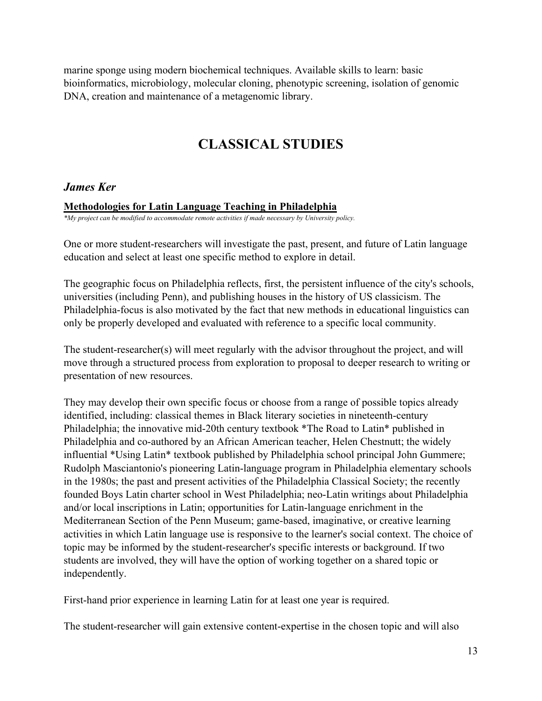marine sponge using modern biochemical techniques. Available skills to learn: basic bioinformatics, microbiology, molecular cloning, phenotypic screening, isolation of genomic DNA, creation and maintenance of a metagenomic library.

## **CLASSICAL STUDIES**

### <span id="page-12-0"></span>*James Ker*

#### **Methodologies for Latin Language Teaching in Philadelphia**

*\*My project can be modified to accommodate remote activities if made necessary by University policy.*

One or more student-researchers will investigate the past, present, and future of Latin language education and select at least one specific method to explore in detail.

The geographic focus on Philadelphia reflects, first, the persistent influence of the city's schools, universities (including Penn), and publishing houses in the history of US classicism. The Philadelphia-focus is also motivated by the fact that new methods in educational linguistics can only be properly developed and evaluated with reference to a specific local community.

The student-researcher(s) will meet regularly with the advisor throughout the project, and will move through a structured process from exploration to proposal to deeper research to writing or presentation of new resources.

They may develop their own specific focus or choose from a range of possible topics already identified, including: classical themes in Black literary societies in nineteenth-century Philadelphia; the innovative mid-20th century textbook \*The Road to Latin\* published in Philadelphia and co-authored by an African American teacher, Helen Chestnutt; the widely influential \*Using Latin\* textbook published by Philadelphia school principal John Gummere; Rudolph Masciantonio's pioneering Latin-language program in Philadelphia elementary schools in the 1980s; the past and present activities of the Philadelphia Classical Society; the recently founded Boys Latin charter school in West Philadelphia; neo-Latin writings about Philadelphia and/or local inscriptions in Latin; opportunities for Latin-language enrichment in the Mediterranean Section of the Penn Museum; game-based, imaginative, or creative learning activities in which Latin language use is responsive to the learner's social context. The choice of topic may be informed by the student-researcher's specific interests or background. If two students are involved, they will have the option of working together on a shared topic or independently.

First-hand prior experience in learning Latin for at least one year is required.

The student-researcher will gain extensive content-expertise in the chosen topic and will also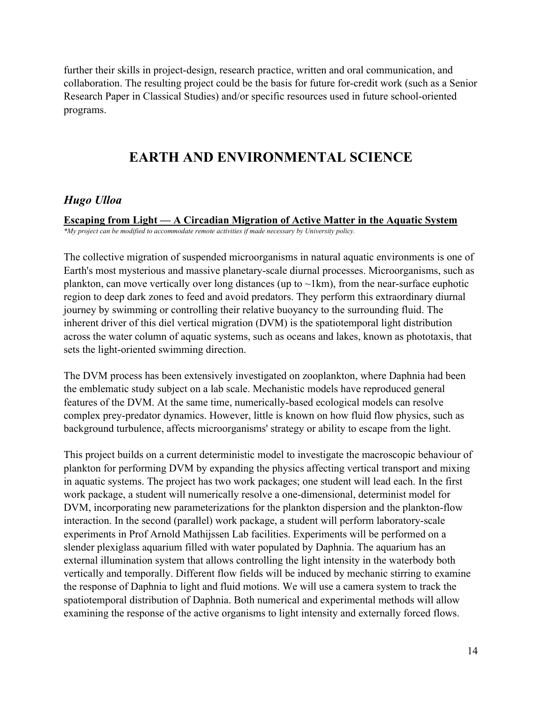further their skills in project-design, research practice, written and oral communication, and collaboration. The resulting project could be the basis for future for-credit work (such as a Senior Research Paper in Classical Studies) and/or specific resources used in future school-oriented programs.

## **EARTH AND ENVIRONMENTAL SCIENCE**

## <span id="page-13-0"></span>*Hugo Ulloa*

**Escaping from Light — A Circadian Migration of Active Matter in the Aquatic System** *\*My project can be modified to accommodate remote activities if made necessary by University policy.*

The collective migration of suspended microorganisms in natural aquatic environments is one of Earth's most mysterious and massive planetary-scale diurnal processes. Microorganisms, such as plankton, can move vertically over long distances (up to  $\sim$ 1km), from the near-surface euphotic region to deep dark zones to feed and avoid predators. They perform this extraordinary diurnal journey by swimming or controlling their relative buoyancy to the surrounding fluid. The inherent driver of this diel vertical migration (DVM) is the spatiotemporal light distribution across the water column of aquatic systems, such as oceans and lakes, known as phototaxis, that sets the light-oriented swimming direction.

The DVM process has been extensively investigated on zooplankton, where Daphnia had been the emblematic study subject on a lab scale. Mechanistic models have reproduced general features of the DVM. At the same time, numerically-based ecological models can resolve complex prey-predator dynamics. However, little is known on how fluid flow physics, such as background turbulence, affects microorganisms' strategy or ability to escape from the light.

This project builds on a current deterministic model to investigate the macroscopic behaviour of plankton for performing DVM by expanding the physics affecting vertical transport and mixing in aquatic systems. The project has two work packages; one student will lead each. In the first work package, a student will numerically resolve a one-dimensional, determinist model for DVM, incorporating new parameterizations for the plankton dispersion and the plankton-flow interaction. In the second (parallel) work package, a student will perform laboratory-scale experiments in Prof Arnold Mathijssen Lab facilities. Experiments will be performed on a slender plexiglass aquarium filled with water populated by Daphnia. The aquarium has an external illumination system that allows controlling the light intensity in the waterbody both vertically and temporally. Different flow fields will be induced by mechanic stirring to examine the response of Daphnia to light and fluid motions. We will use a camera system to track the spatiotemporal distribution of Daphnia. Both numerical and experimental methods will allow examining the response of the active organisms to light intensity and externally forced flows.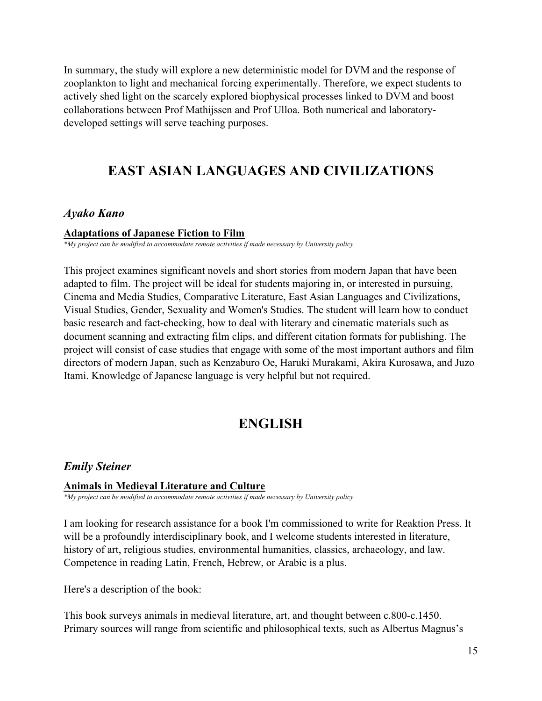In summary, the study will explore a new deterministic model for DVM and the response of zooplankton to light and mechanical forcing experimentally. Therefore, we expect students to actively shed light on the scarcely explored biophysical processes linked to DVM and boost collaborations between Prof Mathijssen and Prof Ulloa. Both numerical and laboratorydeveloped settings will serve teaching purposes.

## <span id="page-14-0"></span>**EAST ASIAN LANGUAGES AND CIVILIZATIONS**

## *Ayako Kano*

#### **Adaptations of Japanese Fiction to Film**

*\*My project can be modified to accommodate remote activities if made necessary by University policy.*

This project examines significant novels and short stories from modern Japan that have been adapted to film. The project will be ideal for students majoring in, or interested in pursuing, Cinema and Media Studies, Comparative Literature, East Asian Languages and Civilizations, Visual Studies, Gender, Sexuality and Women's Studies. The student will learn how to conduct basic research and fact-checking, how to deal with literary and cinematic materials such as document scanning and extracting film clips, and different citation formats for publishing. The project will consist of case studies that engage with some of the most important authors and film directors of modern Japan, such as Kenzaburo Oe, Haruki Murakami, Akira Kurosawa, and Juzo Itami. Knowledge of Japanese language is very helpful but not required.

## **ENGLISH**

## <span id="page-14-1"></span>*Emily Steiner*

#### **Animals in Medieval Literature and Culture**

*\*My project can be modified to accommodate remote activities if made necessary by University policy.*

I am looking for research assistance for a book I'm commissioned to write for Reaktion Press. It will be a profoundly interdisciplinary book, and I welcome students interested in literature, history of art, religious studies, environmental humanities, classics, archaeology, and law. Competence in reading Latin, French, Hebrew, or Arabic is a plus.

Here's a description of the book:

This book surveys animals in medieval literature, art, and thought between c.800-c.1450. Primary sources will range from scientific and philosophical texts, such as Albertus Magnus's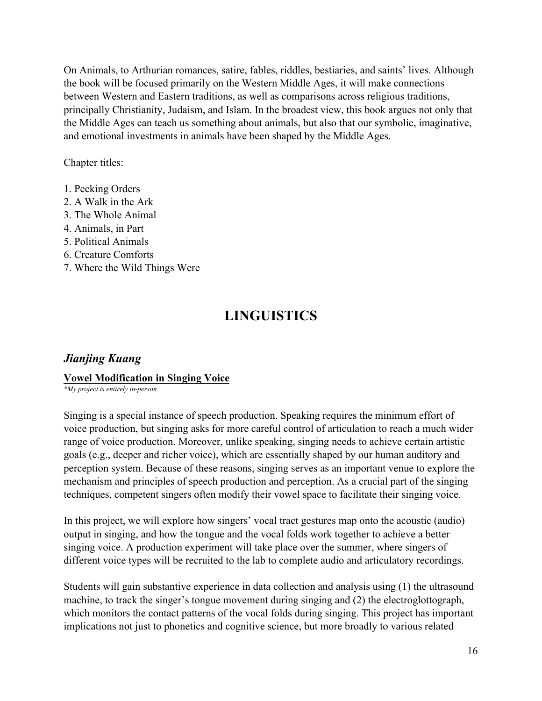On Animals, to Arthurian romances, satire, fables, riddles, bestiaries, and saints' lives. Although the book will be focused primarily on the Western Middle Ages, it will make connections between Western and Eastern traditions, as well as comparisons across religious traditions, principally Christianity, Judaism, and Islam. In the broadest view, this book argues not only that the Middle Ages can teach us something about animals, but also that our symbolic, imaginative, and emotional investments in animals have been shaped by the Middle Ages.

Chapter titles:

- 1. Pecking Orders
- 2. A Walk in the Ark
- 3. The Whole Animal
- 4. Animals, in Part
- 5. Political Animals
- 6. Creature Comforts
- <span id="page-15-0"></span>7. Where the Wild Things Were

## **LINGUISTICS**

## *Jianjing Kuang*

### **Vowel Modification in Singing Voice**

*\*My project is entirely in-person.*

Singing is a special instance of speech production. Speaking requires the minimum effort of voice production, but singing asks for more careful control of articulation to reach a much wider range of voice production. Moreover, unlike speaking, singing needs to achieve certain artistic goals (e.g., deeper and richer voice), which are essentially shaped by our human auditory and perception system. Because of these reasons, singing serves as an important venue to explore the mechanism and principles of speech production and perception. As a crucial part of the singing techniques, competent singers often modify their vowel space to facilitate their singing voice.

In this project, we will explore how singers' vocal tract gestures map onto the acoustic (audio) output in singing, and how the tongue and the vocal folds work together to achieve a better singing voice. A production experiment will take place over the summer, where singers of different voice types will be recruited to the lab to complete audio and articulatory recordings.

Students will gain substantive experience in data collection and analysis using (1) the ultrasound machine, to track the singer's tongue movement during singing and (2) the electroglottograph, which monitors the contact patterns of the vocal folds during singing. This project has important implications not just to phonetics and cognitive science, but more broadly to various related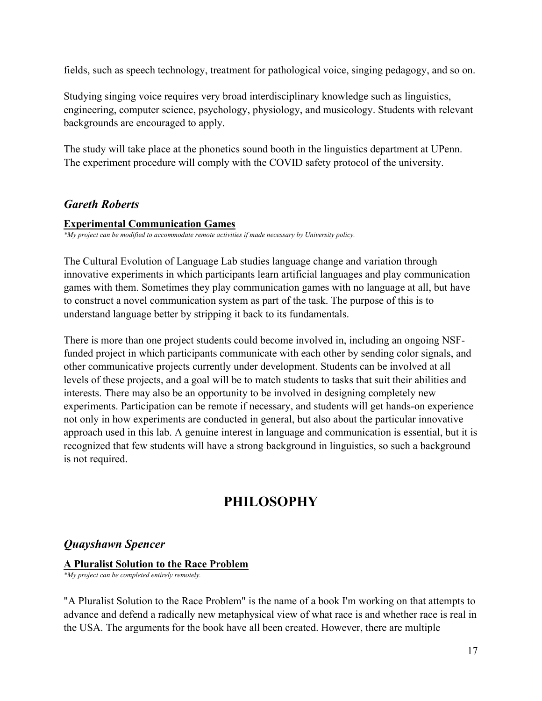fields, such as speech technology, treatment for pathological voice, singing pedagogy, and so on.

Studying singing voice requires very broad interdisciplinary knowledge such as linguistics, engineering, computer science, psychology, physiology, and musicology. Students with relevant backgrounds are encouraged to apply.

The study will take place at the phonetics sound booth in the linguistics department at UPenn. The experiment procedure will comply with the COVID safety protocol of the university.

## *Gareth Roberts*

#### **Experimental Communication Games**

*\*My project can be modified to accommodate remote activities if made necessary by University policy.*

The Cultural Evolution of Language Lab studies language change and variation through innovative experiments in which participants learn artificial languages and play communication games with them. Sometimes they play communication games with no language at all, but have to construct a novel communication system as part of the task. The purpose of this is to understand language better by stripping it back to its fundamentals.

There is more than one project students could become involved in, including an ongoing NSFfunded project in which participants communicate with each other by sending color signals, and other communicative projects currently under development. Students can be involved at all levels of these projects, and a goal will be to match students to tasks that suit their abilities and interests. There may also be an opportunity to be involved in designing completely new experiments. Participation can be remote if necessary, and students will get hands-on experience not only in how experiments are conducted in general, but also about the particular innovative approach used in this lab. A genuine interest in language and communication is essential, but it is recognized that few students will have a strong background in linguistics, so such a background is not required.

## **PHILOSOPHY**

## <span id="page-16-0"></span>*Quayshawn Spencer*

#### **A Pluralist Solution to the Race Problem**

*\*My project can be completed entirely remotely.*

"A Pluralist Solution to the Race Problem" is the name of a book I'm working on that attempts to advance and defend a radically new metaphysical view of what race is and whether race is real in the USA. The arguments for the book have all been created. However, there are multiple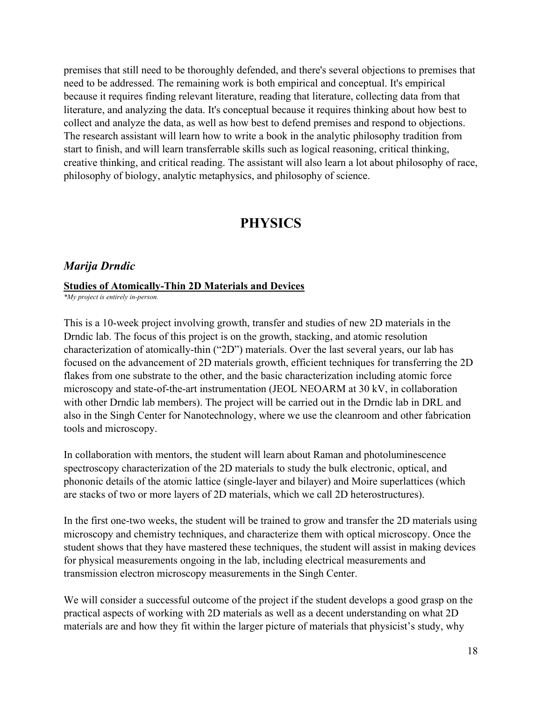premises that still need to be thoroughly defended, and there's several objections to premises that need to be addressed. The remaining work is both empirical and conceptual. It's empirical because it requires finding relevant literature, reading that literature, collecting data from that literature, and analyzing the data. It's conceptual because it requires thinking about how best to collect and analyze the data, as well as how best to defend premises and respond to objections. The research assistant will learn how to write a book in the analytic philosophy tradition from start to finish, and will learn transferrable skills such as logical reasoning, critical thinking, creative thinking, and critical reading. The assistant will also learn a lot about philosophy of race, philosophy of biology, analytic metaphysics, and philosophy of science.

## **PHYSICS**

#### <span id="page-17-0"></span>*Marija Drndic*

#### **Studies of Atomically-Thin 2D Materials and Devices**

*\*My project is entirely in-person.*

This is a 10-week project involving growth, transfer and studies of new 2D materials in the Drndic lab. The focus of this project is on the growth, stacking, and atomic resolution characterization of atomically-thin ("2D") materials. Over the last several years, our lab has focused on the advancement of 2D materials growth, efficient techniques for transferring the 2D flakes from one substrate to the other, and the basic characterization including atomic force microscopy and state-of-the-art instrumentation (JEOL NEOARM at 30 kV, in collaboration with other Drndic lab members). The project will be carried out in the Drndic lab in DRL and also in the Singh Center for Nanotechnology, where we use the cleanroom and other fabrication tools and microscopy.

In collaboration with mentors, the student will learn about Raman and photoluminescence spectroscopy characterization of the 2D materials to study the bulk electronic, optical, and phononic details of the atomic lattice (single-layer and bilayer) and Moire superlattices (which are stacks of two or more layers of 2D materials, which we call 2D heterostructures).

In the first one-two weeks, the student will be trained to grow and transfer the 2D materials using microscopy and chemistry techniques, and characterize them with optical microscopy. Once the student shows that they have mastered these techniques, the student will assist in making devices for physical measurements ongoing in the lab, including electrical measurements and transmission electron microscopy measurements in the Singh Center.

We will consider a successful outcome of the project if the student develops a good grasp on the practical aspects of working with 2D materials as well as a decent understanding on what 2D materials are and how they fit within the larger picture of materials that physicist's study, why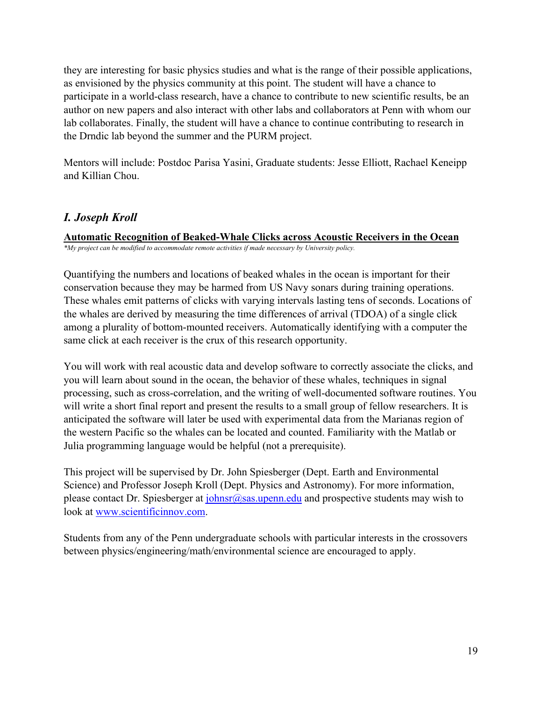they are interesting for basic physics studies and what is the range of their possible applications, as envisioned by the physics community at this point. The student will have a chance to participate in a world-class research, have a chance to contribute to new scientific results, be an author on new papers and also interact with other labs and collaborators at Penn with whom our lab collaborates. Finally, the student will have a chance to continue contributing to research in the Drndic lab beyond the summer and the PURM project.

Mentors will include: Postdoc Parisa Yasini, Graduate students: Jesse Elliott, Rachael Keneipp and Killian Chou.

## *I. Joseph Kroll*

**Automatic Recognition of Beaked-Whale Clicks across Acoustic Receivers in the Ocean** *\*My project can be modified to accommodate remote activities if made necessary by University policy.*

Quantifying the numbers and locations of beaked whales in the ocean is important for their conservation because they may be harmed from US Navy sonars during training operations. These whales emit patterns of clicks with varying intervals lasting tens of seconds. Locations of the whales are derived by measuring the time differences of arrival (TDOA) of a single click among a plurality of bottom-mounted receivers. Automatically identifying with a computer the same click at each receiver is the crux of this research opportunity.

You will work with real acoustic data and develop software to correctly associate the clicks, and you will learn about sound in the ocean, the behavior of these whales, techniques in signal processing, such as cross-correlation, and the writing of well-documented software routines. You will write a short final report and present the results to a small group of fellow researchers. It is anticipated the software will later be used with experimental data from the Marianas region of the western Pacific so the whales can be located and counted. Familiarity with the Matlab or Julia programming language would be helpful (not a prerequisite).

This project will be supervised by Dr. John Spiesberger (Dept. Earth and Environmental Science) and Professor Joseph Kroll (Dept. Physics and Astronomy). For more information, please contact Dr. Spiesberger at  $\overline{\text{ohnsr}(a)}$  as upenn.edu and prospective students may wish to look at [www.scientificinnov.com.](http://www.scientificinnov.com/)

Students from any of the Penn undergraduate schools with particular interests in the crossovers between physics/engineering/math/environmental science are encouraged to apply.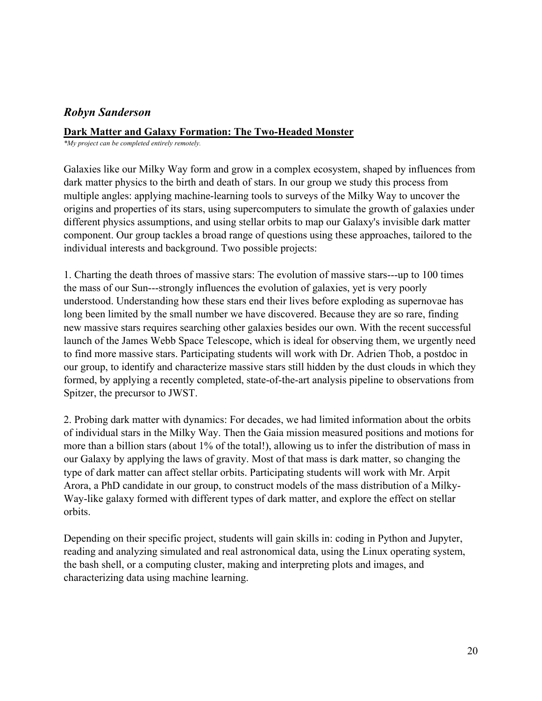## *Robyn Sanderson*

### **Dark Matter and Galaxy Formation: The Two-Headed Monster**

*\*My project can be completed entirely remotely.*

Galaxies like our Milky Way form and grow in a complex ecosystem, shaped by influences from dark matter physics to the birth and death of stars. In our group we study this process from multiple angles: applying machine-learning tools to surveys of the Milky Way to uncover the origins and properties of its stars, using supercomputers to simulate the growth of galaxies under different physics assumptions, and using stellar orbits to map our Galaxy's invisible dark matter component. Our group tackles a broad range of questions using these approaches, tailored to the individual interests and background. Two possible projects:

1. Charting the death throes of massive stars: The evolution of massive stars---up to 100 times the mass of our Sun---strongly influences the evolution of galaxies, yet is very poorly understood. Understanding how these stars end their lives before exploding as supernovae has long been limited by the small number we have discovered. Because they are so rare, finding new massive stars requires searching other galaxies besides our own. With the recent successful launch of the James Webb Space Telescope, which is ideal for observing them, we urgently need to find more massive stars. Participating students will work with Dr. Adrien Thob, a postdoc in our group, to identify and characterize massive stars still hidden by the dust clouds in which they formed, by applying a recently completed, state-of-the-art analysis pipeline to observations from Spitzer, the precursor to JWST.

2. Probing dark matter with dynamics: For decades, we had limited information about the orbits of individual stars in the Milky Way. Then the Gaia mission measured positions and motions for more than a billion stars (about 1% of the total!), allowing us to infer the distribution of mass in our Galaxy by applying the laws of gravity. Most of that mass is dark matter, so changing the type of dark matter can affect stellar orbits. Participating students will work with Mr. Arpit Arora, a PhD candidate in our group, to construct models of the mass distribution of a Milky-Way-like galaxy formed with different types of dark matter, and explore the effect on stellar orbits.

Depending on their specific project, students will gain skills in: coding in Python and Jupyter, reading and analyzing simulated and real astronomical data, using the Linux operating system, the bash shell, or a computing cluster, making and interpreting plots and images, and characterizing data using machine learning.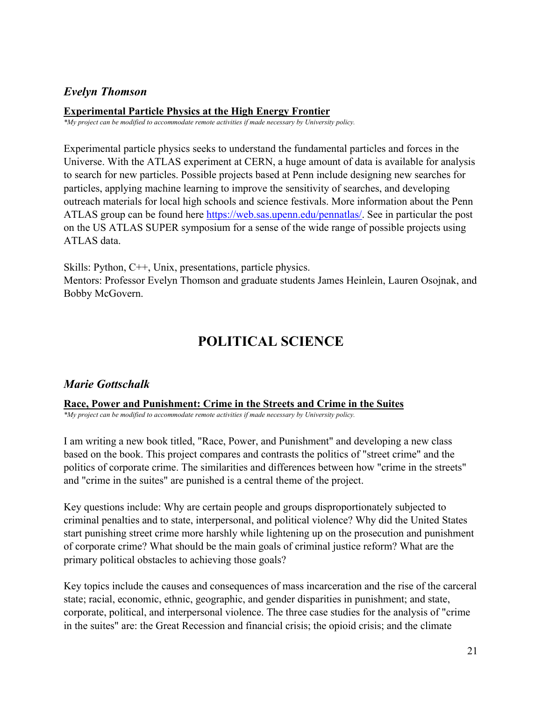## *Evelyn Thomson*

### **Experimental Particle Physics at the High Energy Frontier**

*\*My project can be modified to accommodate remote activities if made necessary by University policy.*

Experimental particle physics seeks to understand the fundamental particles and forces in the Universe. With the ATLAS experiment at CERN, a huge amount of data is available for analysis to search for new particles. Possible projects based at Penn include designing new searches for particles, applying machine learning to improve the sensitivity of searches, and developing outreach materials for local high schools and science festivals. More information about the Penn ATLAS group can be found here [https://web.sas.upenn.edu/pennatlas/.](https://web.sas.upenn.edu/pennatlas/) See in particular the post on the US ATLAS SUPER symposium for a sense of the wide range of possible projects using ATLAS data.

Skills: Python, C++, Unix, presentations, particle physics. Mentors: Professor Evelyn Thomson and graduate students James Heinlein, Lauren Osojnak, and Bobby McGovern.

## **POLITICAL SCIENCE**

## <span id="page-20-0"></span>*Marie Gottschalk*

## **Race, Power and Punishment: Crime in the Streets and Crime in the Suites**

*\*My project can be modified to accommodate remote activities if made necessary by University policy.*

I am writing a new book titled, "Race, Power, and Punishment" and developing a new class based on the book. This project compares and contrasts the politics of "street crime" and the politics of corporate crime. The similarities and differences between how "crime in the streets" and "crime in the suites" are punished is a central theme of the project.

Key questions include: Why are certain people and groups disproportionately subjected to criminal penalties and to state, interpersonal, and political violence? Why did the United States start punishing street crime more harshly while lightening up on the prosecution and punishment of corporate crime? What should be the main goals of criminal justice reform? What are the primary political obstacles to achieving those goals?

Key topics include the causes and consequences of mass incarceration and the rise of the carceral state; racial, economic, ethnic, geographic, and gender disparities in punishment; and state, corporate, political, and interpersonal violence. The three case studies for the analysis of "crime in the suites" are: the Great Recession and financial crisis; the opioid crisis; and the climate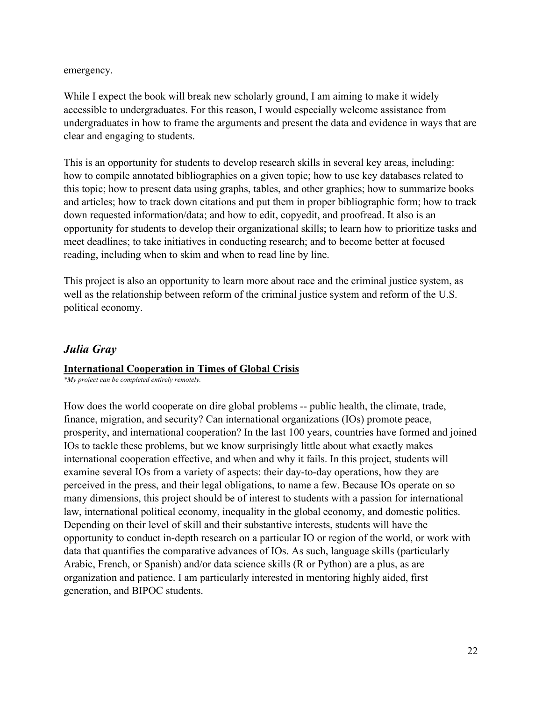emergency.

While I expect the book will break new scholarly ground, I am aiming to make it widely accessible to undergraduates. For this reason, I would especially welcome assistance from undergraduates in how to frame the arguments and present the data and evidence in ways that are clear and engaging to students.

This is an opportunity for students to develop research skills in several key areas, including: how to compile annotated bibliographies on a given topic; how to use key databases related to this topic; how to present data using graphs, tables, and other graphics; how to summarize books and articles; how to track down citations and put them in proper bibliographic form; how to track down requested information/data; and how to edit, copyedit, and proofread. It also is an opportunity for students to develop their organizational skills; to learn how to prioritize tasks and meet deadlines; to take initiatives in conducting research; and to become better at focused reading, including when to skim and when to read line by line.

This project is also an opportunity to learn more about race and the criminal justice system, as well as the relationship between reform of the criminal justice system and reform of the U.S. political economy.

## *Julia Gray*

## **International Cooperation in Times of Global Crisis**

*\*My project can be completed entirely remotely.*

How does the world cooperate on dire global problems -- public health, the climate, trade, finance, migration, and security? Can international organizations (IOs) promote peace, prosperity, and international cooperation? In the last 100 years, countries have formed and joined IOs to tackle these problems, but we know surprisingly little about what exactly makes international cooperation effective, and when and why it fails. In this project, students will examine several IOs from a variety of aspects: their day-to-day operations, how they are perceived in the press, and their legal obligations, to name a few. Because IOs operate on so many dimensions, this project should be of interest to students with a passion for international law, international political economy, inequality in the global economy, and domestic politics. Depending on their level of skill and their substantive interests, students will have the opportunity to conduct in-depth research on a particular IO or region of the world, or work with data that quantifies the comparative advances of IOs. As such, language skills (particularly Arabic, French, or Spanish) and/or data science skills (R or Python) are a plus, as are organization and patience. I am particularly interested in mentoring highly aided, first generation, and BIPOC students.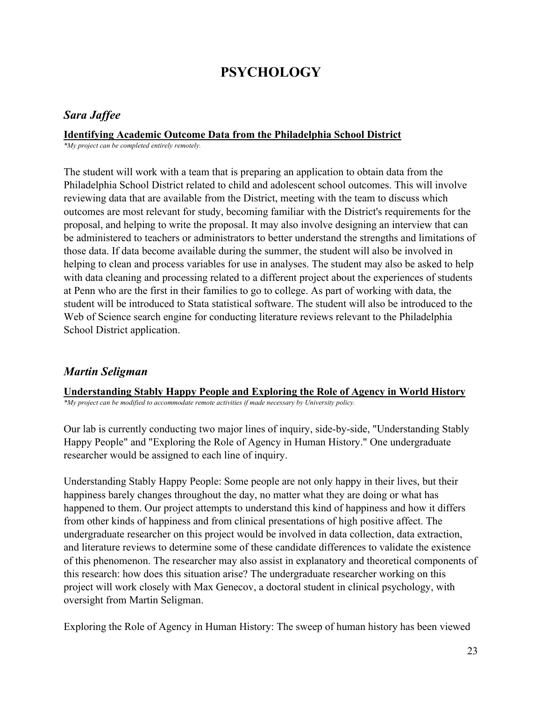## **PSYCHOLOGY**

## <span id="page-22-0"></span>*Sara Jaffee*

## **Identifying Academic Outcome Data from the Philadelphia School District**

*\*My project can be completed entirely remotely.*

The student will work with a team that is preparing an application to obtain data from the Philadelphia School District related to child and adolescent school outcomes. This will involve reviewing data that are available from the District, meeting with the team to discuss which outcomes are most relevant for study, becoming familiar with the District's requirements for the proposal, and helping to write the proposal. It may also involve designing an interview that can be administered to teachers or administrators to better understand the strengths and limitations of those data. If data become available during the summer, the student will also be involved in helping to clean and process variables for use in analyses. The student may also be asked to help with data cleaning and processing related to a different project about the experiences of students at Penn who are the first in their families to go to college. As part of working with data, the student will be introduced to Stata statistical software. The student will also be introduced to the Web of Science search engine for conducting literature reviews relevant to the Philadelphia School District application.

## *Martin Seligman*

**Understanding Stably Happy People and Exploring the Role of Agency in World History** *\*My project can be modified to accommodate remote activities if made necessary by University policy.*

Our lab is currently conducting two major lines of inquiry, side-by-side, "Understanding Stably Happy People" and "Exploring the Role of Agency in Human History." One undergraduate researcher would be assigned to each line of inquiry.

Understanding Stably Happy People: Some people are not only happy in their lives, but their happiness barely changes throughout the day, no matter what they are doing or what has happened to them. Our project attempts to understand this kind of happiness and how it differs from other kinds of happiness and from clinical presentations of high positive affect. The undergraduate researcher on this project would be involved in data collection, data extraction, and literature reviews to determine some of these candidate differences to validate the existence of this phenomenon. The researcher may also assist in explanatory and theoretical components of this research: how does this situation arise? The undergraduate researcher working on this project will work closely with Max Genecov, a doctoral student in clinical psychology, with oversight from Martin Seligman.

Exploring the Role of Agency in Human History: The sweep of human history has been viewed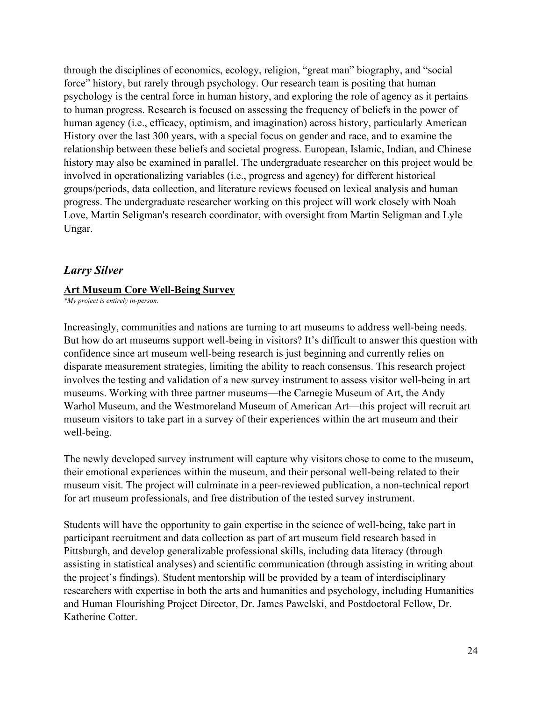through the disciplines of economics, ecology, religion, "great man" biography, and "social force" history, but rarely through psychology. Our research team is positing that human psychology is the central force in human history, and exploring the role of agency as it pertains to human progress. Research is focused on assessing the frequency of beliefs in the power of human agency (i.e., efficacy, optimism, and imagination) across history, particularly American History over the last 300 years, with a special focus on gender and race, and to examine the relationship between these beliefs and societal progress. European, Islamic, Indian, and Chinese history may also be examined in parallel. The undergraduate researcher on this project would be involved in operationalizing variables (i.e., progress and agency) for different historical groups/periods, data collection, and literature reviews focused on lexical analysis and human progress. The undergraduate researcher working on this project will work closely with Noah Love, Martin Seligman's research coordinator, with oversight from Martin Seligman and Lyle Ungar.

## *Larry Silver*

#### **Art Museum Core Well-Being Survey**

*\*My project is entirely in-person.*

Increasingly, communities and nations are turning to art museums to address well-being needs. But how do art museums support well-being in visitors? It's difficult to answer this question with confidence since art museum well-being research is just beginning and currently relies on disparate measurement strategies, limiting the ability to reach consensus. This research project involves the testing and validation of a new survey instrument to assess visitor well-being in art museums. Working with three partner museums—the Carnegie Museum of Art, the Andy Warhol Museum, and the Westmoreland Museum of American Art—this project will recruit art museum visitors to take part in a survey of their experiences within the art museum and their well-being.

The newly developed survey instrument will capture why visitors chose to come to the museum, their emotional experiences within the museum, and their personal well-being related to their museum visit. The project will culminate in a peer-reviewed publication, a non-technical report for art museum professionals, and free distribution of the tested survey instrument.

Students will have the opportunity to gain expertise in the science of well-being, take part in participant recruitment and data collection as part of art museum field research based in Pittsburgh, and develop generalizable professional skills, including data literacy (through assisting in statistical analyses) and scientific communication (through assisting in writing about the project's findings). Student mentorship will be provided by a team of interdisciplinary researchers with expertise in both the arts and humanities and psychology, including Humanities and Human Flourishing Project Director, Dr. James Pawelski, and Postdoctoral Fellow, Dr. Katherine Cotter.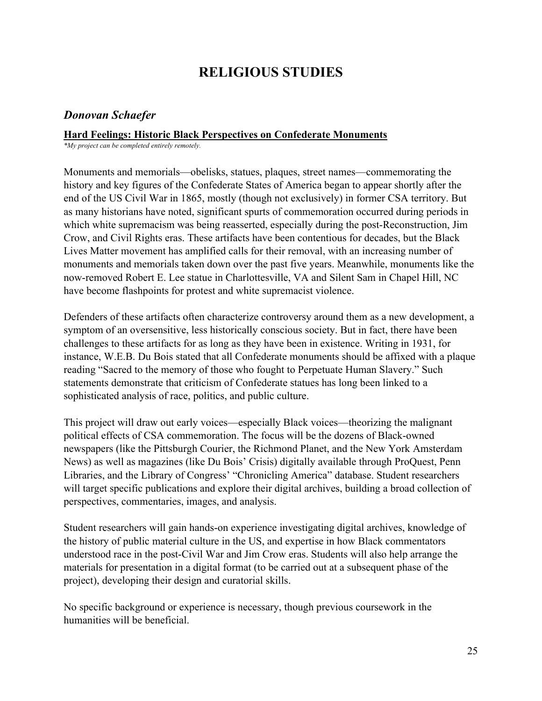## **RELIGIOUS STUDIES**

## <span id="page-24-0"></span>*Donovan Schaefer*

#### **Hard Feelings: Historic Black Perspectives on Confederate Monuments**

*\*My project can be completed entirely remotely.*

Monuments and memorials—obelisks, statues, plaques, street names—commemorating the history and key figures of the Confederate States of America began to appear shortly after the end of the US Civil War in 1865, mostly (though not exclusively) in former CSA territory. But as many historians have noted, significant spurts of commemoration occurred during periods in which white supremacism was being reasserted, especially during the post-Reconstruction, Jim Crow, and Civil Rights eras. These artifacts have been contentious for decades, but the Black Lives Matter movement has amplified calls for their removal, with an increasing number of monuments and memorials taken down over the past five years. Meanwhile, monuments like the now-removed Robert E. Lee statue in Charlottesville, VA and Silent Sam in Chapel Hill, NC have become flashpoints for protest and white supremacist violence.

Defenders of these artifacts often characterize controversy around them as a new development, a symptom of an oversensitive, less historically conscious society. But in fact, there have been challenges to these artifacts for as long as they have been in existence. Writing in 1931, for instance, W.E.B. Du Bois stated that all Confederate monuments should be affixed with a plaque reading "Sacred to the memory of those who fought to Perpetuate Human Slavery." Such statements demonstrate that criticism of Confederate statues has long been linked to a sophisticated analysis of race, politics, and public culture.

This project will draw out early voices—especially Black voices—theorizing the malignant political effects of CSA commemoration. The focus will be the dozens of Black-owned newspapers (like the Pittsburgh Courier, the Richmond Planet, and the New York Amsterdam News) as well as magazines (like Du Bois' Crisis) digitally available through ProQuest, Penn Libraries, and the Library of Congress' "Chronicling America" database. Student researchers will target specific publications and explore their digital archives, building a broad collection of perspectives, commentaries, images, and analysis.

Student researchers will gain hands-on experience investigating digital archives, knowledge of the history of public material culture in the US, and expertise in how Black commentators understood race in the post-Civil War and Jim Crow eras. Students will also help arrange the materials for presentation in a digital format (to be carried out at a subsequent phase of the project), developing their design and curatorial skills.

No specific background or experience is necessary, though previous coursework in the humanities will be beneficial.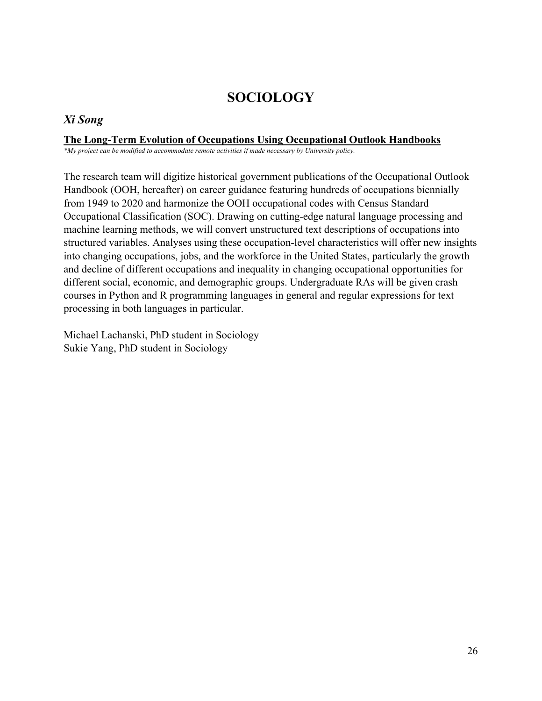## **SOCIOLOGY**

## <span id="page-25-0"></span>*Xi Song*

### **The Long-Term Evolution of Occupations Using Occupational Outlook Handbooks**

*\*My project can be modified to accommodate remote activities if made necessary by University policy.*

The research team will digitize historical government publications of the Occupational Outlook Handbook (OOH, hereafter) on career guidance featuring hundreds of occupations biennially from 1949 to 2020 and harmonize the OOH occupational codes with Census Standard Occupational Classification (SOC). Drawing on cutting-edge natural language processing and machine learning methods, we will convert unstructured text descriptions of occupations into structured variables. Analyses using these occupation-level characteristics will offer new insights into changing occupations, jobs, and the workforce in the United States, particularly the growth and decline of different occupations and inequality in changing occupational opportunities for different social, economic, and demographic groups. Undergraduate RAs will be given crash courses in Python and R programming languages in general and regular expressions for text processing in both languages in particular.

Michael Lachanski, PhD student in Sociology Sukie Yang, PhD student in Sociology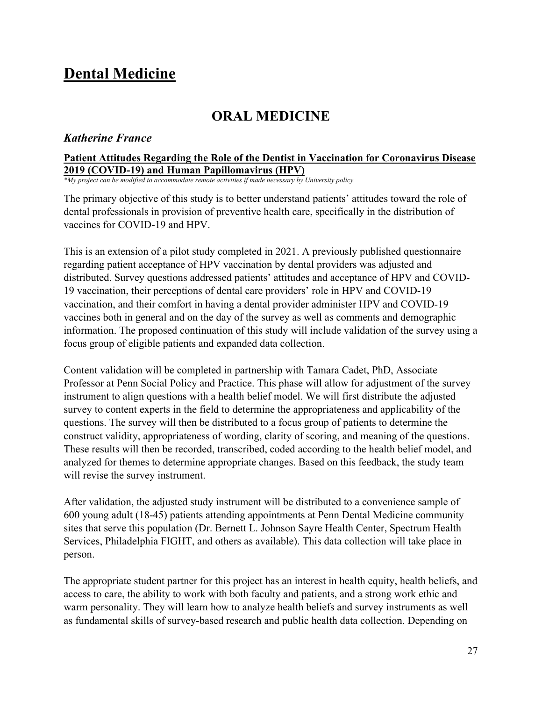## <span id="page-26-0"></span>**Dental Medicine**

## **ORAL MEDICINE**

### <span id="page-26-1"></span>*Katherine France*

### **Patient Attitudes Regarding the Role of the Dentist in Vaccination for Coronavirus Disease 2019 (COVID-19) and Human Papillomavirus (HPV)**

*\*My project can be modified to accommodate remote activities if made necessary by University policy.*

The primary objective of this study is to better understand patients' attitudes toward the role of dental professionals in provision of preventive health care, specifically in the distribution of vaccines for COVID-19 and HPV.

This is an extension of a pilot study completed in 2021. A previously published questionnaire regarding patient acceptance of HPV vaccination by dental providers was adjusted and distributed. Survey questions addressed patients' attitudes and acceptance of HPV and COVID-19 vaccination, their perceptions of dental care providers' role in HPV and COVID-19 vaccination, and their comfort in having a dental provider administer HPV and COVID-19 vaccines both in general and on the day of the survey as well as comments and demographic information. The proposed continuation of this study will include validation of the survey using a focus group of eligible patients and expanded data collection.

Content validation will be completed in partnership with Tamara Cadet, PhD, Associate Professor at Penn Social Policy and Practice. This phase will allow for adjustment of the survey instrument to align questions with a health belief model. We will first distribute the adjusted survey to content experts in the field to determine the appropriateness and applicability of the questions. The survey will then be distributed to a focus group of patients to determine the construct validity, appropriateness of wording, clarity of scoring, and meaning of the questions. These results will then be recorded, transcribed, coded according to the health belief model, and analyzed for themes to determine appropriate changes. Based on this feedback, the study team will revise the survey instrument.

After validation, the adjusted study instrument will be distributed to a convenience sample of 600 young adult (18-45) patients attending appointments at Penn Dental Medicine community sites that serve this population (Dr. Bernett L. Johnson Sayre Health Center, Spectrum Health Services, Philadelphia FIGHT, and others as available). This data collection will take place in person.

The appropriate student partner for this project has an interest in health equity, health beliefs, and access to care, the ability to work with both faculty and patients, and a strong work ethic and warm personality. They will learn how to analyze health beliefs and survey instruments as well as fundamental skills of survey-based research and public health data collection. Depending on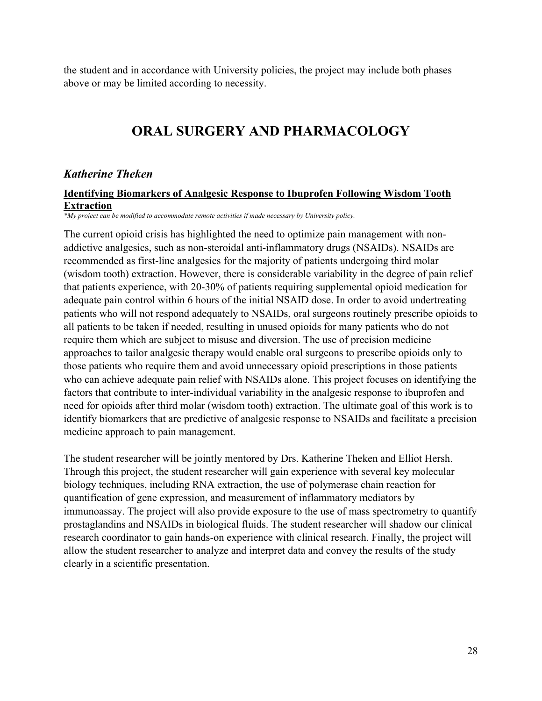the student and in accordance with University policies, the project may include both phases above or may be limited according to necessity.

## **ORAL SURGERY AND PHARMACOLOGY**

## <span id="page-27-0"></span>*Katherine Theken*

#### **Identifying Biomarkers of Analgesic Response to Ibuprofen Following Wisdom Tooth Extraction**

*\*My project can be modified to accommodate remote activities if made necessary by University policy.*

The current opioid crisis has highlighted the need to optimize pain management with nonaddictive analgesics, such as non-steroidal anti-inflammatory drugs (NSAIDs). NSAIDs are recommended as first-line analgesics for the majority of patients undergoing third molar (wisdom tooth) extraction. However, there is considerable variability in the degree of pain relief that patients experience, with 20-30% of patients requiring supplemental opioid medication for adequate pain control within 6 hours of the initial NSAID dose. In order to avoid undertreating patients who will not respond adequately to NSAIDs, oral surgeons routinely prescribe opioids to all patients to be taken if needed, resulting in unused opioids for many patients who do not require them which are subject to misuse and diversion. The use of precision medicine approaches to tailor analgesic therapy would enable oral surgeons to prescribe opioids only to those patients who require them and avoid unnecessary opioid prescriptions in those patients who can achieve adequate pain relief with NSAIDs alone. This project focuses on identifying the factors that contribute to inter-individual variability in the analgesic response to ibuprofen and need for opioids after third molar (wisdom tooth) extraction. The ultimate goal of this work is to identify biomarkers that are predictive of analgesic response to NSAIDs and facilitate a precision medicine approach to pain management.

The student researcher will be jointly mentored by Drs. Katherine Theken and Elliot Hersh. Through this project, the student researcher will gain experience with several key molecular biology techniques, including RNA extraction, the use of polymerase chain reaction for quantification of gene expression, and measurement of inflammatory mediators by immunoassay. The project will also provide exposure to the use of mass spectrometry to quantify prostaglandins and NSAIDs in biological fluids. The student researcher will shadow our clinical research coordinator to gain hands-on experience with clinical research. Finally, the project will allow the student researcher to analyze and interpret data and convey the results of the study clearly in a scientific presentation.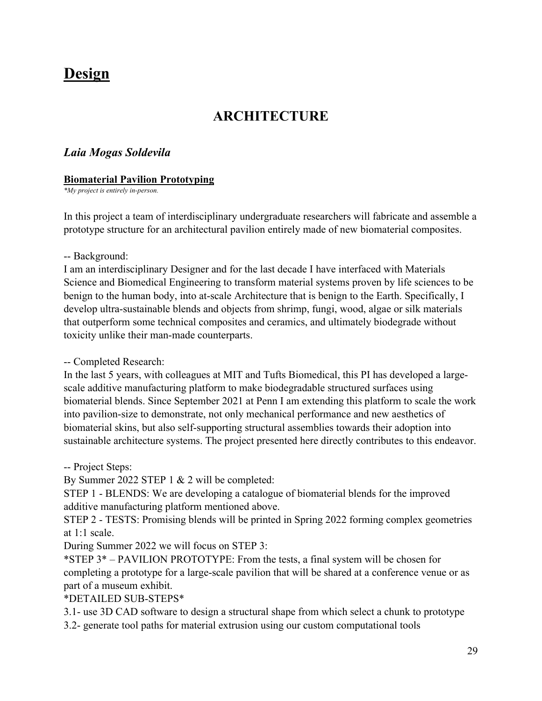## <span id="page-28-0"></span>**Design**

## **ARCHITECTURE**

## <span id="page-28-1"></span>*Laia Mogas Soldevila*

#### **Biomaterial Pavilion Prototyping**

*\*My project is entirely in-person.*

In this project a team of interdisciplinary undergraduate researchers will fabricate and assemble a prototype structure for an architectural pavilion entirely made of new biomaterial composites.

#### -- Background:

I am an interdisciplinary Designer and for the last decade I have interfaced with Materials Science and Biomedical Engineering to transform material systems proven by life sciences to be benign to the human body, into at-scale Architecture that is benign to the Earth. Specifically, I develop ultra-sustainable blends and objects from shrimp, fungi, wood, algae or silk materials that outperform some technical composites and ceramics, and ultimately biodegrade without toxicity unlike their man-made counterparts.

#### -- Completed Research:

In the last 5 years, with colleagues at MIT and Tufts Biomedical, this PI has developed a largescale additive manufacturing platform to make biodegradable structured surfaces using biomaterial blends. Since September 2021 at Penn I am extending this platform to scale the work into pavilion-size to demonstrate, not only mechanical performance and new aesthetics of biomaterial skins, but also self-supporting structural assemblies towards their adoption into sustainable architecture systems. The project presented here directly contributes to this endeavor.

#### -- Project Steps:

By Summer 2022 STEP 1 & 2 will be completed:

STEP 1 - BLENDS: We are developing a catalogue of biomaterial blends for the improved additive manufacturing platform mentioned above.

STEP 2 - TESTS: Promising blends will be printed in Spring 2022 forming complex geometries at 1:1 scale.

During Summer 2022 we will focus on STEP 3:

\*STEP 3\* – PAVILION PROTOTYPE: From the tests, a final system will be chosen for completing a prototype for a large-scale pavilion that will be shared at a conference venue or as part of a museum exhibit.

## \*DETAILED SUB-STEPS\*

3.1- use 3D CAD software to design a structural shape from which select a chunk to prototype

3.2- generate tool paths for material extrusion using our custom computational tools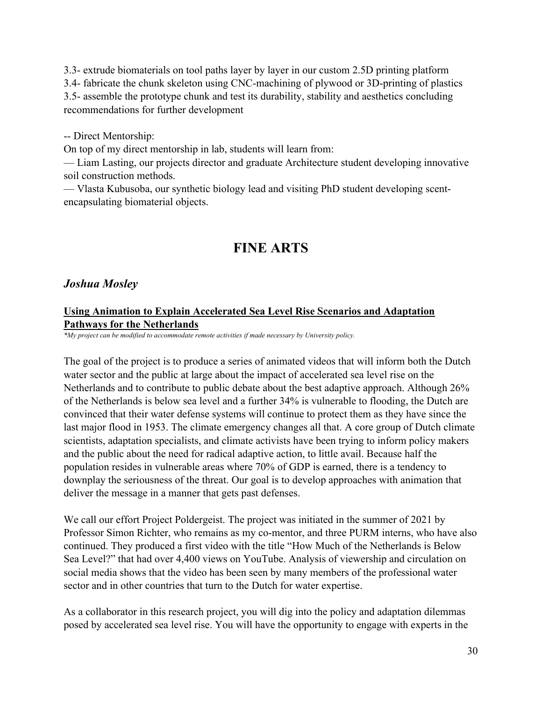3.3- extrude biomaterials on tool paths layer by layer in our custom 2.5D printing platform 3.4- fabricate the chunk skeleton using CNC-machining of plywood or 3D-printing of plastics 3.5- assemble the prototype chunk and test its durability, stability and aesthetics concluding recommendations for further development

-- Direct Mentorship:

On top of my direct mentorship in lab, students will learn from:

— Liam Lasting, our projects director and graduate Architecture student developing innovative soil construction methods.

— Vlasta Kubusoba, our synthetic biology lead and visiting PhD student developing scentencapsulating biomaterial objects.

## **FINE ARTS**

### <span id="page-29-0"></span>*Joshua Mosley*

### **Using Animation to Explain Accelerated Sea Level Rise Scenarios and Adaptation Pathways for the Netherlands**

*\*My project can be modified to accommodate remote activities if made necessary by University policy.*

The goal of the project is to produce a series of animated videos that will inform both the Dutch water sector and the public at large about the impact of accelerated sea level rise on the Netherlands and to contribute to public debate about the best adaptive approach. Although 26% of the Netherlands is below sea level and a further 34% is vulnerable to flooding, the Dutch are convinced that their water defense systems will continue to protect them as they have since the last major flood in 1953. The climate emergency changes all that. A core group of Dutch climate scientists, adaptation specialists, and climate activists have been trying to inform policy makers and the public about the need for radical adaptive action, to little avail. Because half the population resides in vulnerable areas where 70% of GDP is earned, there is a tendency to downplay the seriousness of the threat. Our goal is to develop approaches with animation that deliver the message in a manner that gets past defenses.

We call our effort Project Poldergeist. The project was initiated in the summer of 2021 by Professor Simon Richter, who remains as my co-mentor, and three PURM interns, who have also continued. They produced a first video with the title "How Much of the Netherlands is Below Sea Level?" that had over 4,400 views on YouTube. Analysis of viewership and circulation on social media shows that the video has been seen by many members of the professional water sector and in other countries that turn to the Dutch for water expertise.

As a collaborator in this research project, you will dig into the policy and adaptation dilemmas posed by accelerated sea level rise. You will have the opportunity to engage with experts in the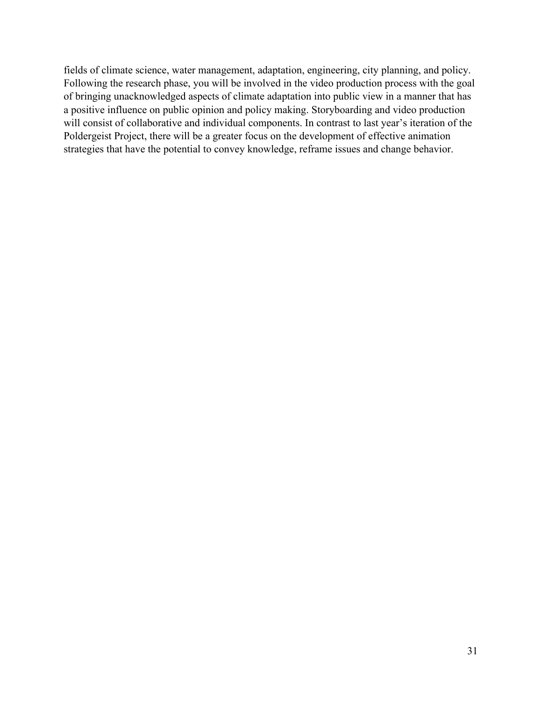fields of climate science, water management, adaptation, engineering, city planning, and policy. Following the research phase, you will be involved in the video production process with the goal of bringing unacknowledged aspects of climate adaptation into public view in a manner that has a positive influence on public opinion and policy making. Storyboarding and video production will consist of collaborative and individual components. In contrast to last year's iteration of the Poldergeist Project, there will be a greater focus on the development of effective animation strategies that have the potential to convey knowledge, reframe issues and change behavior.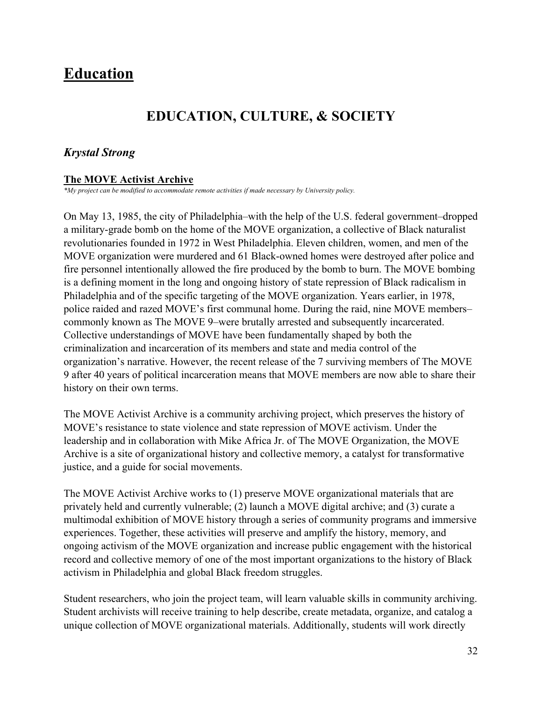## <span id="page-31-0"></span>**Education**

## **EDUCATION, CULTURE, & SOCIETY**

## <span id="page-31-1"></span>*Krystal Strong*

### **The MOVE Activist Archive**

*\*My project can be modified to accommodate remote activities if made necessary by University policy.*

On May 13, 1985, the city of Philadelphia–with the help of the U.S. federal government–dropped a military-grade bomb on the home of the MOVE organization, a collective of Black naturalist revolutionaries founded in 1972 in West Philadelphia. Eleven children, women, and men of the MOVE organization were murdered and 61 Black-owned homes were destroyed after police and fire personnel intentionally allowed the fire produced by the bomb to burn. The MOVE bombing is a defining moment in the long and ongoing history of state repression of Black radicalism in Philadelphia and of the specific targeting of the MOVE organization. Years earlier, in 1978, police raided and razed MOVE's first communal home. During the raid, nine MOVE members– commonly known as The MOVE 9–were brutally arrested and subsequently incarcerated. Collective understandings of MOVE have been fundamentally shaped by both the criminalization and incarceration of its members and state and media control of the organization's narrative. However, the recent release of the 7 surviving members of The MOVE 9 after 40 years of political incarceration means that MOVE members are now able to share their history on their own terms.

The MOVE Activist Archive is a community archiving project, which preserves the history of MOVE's resistance to state violence and state repression of MOVE activism. Under the leadership and in collaboration with Mike Africa Jr. of The MOVE Organization, the MOVE Archive is a site of organizational history and collective memory, a catalyst for transformative justice, and a guide for social movements.

The MOVE Activist Archive works to (1) preserve MOVE organizational materials that are privately held and currently vulnerable; (2) launch a MOVE digital archive; and (3) curate a multimodal exhibition of MOVE history through a series of community programs and immersive experiences. Together, these activities will preserve and amplify the history, memory, and ongoing activism of the MOVE organization and increase public engagement with the historical record and collective memory of one of the most important organizations to the history of Black activism in Philadelphia and global Black freedom struggles.

Student researchers, who join the project team, will learn valuable skills in community archiving. Student archivists will receive training to help describe, create metadata, organize, and catalog a unique collection of MOVE organizational materials. Additionally, students will work directly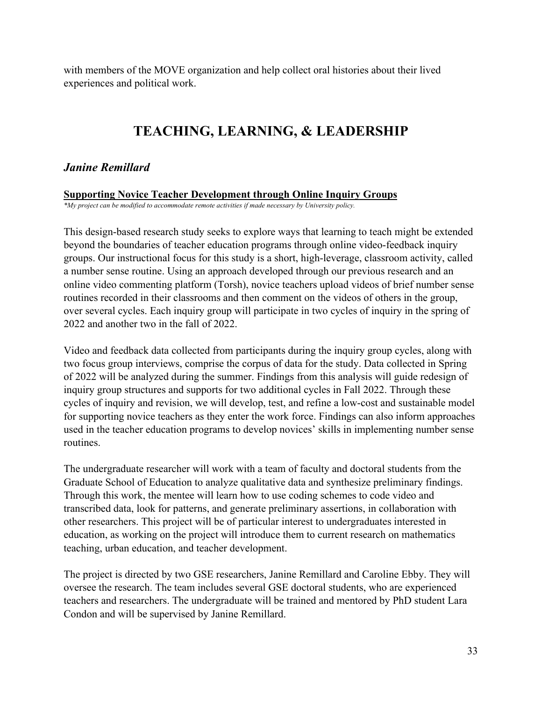with members of the MOVE organization and help collect oral histories about their lived experiences and political work.

## **TEACHING, LEARNING, & LEADERSHIP**

## <span id="page-32-0"></span>*Janine Remillard*

#### **Supporting Novice Teacher Development through Online Inquiry Groups**

*\*My project can be modified to accommodate remote activities if made necessary by University policy.*

This design-based research study seeks to explore ways that learning to teach might be extended beyond the boundaries of teacher education programs through online video-feedback inquiry groups. Our instructional focus for this study is a short, high-leverage, classroom activity, called a number sense routine. Using an approach developed through our previous research and an online video commenting platform (Torsh), novice teachers upload videos of brief number sense routines recorded in their classrooms and then comment on the videos of others in the group, over several cycles. Each inquiry group will participate in two cycles of inquiry in the spring of 2022 and another two in the fall of 2022.

Video and feedback data collected from participants during the inquiry group cycles, along with two focus group interviews, comprise the corpus of data for the study. Data collected in Spring of 2022 will be analyzed during the summer. Findings from this analysis will guide redesign of inquiry group structures and supports for two additional cycles in Fall 2022. Through these cycles of inquiry and revision, we will develop, test, and refine a low-cost and sustainable model for supporting novice teachers as they enter the work force. Findings can also inform approaches used in the teacher education programs to develop novices' skills in implementing number sense routines.

The undergraduate researcher will work with a team of faculty and doctoral students from the Graduate School of Education to analyze qualitative data and synthesize preliminary findings. Through this work, the mentee will learn how to use coding schemes to code video and transcribed data, look for patterns, and generate preliminary assertions, in collaboration with other researchers. This project will be of particular interest to undergraduates interested in education, as working on the project will introduce them to current research on mathematics teaching, urban education, and teacher development.

The project is directed by two GSE researchers, Janine Remillard and Caroline Ebby. They will oversee the research. The team includes several GSE doctoral students, who are experienced teachers and researchers. The undergraduate will be trained and mentored by PhD student Lara Condon and will be supervised by Janine Remillard.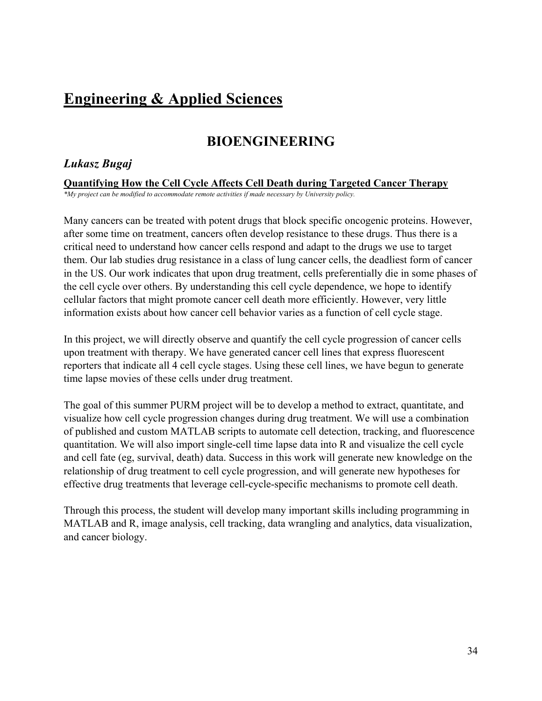## <span id="page-33-0"></span>**Engineering & Applied Sciences**

## **BIOENGINEERING**

## <span id="page-33-1"></span>*Lukasz Bugaj*

**Quantifying How the Cell Cycle Affects Cell Death during Targeted Cancer Therapy**

*\*My project can be modified to accommodate remote activities if made necessary by University policy.*

Many cancers can be treated with potent drugs that block specific oncogenic proteins. However, after some time on treatment, cancers often develop resistance to these drugs. Thus there is a critical need to understand how cancer cells respond and adapt to the drugs we use to target them. Our lab studies drug resistance in a class of lung cancer cells, the deadliest form of cancer in the US. Our work indicates that upon drug treatment, cells preferentially die in some phases of the cell cycle over others. By understanding this cell cycle dependence, we hope to identify cellular factors that might promote cancer cell death more efficiently. However, very little information exists about how cancer cell behavior varies as a function of cell cycle stage.

In this project, we will directly observe and quantify the cell cycle progression of cancer cells upon treatment with therapy. We have generated cancer cell lines that express fluorescent reporters that indicate all 4 cell cycle stages. Using these cell lines, we have begun to generate time lapse movies of these cells under drug treatment.

The goal of this summer PURM project will be to develop a method to extract, quantitate, and visualize how cell cycle progression changes during drug treatment. We will use a combination of published and custom MATLAB scripts to automate cell detection, tracking, and fluorescence quantitation. We will also import single-cell time lapse data into R and visualize the cell cycle and cell fate (eg, survival, death) data. Success in this work will generate new knowledge on the relationship of drug treatment to cell cycle progression, and will generate new hypotheses for effective drug treatments that leverage cell-cycle-specific mechanisms to promote cell death.

Through this process, the student will develop many important skills including programming in MATLAB and R, image analysis, cell tracking, data wrangling and analytics, data visualization, and cancer biology.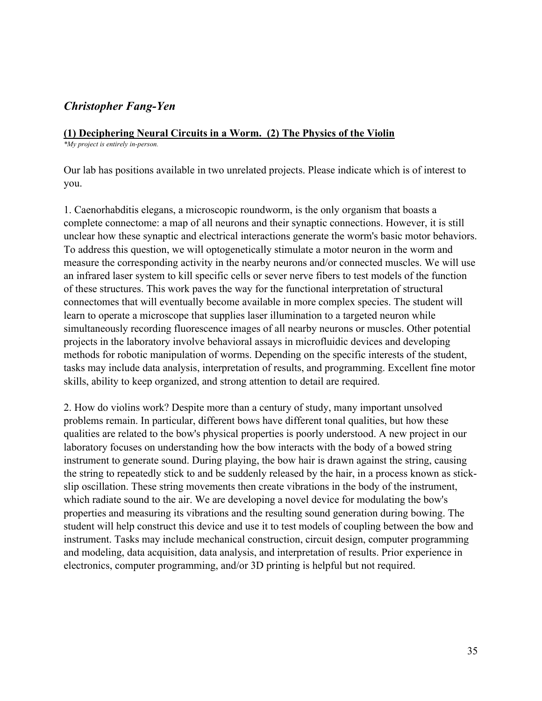## *Christopher Fang-Yen*

## **(1) Deciphering Neural Circuits in a Worm. (2) The Physics of the Violin**

*\*My project is entirely in-person.*

Our lab has positions available in two unrelated projects. Please indicate which is of interest to you.

1. Caenorhabditis elegans, a microscopic roundworm, is the only organism that boasts a complete connectome: a map of all neurons and their synaptic connections. However, it is still unclear how these synaptic and electrical interactions generate the worm's basic motor behaviors. To address this question, we will optogenetically stimulate a motor neuron in the worm and measure the corresponding activity in the nearby neurons and/or connected muscles. We will use an infrared laser system to kill specific cells or sever nerve fibers to test models of the function of these structures. This work paves the way for the functional interpretation of structural connectomes that will eventually become available in more complex species. The student will learn to operate a microscope that supplies laser illumination to a targeted neuron while simultaneously recording fluorescence images of all nearby neurons or muscles. Other potential projects in the laboratory involve behavioral assays in microfluidic devices and developing methods for robotic manipulation of worms. Depending on the specific interests of the student, tasks may include data analysis, interpretation of results, and programming. Excellent fine motor skills, ability to keep organized, and strong attention to detail are required.

2. How do violins work? Despite more than a century of study, many important unsolved problems remain. In particular, different bows have different tonal qualities, but how these qualities are related to the bow's physical properties is poorly understood. A new project in our laboratory focuses on understanding how the bow interacts with the body of a bowed string instrument to generate sound. During playing, the bow hair is drawn against the string, causing the string to repeatedly stick to and be suddenly released by the hair, in a process known as stickslip oscillation. These string movements then create vibrations in the body of the instrument, which radiate sound to the air. We are developing a novel device for modulating the bow's properties and measuring its vibrations and the resulting sound generation during bowing. The student will help construct this device and use it to test models of coupling between the bow and instrument. Tasks may include mechanical construction, circuit design, computer programming and modeling, data acquisition, data analysis, and interpretation of results. Prior experience in electronics, computer programming, and/or 3D printing is helpful but not required.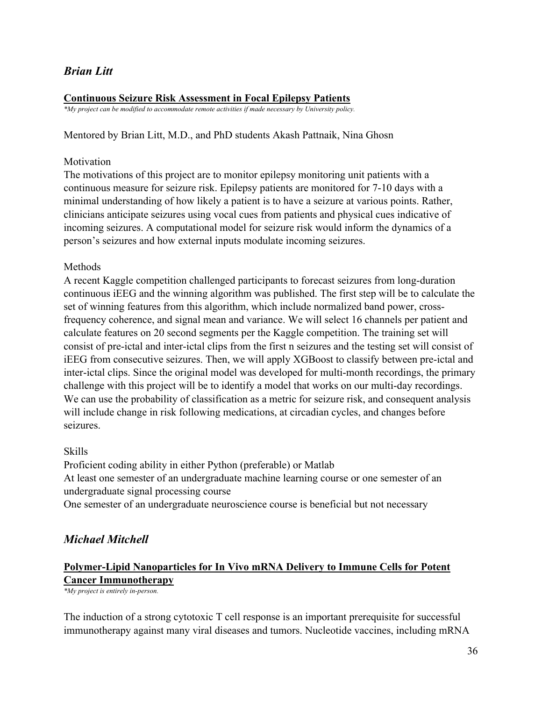## *Brian Litt*

## **Continuous Seizure Risk Assessment in Focal Epilepsy Patients**

*\*My project can be modified to accommodate remote activities if made necessary by University policy.*

### Mentored by Brian Litt, M.D., and PhD students Akash Pattnaik, Nina Ghosn

### Motivation

The motivations of this project are to monitor epilepsy monitoring unit patients with a continuous measure for seizure risk. Epilepsy patients are monitored for 7-10 days with a minimal understanding of how likely a patient is to have a seizure at various points. Rather, clinicians anticipate seizures using vocal cues from patients and physical cues indicative of incoming seizures. A computational model for seizure risk would inform the dynamics of a person's seizures and how external inputs modulate incoming seizures.

### Methods

A recent Kaggle competition challenged participants to forecast seizures from long-duration continuous iEEG and the winning algorithm was published. The first step will be to calculate the set of winning features from this algorithm, which include normalized band power, crossfrequency coherence, and signal mean and variance. We will select 16 channels per patient and calculate features on 20 second segments per the Kaggle competition. The training set will consist of pre-ictal and inter-ictal clips from the first n seizures and the testing set will consist of iEEG from consecutive seizures. Then, we will apply XGBoost to classify between pre-ictal and inter-ictal clips. Since the original model was developed for multi-month recordings, the primary challenge with this project will be to identify a model that works on our multi-day recordings. We can use the probability of classification as a metric for seizure risk, and consequent analysis will include change in risk following medications, at circadian cycles, and changes before seizures.

## Skills

Proficient coding ability in either Python (preferable) or Matlab At least one semester of an undergraduate machine learning course or one semester of an undergraduate signal processing course

One semester of an undergraduate neuroscience course is beneficial but not necessary

## *Michael Mitchell*

## **Polymer-Lipid Nanoparticles for In Vivo mRNA Delivery to Immune Cells for Potent Cancer Immunotherapy**

*\*My project is entirely in-person.*

The induction of a strong cytotoxic T cell response is an important prerequisite for successful immunotherapy against many viral diseases and tumors. Nucleotide vaccines, including mRNA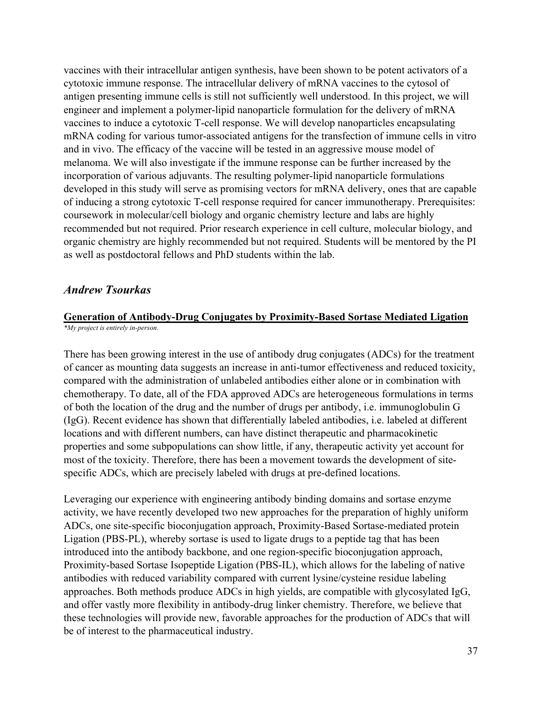vaccines with their intracellular antigen synthesis, have been shown to be potent activators of a cytotoxic immune response. The intracellular delivery of mRNA vaccines to the cytosol of antigen presenting immune cells is still not sufficiently well understood. In this project, we will engineer and implement a polymer-lipid nanoparticle formulation for the delivery of mRNA vaccines to induce a cytotoxic T-cell response. We will develop nanoparticles encapsulating mRNA coding for various tumor-associated antigens for the transfection of immune cells in vitro and in vivo. The efficacy of the vaccine will be tested in an aggressive mouse model of melanoma. We will also investigate if the immune response can be further increased by the incorporation of various adjuvants. The resulting polymer-lipid nanoparticle formulations developed in this study will serve as promising vectors for mRNA delivery, ones that are capable of inducing a strong cytotoxic T-cell response required for cancer immunotherapy. Prerequisites: coursework in molecular/cell biology and organic chemistry lecture and labs are highly recommended but not required. Prior research experience in cell culture, molecular biology, and organic chemistry are highly recommended but not required. Students will be mentored by the PI as well as postdoctoral fellows and PhD students within the lab.

#### *Andrew Tsourkas*

# **Generation of Antibody-Drug Conjugates by Proximity-Based Sortase Mediated Ligation**

*\*My project is entirely in-person.*

There has been growing interest in the use of antibody drug conjugates (ADCs) for the treatment of cancer as mounting data suggests an increase in anti-tumor effectiveness and reduced toxicity, compared with the administration of unlabeled antibodies either alone or in combination with chemotherapy. To date, all of the FDA approved ADCs are heterogeneous formulations in terms of both the location of the drug and the number of drugs per antibody, i.e. immunoglobulin G (IgG). Recent evidence has shown that differentially labeled antibodies, i.e. labeled at different locations and with different numbers, can have distinct therapeutic and pharmacokinetic properties and some subpopulations can show little, if any, therapeutic activity yet account for most of the toxicity. Therefore, there has been a movement towards the development of sitespecific ADCs, which are precisely labeled with drugs at pre-defined locations.

Leveraging our experience with engineering antibody binding domains and sortase enzyme activity, we have recently developed two new approaches for the preparation of highly uniform ADCs, one site-specific bioconjugation approach, Proximity-Based Sortase-mediated protein Ligation (PBS-PL), whereby sortase is used to ligate drugs to a peptide tag that has been introduced into the antibody backbone, and one region-specific bioconjugation approach, Proximity-based Sortase Isopeptide Ligation (PBS-IL), which allows for the labeling of native antibodies with reduced variability compared with current lysine/cysteine residue labeling approaches. Both methods produce ADCs in high yields, are compatible with glycosylated IgG, and offer vastly more flexibility in antibody-drug linker chemistry. Therefore, we believe that these technologies will provide new, favorable approaches for the production of ADCs that will be of interest to the pharmaceutical industry.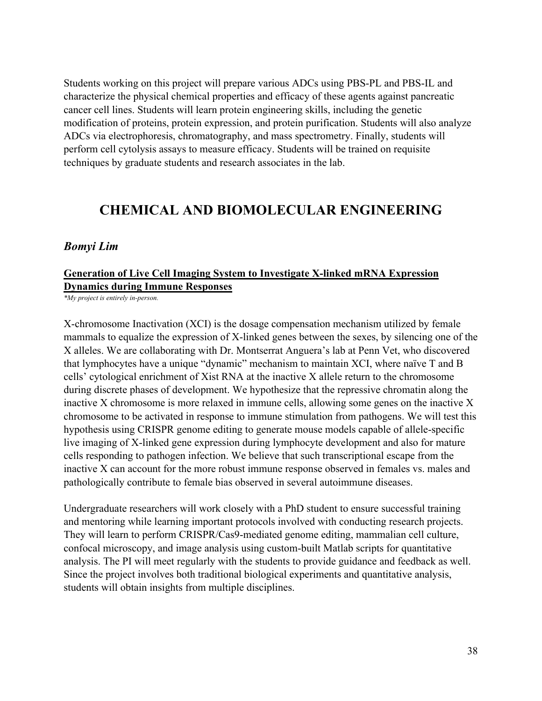Students working on this project will prepare various ADCs using PBS-PL and PBS-IL and characterize the physical chemical properties and efficacy of these agents against pancreatic cancer cell lines. Students will learn protein engineering skills, including the genetic modification of proteins, protein expression, and protein purification. Students will also analyze ADCs via electrophoresis, chromatography, and mass spectrometry. Finally, students will perform cell cytolysis assays to measure efficacy. Students will be trained on requisite techniques by graduate students and research associates in the lab.

# **CHEMICAL AND BIOMOLECULAR ENGINEERING**

#### *Bomyi Lim*

## **Generation of Live Cell Imaging System to Investigate X-linked mRNA Expression Dynamics during Immune Responses**

*\*My project is entirely in-person.*

X-chromosome Inactivation (XCI) is the dosage compensation mechanism utilized by female mammals to equalize the expression of X-linked genes between the sexes, by silencing one of the X alleles. We are collaborating with Dr. Montserrat Anguera's lab at Penn Vet, who discovered that lymphocytes have a unique "dynamic" mechanism to maintain XCI, where naïve T and B cells' cytological enrichment of Xist RNA at the inactive X allele return to the chromosome during discrete phases of development. We hypothesize that the repressive chromatin along the inactive X chromosome is more relaxed in immune cells, allowing some genes on the inactive X chromosome to be activated in response to immune stimulation from pathogens. We will test this hypothesis using CRISPR genome editing to generate mouse models capable of allele-specific live imaging of X-linked gene expression during lymphocyte development and also for mature cells responding to pathogen infection. We believe that such transcriptional escape from the inactive X can account for the more robust immune response observed in females vs. males and pathologically contribute to female bias observed in several autoimmune diseases.

Undergraduate researchers will work closely with a PhD student to ensure successful training and mentoring while learning important protocols involved with conducting research projects. They will learn to perform CRISPR/Cas9-mediated genome editing, mammalian cell culture, confocal microscopy, and image analysis using custom-built Matlab scripts for quantitative analysis. The PI will meet regularly with the students to provide guidance and feedback as well. Since the project involves both traditional biological experiments and quantitative analysis, students will obtain insights from multiple disciplines.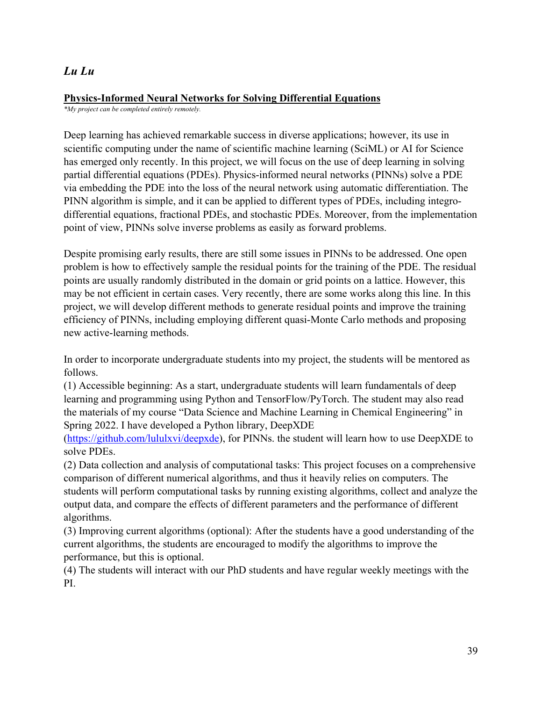# *Lu Lu*

## **Physics-Informed Neural Networks for Solving Differential Equations**

*\*My project can be completed entirely remotely.*

Deep learning has achieved remarkable success in diverse applications; however, its use in scientific computing under the name of scientific machine learning (SciML) or AI for Science has emerged only recently. In this project, we will focus on the use of deep learning in solving partial differential equations (PDEs). Physics-informed neural networks (PINNs) solve a PDE via embedding the PDE into the loss of the neural network using automatic differentiation. The PINN algorithm is simple, and it can be applied to different types of PDEs, including integrodifferential equations, fractional PDEs, and stochastic PDEs. Moreover, from the implementation point of view, PINNs solve inverse problems as easily as forward problems.

Despite promising early results, there are still some issues in PINNs to be addressed. One open problem is how to effectively sample the residual points for the training of the PDE. The residual points are usually randomly distributed in the domain or grid points on a lattice. However, this may be not efficient in certain cases. Very recently, there are some works along this line. In this project, we will develop different methods to generate residual points and improve the training efficiency of PINNs, including employing different quasi-Monte Carlo methods and proposing new active-learning methods.

In order to incorporate undergraduate students into my project, the students will be mentored as follows.

(1) Accessible beginning: As a start, undergraduate students will learn fundamentals of deep learning and programming using Python and TensorFlow/PyTorch. The student may also read the materials of my course "Data Science and Machine Learning in Chemical Engineering" in Spring 2022. I have developed a Python library, DeepXDE

[\(https://github.com/lululxvi/deepxde\)](https://github.com/lululxvi/deepxde), for PINNs. the student will learn how to use DeepXDE to solve PDEs.

(2) Data collection and analysis of computational tasks: This project focuses on a comprehensive comparison of different numerical algorithms, and thus it heavily relies on computers. The students will perform computational tasks by running existing algorithms, collect and analyze the output data, and compare the effects of different parameters and the performance of different algorithms.

(3) Improving current algorithms (optional): After the students have a good understanding of the current algorithms, the students are encouraged to modify the algorithms to improve the performance, but this is optional.

(4) The students will interact with our PhD students and have regular weekly meetings with the PI.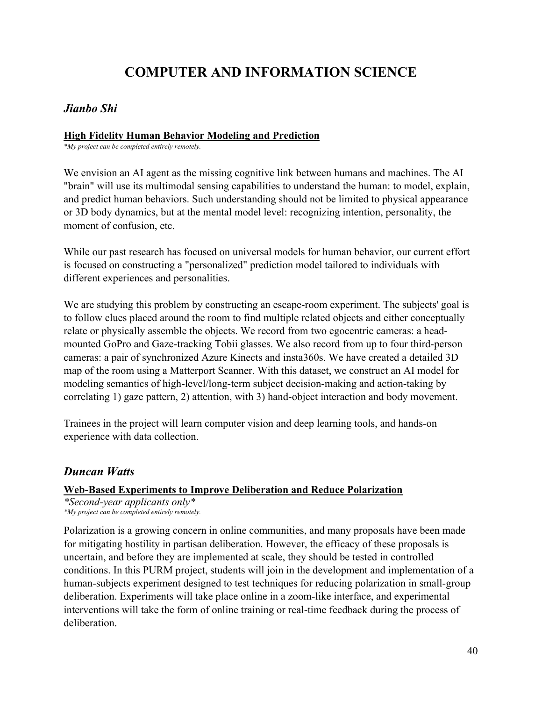# **COMPUTER AND INFORMATION SCIENCE**

## *Jianbo Shi*

#### **High Fidelity Human Behavior Modeling and Prediction**

*\*My project can be completed entirely remotely.*

We envision an AI agent as the missing cognitive link between humans and machines. The AI "brain" will use its multimodal sensing capabilities to understand the human: to model, explain, and predict human behaviors. Such understanding should not be limited to physical appearance or 3D body dynamics, but at the mental model level: recognizing intention, personality, the moment of confusion, etc.

While our past research has focused on universal models for human behavior, our current effort is focused on constructing a "personalized" prediction model tailored to individuals with different experiences and personalities.

We are studying this problem by constructing an escape-room experiment. The subjects' goal is to follow clues placed around the room to find multiple related objects and either conceptually relate or physically assemble the objects. We record from two egocentric cameras: a headmounted GoPro and Gaze-tracking Tobii glasses. We also record from up to four third-person cameras: a pair of synchronized Azure Kinects and insta360s. We have created a detailed 3D map of the room using a Matterport Scanner. With this dataset, we construct an AI model for modeling semantics of high-level/long-term subject decision-making and action-taking by correlating 1) gaze pattern, 2) attention, with 3) hand-object interaction and body movement.

Trainees in the project will learn computer vision and deep learning tools, and hands-on experience with data collection.

## *Duncan Watts*

## **Web-Based Experiments to Improve Deliberation and Reduce Polarization**

*\*Second-year applicants only\* \*My project can be completed entirely remotely.*

Polarization is a growing concern in online communities, and many proposals have been made for mitigating hostility in partisan deliberation. However, the efficacy of these proposals is uncertain, and before they are implemented at scale, they should be tested in controlled conditions. In this PURM project, students will join in the development and implementation of a human-subjects experiment designed to test techniques for reducing polarization in small-group deliberation. Experiments will take place online in a zoom-like interface, and experimental interventions will take the form of online training or real-time feedback during the process of deliberation.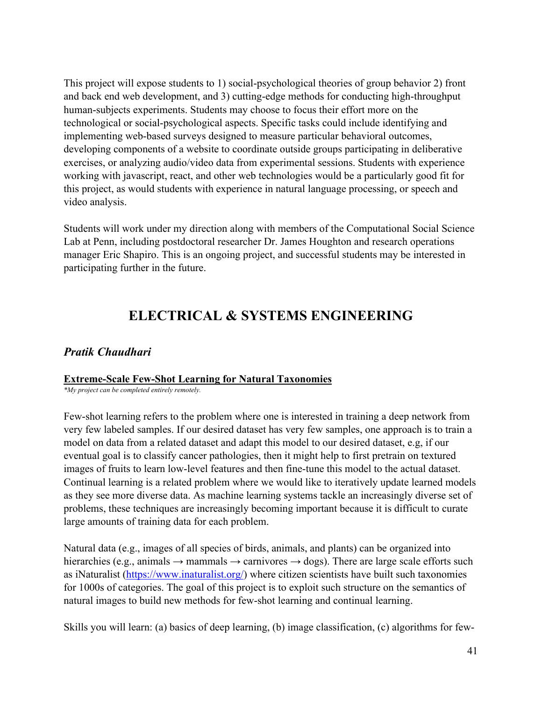This project will expose students to 1) social-psychological theories of group behavior 2) front and back end web development, and 3) cutting-edge methods for conducting high-throughput human-subjects experiments. Students may choose to focus their effort more on the technological or social-psychological aspects. Specific tasks could include identifying and implementing web-based surveys designed to measure particular behavioral outcomes, developing components of a website to coordinate outside groups participating in deliberative exercises, or analyzing audio/video data from experimental sessions. Students with experience working with javascript, react, and other web technologies would be a particularly good fit for this project, as would students with experience in natural language processing, or speech and video analysis.

Students will work under my direction along with members of the Computational Social Science Lab at Penn, including postdoctoral researcher Dr. James Houghton and research operations manager Eric Shapiro. This is an ongoing project, and successful students may be interested in participating further in the future.

# **ELECTRICAL & SYSTEMS ENGINEERING**

# *Pratik Chaudhari*

#### **Extreme-Scale Few-Shot Learning for Natural Taxonomies**

*\*My project can be completed entirely remotely.*

Few-shot learning refers to the problem where one is interested in training a deep network from very few labeled samples. If our desired dataset has very few samples, one approach is to train a model on data from a related dataset and adapt this model to our desired dataset, e.g, if our eventual goal is to classify cancer pathologies, then it might help to first pretrain on textured images of fruits to learn low-level features and then fine-tune this model to the actual dataset. Continual learning is a related problem where we would like to iteratively update learned models as they see more diverse data. As machine learning systems tackle an increasingly diverse set of problems, these techniques are increasingly becoming important because it is difficult to curate large amounts of training data for each problem.

Natural data (e.g., images of all species of birds, animals, and plants) can be organized into hierarchies (e.g., animals  $\rightarrow$  mammals  $\rightarrow$  carnivores  $\rightarrow$  dogs). There are large scale efforts such as iNaturalist [\(https://www.inaturalist.org/\)](https://www.inaturalist.org/) where citizen scientists have built such taxonomies for 1000s of categories. The goal of this project is to exploit such structure on the semantics of natural images to build new methods for few-shot learning and continual learning.

Skills you will learn: (a) basics of deep learning, (b) image classification, (c) algorithms for few-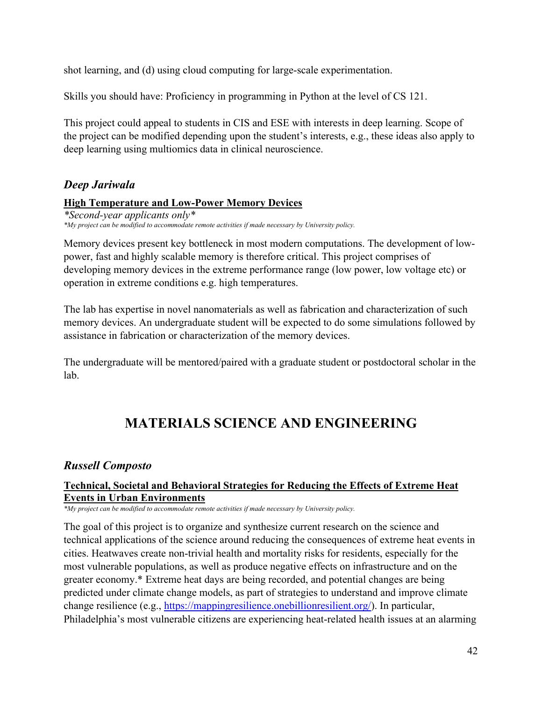shot learning, and (d) using cloud computing for large-scale experimentation.

Skills you should have: Proficiency in programming in Python at the level of CS 121.

This project could appeal to students in CIS and ESE with interests in deep learning. Scope of the project can be modified depending upon the student's interests, e.g., these ideas also apply to deep learning using multiomics data in clinical neuroscience.

# *Deep Jariwala*

## **High Temperature and Low-Power Memory Devices**

*\*Second-year applicants only\* \*My project can be modified to accommodate remote activities if made necessary by University policy.*

Memory devices present key bottleneck in most modern computations. The development of lowpower, fast and highly scalable memory is therefore critical. This project comprises of developing memory devices in the extreme performance range (low power, low voltage etc) or operation in extreme conditions e.g. high temperatures.

The lab has expertise in novel nanomaterials as well as fabrication and characterization of such memory devices. An undergraduate student will be expected to do some simulations followed by assistance in fabrication or characterization of the memory devices.

The undergraduate will be mentored/paired with a graduate student or postdoctoral scholar in the lab.

# **MATERIALS SCIENCE AND ENGINEERING**

# *Russell Composto*

## **Technical, Societal and Behavioral Strategies for Reducing the Effects of Extreme Heat Events in Urban Environments**

*\*My project can be modified to accommodate remote activities if made necessary by University policy.*

The goal of this project is to organize and synthesize current research on the science and technical applications of the science around reducing the consequences of extreme heat events in cities. Heatwaves create non-trivial health and mortality risks for residents, especially for the most vulnerable populations, as well as produce negative effects on infrastructure and on the greater economy.\* Extreme heat days are being recorded, and potential changes are being predicted under climate change models, as part of strategies to understand and improve climate change resilience (e.g., [https://mappingresilience.onebillionresilient.org/\)](https://mappingresilience.onebillionresilient.org/). In particular, Philadelphia's most vulnerable citizens are experiencing heat-related health issues at an alarming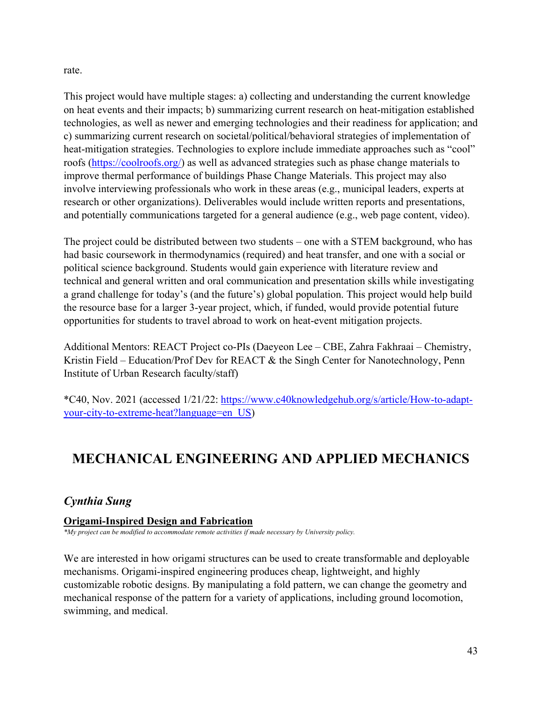rate.

This project would have multiple stages: a) collecting and understanding the current knowledge on heat events and their impacts; b) summarizing current research on heat-mitigation established technologies, as well as newer and emerging technologies and their readiness for application; and c) summarizing current research on societal/political/behavioral strategies of implementation of heat-mitigation strategies. Technologies to explore include immediate approaches such as "cool" roofs [\(https://coolroofs.org/\)](https://coolroofs.org/) as well as advanced strategies such as phase change materials to improve thermal performance of buildings Phase Change Materials. This project may also involve interviewing professionals who work in these areas (e.g., municipal leaders, experts at research or other organizations). Deliverables would include written reports and presentations, and potentially communications targeted for a general audience (e.g., web page content, video).

The project could be distributed between two students – one with a STEM background, who has had basic coursework in thermodynamics (required) and heat transfer, and one with a social or political science background. Students would gain experience with literature review and technical and general written and oral communication and presentation skills while investigating a grand challenge for today's (and the future's) global population. This project would help build the resource base for a larger 3-year project, which, if funded, would provide potential future opportunities for students to travel abroad to work on heat-event mitigation projects.

Additional Mentors: REACT Project co-PIs (Daeyeon Lee – CBE, Zahra Fakhraai – Chemistry, Kristin Field – Education/Prof Dev for REACT & the Singh Center for Nanotechnology, Penn Institute of Urban Research faculty/staff)

\*C40, Nov. 2021 (accessed 1/21/22: [https://www.c40knowledgehub.org/s/article/How-to-adapt](https://www.c40knowledgehub.org/s/article/How-to-adapt-your-city-to-extreme-heat?language=en_US)[your-city-to-extreme-heat?language=en\\_US\)](https://www.c40knowledgehub.org/s/article/How-to-adapt-your-city-to-extreme-heat?language=en_US)

# **MECHANICAL ENGINEERING AND APPLIED MECHANICS**

# *Cynthia Sung*

## **Origami-Inspired Design and Fabrication**

*\*My project can be modified to accommodate remote activities if made necessary by University policy.*

We are interested in how origami structures can be used to create transformable and deployable mechanisms. Origami-inspired engineering produces cheap, lightweight, and highly customizable robotic designs. By manipulating a fold pattern, we can change the geometry and mechanical response of the pattern for a variety of applications, including ground locomotion, swimming, and medical.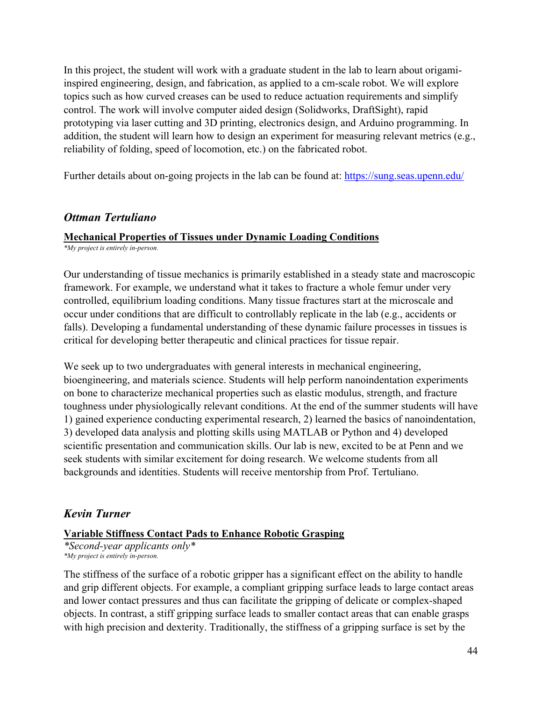In this project, the student will work with a graduate student in the lab to learn about origamiinspired engineering, design, and fabrication, as applied to a cm-scale robot. We will explore topics such as how curved creases can be used to reduce actuation requirements and simplify control. The work will involve computer aided design (Solidworks, DraftSight), rapid prototyping via laser cutting and 3D printing, electronics design, and Arduino programming. In addition, the student will learn how to design an experiment for measuring relevant metrics (e.g., reliability of folding, speed of locomotion, etc.) on the fabricated robot.

Further details about on-going projects in the lab can be found at:<https://sung.seas.upenn.edu/>

## *Ottman Tertuliano*

## **Mechanical Properties of Tissues under Dynamic Loading Conditions**

*\*My project is entirely in-person.*

Our understanding of tissue mechanics is primarily established in a steady state and macroscopic framework. For example, we understand what it takes to fracture a whole femur under very controlled, equilibrium loading conditions. Many tissue fractures start at the microscale and occur under conditions that are difficult to controllably replicate in the lab (e.g., accidents or falls). Developing a fundamental understanding of these dynamic failure processes in tissues is critical for developing better therapeutic and clinical practices for tissue repair.

We seek up to two undergraduates with general interests in mechanical engineering, bioengineering, and materials science. Students will help perform nanoindentation experiments on bone to characterize mechanical properties such as elastic modulus, strength, and fracture toughness under physiologically relevant conditions. At the end of the summer students will have 1) gained experience conducting experimental research, 2) learned the basics of nanoindentation, 3) developed data analysis and plotting skills using MATLAB or Python and 4) developed scientific presentation and communication skills. Our lab is new, excited to be at Penn and we seek students with similar excitement for doing research. We welcome students from all backgrounds and identities. Students will receive mentorship from Prof. Tertuliano.

## *Kevin Turner*

## **Variable Stiffness Contact Pads to Enhance Robotic Grasping**

*\*Second-year applicants only\* \*My project is entirely in-person.*

The stiffness of the surface of a robotic gripper has a significant effect on the ability to handle and grip different objects. For example, a compliant gripping surface leads to large contact areas and lower contact pressures and thus can facilitate the gripping of delicate or complex-shaped objects. In contrast, a stiff gripping surface leads to smaller contact areas that can enable grasps with high precision and dexterity. Traditionally, the stiffness of a gripping surface is set by the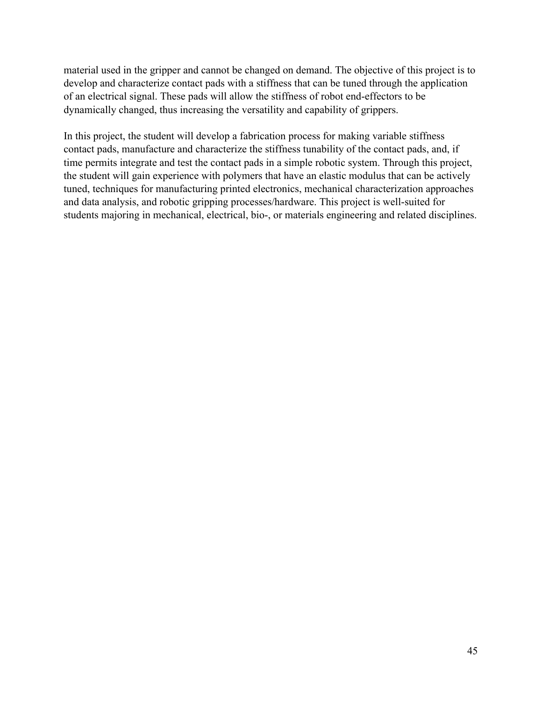material used in the gripper and cannot be changed on demand. The objective of this project is to develop and characterize contact pads with a stiffness that can be tuned through the application of an electrical signal. These pads will allow the stiffness of robot end-effectors to be dynamically changed, thus increasing the versatility and capability of grippers.

In this project, the student will develop a fabrication process for making variable stiffness contact pads, manufacture and characterize the stiffness tunability of the contact pads, and, if time permits integrate and test the contact pads in a simple robotic system. Through this project, the student will gain experience with polymers that have an elastic modulus that can be actively tuned, techniques for manufacturing printed electronics, mechanical characterization approaches and data analysis, and robotic gripping processes/hardware. This project is well-suited for students majoring in mechanical, electrical, bio-, or materials engineering and related disciplines.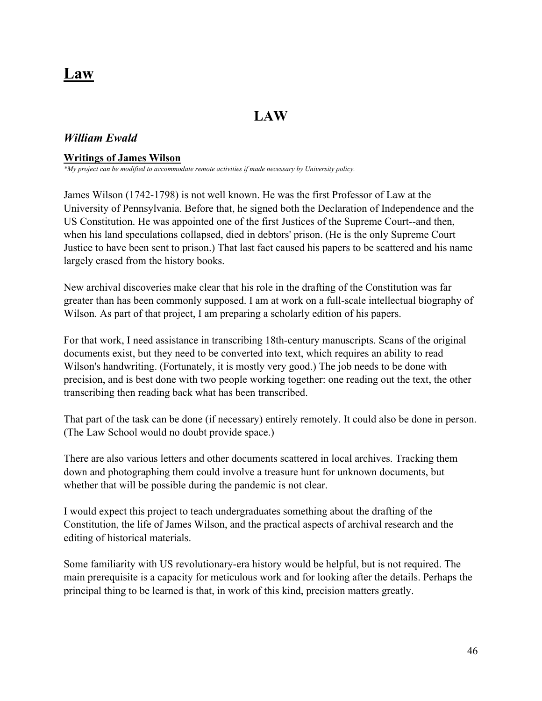# **Law**

# **LAW**

## *William Ewald*

#### **Writings of James Wilson**

*\*My project can be modified to accommodate remote activities if made necessary by University policy.*

James Wilson (1742-1798) is not well known. He was the first Professor of Law at the University of Pennsylvania. Before that, he signed both the Declaration of Independence and the US Constitution. He was appointed one of the first Justices of the Supreme Court--and then, when his land speculations collapsed, died in debtors' prison. (He is the only Supreme Court Justice to have been sent to prison.) That last fact caused his papers to be scattered and his name largely erased from the history books.

New archival discoveries make clear that his role in the drafting of the Constitution was far greater than has been commonly supposed. I am at work on a full-scale intellectual biography of Wilson. As part of that project, I am preparing a scholarly edition of his papers.

For that work, I need assistance in transcribing 18th-century manuscripts. Scans of the original documents exist, but they need to be converted into text, which requires an ability to read Wilson's handwriting. (Fortunately, it is mostly very good.) The job needs to be done with precision, and is best done with two people working together: one reading out the text, the other transcribing then reading back what has been transcribed.

That part of the task can be done (if necessary) entirely remotely. It could also be done in person. (The Law School would no doubt provide space.)

There are also various letters and other documents scattered in local archives. Tracking them down and photographing them could involve a treasure hunt for unknown documents, but whether that will be possible during the pandemic is not clear.

I would expect this project to teach undergraduates something about the drafting of the Constitution, the life of James Wilson, and the practical aspects of archival research and the editing of historical materials.

Some familiarity with US revolutionary-era history would be helpful, but is not required. The main prerequisite is a capacity for meticulous work and for looking after the details. Perhaps the principal thing to be learned is that, in work of this kind, precision matters greatly.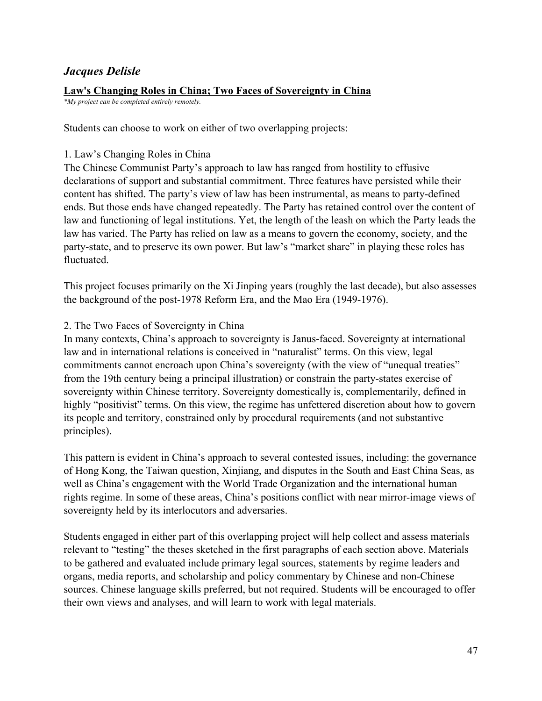## *Jacques Delisle*

#### **Law's Changing Roles in China; Two Faces of Sovereignty in China**

*\*My project can be completed entirely remotely.*

Students can choose to work on either of two overlapping projects:

#### 1. Law's Changing Roles in China

The Chinese Communist Party's approach to law has ranged from hostility to effusive declarations of support and substantial commitment. Three features have persisted while their content has shifted. The party's view of law has been instrumental, as means to party-defined ends. But those ends have changed repeatedly. The Party has retained control over the content of law and functioning of legal institutions. Yet, the length of the leash on which the Party leads the law has varied. The Party has relied on law as a means to govern the economy, society, and the party-state, and to preserve its own power. But law's "market share" in playing these roles has fluctuated.

This project focuses primarily on the Xi Jinping years (roughly the last decade), but also assesses the background of the post-1978 Reform Era, and the Mao Era (1949-1976).

#### 2. The Two Faces of Sovereignty in China

In many contexts, China's approach to sovereignty is Janus-faced. Sovereignty at international law and in international relations is conceived in "naturalist" terms. On this view, legal commitments cannot encroach upon China's sovereignty (with the view of "unequal treaties" from the 19th century being a principal illustration) or constrain the party-states exercise of sovereignty within Chinese territory. Sovereignty domestically is, complementarily, defined in highly "positivist" terms. On this view, the regime has unfettered discretion about how to govern its people and territory, constrained only by procedural requirements (and not substantive principles).

This pattern is evident in China's approach to several contested issues, including: the governance of Hong Kong, the Taiwan question, Xinjiang, and disputes in the South and East China Seas, as well as China's engagement with the World Trade Organization and the international human rights regime. In some of these areas, China's positions conflict with near mirror-image views of sovereignty held by its interlocutors and adversaries.

Students engaged in either part of this overlapping project will help collect and assess materials relevant to "testing" the theses sketched in the first paragraphs of each section above. Materials to be gathered and evaluated include primary legal sources, statements by regime leaders and organs, media reports, and scholarship and policy commentary by Chinese and non-Chinese sources. Chinese language skills preferred, but not required. Students will be encouraged to offer their own views and analyses, and will learn to work with legal materials.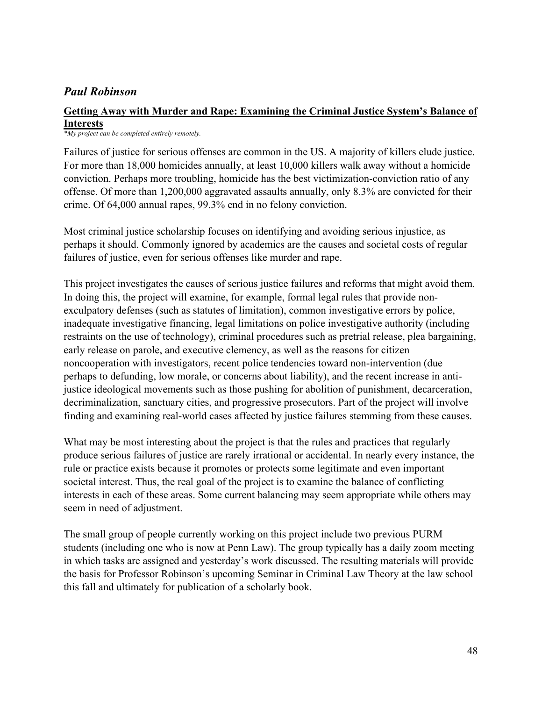## *Paul Robinson*

### **Getting Away with Murder and Rape: Examining the Criminal Justice System's Balance of Interests**

*\*My project can be completed entirely remotely.*

Failures of justice for serious offenses are common in the US. A majority of killers elude justice. For more than 18,000 homicides annually, at least 10,000 killers walk away without a homicide conviction. Perhaps more troubling, homicide has the best victimization-conviction ratio of any offense. Of more than 1,200,000 aggravated assaults annually, only 8.3% are convicted for their crime. Of 64,000 annual rapes, 99.3% end in no felony conviction.

Most criminal justice scholarship focuses on identifying and avoiding serious injustice, as perhaps it should. Commonly ignored by academics are the causes and societal costs of regular failures of justice, even for serious offenses like murder and rape.

This project investigates the causes of serious justice failures and reforms that might avoid them. In doing this, the project will examine, for example, formal legal rules that provide nonexculpatory defenses (such as statutes of limitation), common investigative errors by police, inadequate investigative financing, legal limitations on police investigative authority (including restraints on the use of technology), criminal procedures such as pretrial release, plea bargaining, early release on parole, and executive clemency, as well as the reasons for citizen noncooperation with investigators, recent police tendencies toward non-intervention (due perhaps to defunding, low morale, or concerns about liability), and the recent increase in antijustice ideological movements such as those pushing for abolition of punishment, decarceration, decriminalization, sanctuary cities, and progressive prosecutors. Part of the project will involve finding and examining real-world cases affected by justice failures stemming from these causes.

What may be most interesting about the project is that the rules and practices that regularly produce serious failures of justice are rarely irrational or accidental. In nearly every instance, the rule or practice exists because it promotes or protects some legitimate and even important societal interest. Thus, the real goal of the project is to examine the balance of conflicting interests in each of these areas. Some current balancing may seem appropriate while others may seem in need of adjustment.

The small group of people currently working on this project include two previous PURM students (including one who is now at Penn Law). The group typically has a daily zoom meeting in which tasks are assigned and yesterday's work discussed. The resulting materials will provide the basis for Professor Robinson's upcoming Seminar in Criminal Law Theory at the law school this fall and ultimately for publication of a scholarly book.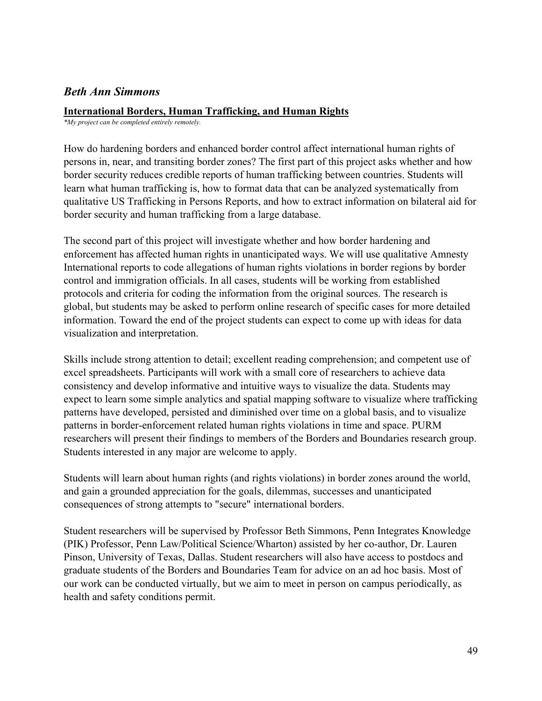## *Beth Ann Simmons*

#### **International Borders, Human Trafficking, and Human Rights**

*\*My project can be completed entirely remotely.*

How do hardening borders and enhanced border control affect international human rights of persons in, near, and transiting border zones? The first part of this project asks whether and how border security reduces credible reports of human trafficking between countries. Students will learn what human trafficking is, how to format data that can be analyzed systematically from qualitative US Trafficking in Persons Reports, and how to extract information on bilateral aid for border security and human trafficking from a large database.

The second part of this project will investigate whether and how border hardening and enforcement has affected human rights in unanticipated ways. We will use qualitative Amnesty International reports to code allegations of human rights violations in border regions by border control and immigration officials. In all cases, students will be working from established protocols and criteria for coding the information from the original sources. The research is global, but students may be asked to perform online research of specific cases for more detailed information. Toward the end of the project students can expect to come up with ideas for data visualization and interpretation.

Skills include strong attention to detail; excellent reading comprehension; and competent use of excel spreadsheets. Participants will work with a small core of researchers to achieve data consistency and develop informative and intuitive ways to visualize the data. Students may expect to learn some simple analytics and spatial mapping software to visualize where trafficking patterns have developed, persisted and diminished over time on a global basis, and to visualize patterns in border-enforcement related human rights violations in time and space. PURM researchers will present their findings to members of the Borders and Boundaries research group. Students interested in any major are welcome to apply.

Students will learn about human rights (and rights violations) in border zones around the world, and gain a grounded appreciation for the goals, dilemmas, successes and unanticipated consequences of strong attempts to "secure" international borders.

Student researchers will be supervised by Professor Beth Simmons, Penn Integrates Knowledge (PIK) Professor, Penn Law/Political Science/Wharton) assisted by her co-author, Dr. Lauren Pinson, University of Texas, Dallas. Student researchers will also have access to postdocs and graduate students of the Borders and Boundaries Team for advice on an ad hoc basis. Most of our work can be conducted virtually, but we aim to meet in person on campus periodically, as health and safety conditions permit.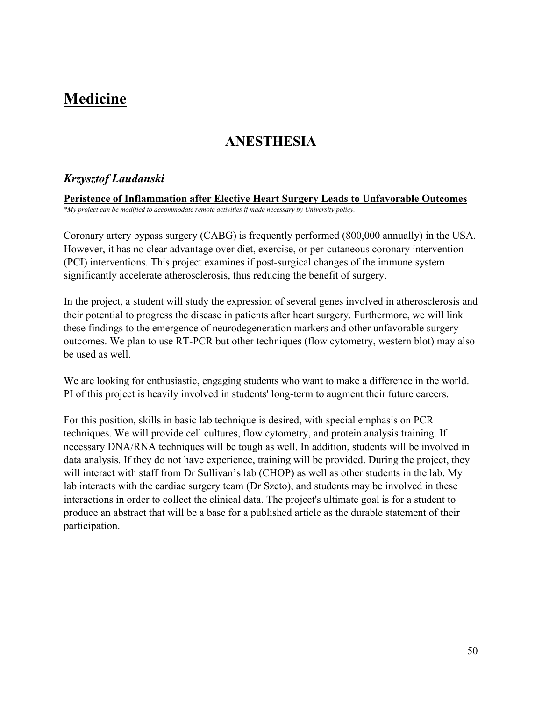# **Medicine**

# **ANESTHESIA**

## *Krzysztof Laudanski*

**Peristence of Inflammation after Elective Heart Surgery Leads to Unfavorable Outcomes** *\*My project can be modified to accommodate remote activities if made necessary by University policy.*

Coronary artery bypass surgery (CABG) is frequently performed (800,000 annually) in the USA. However, it has no clear advantage over diet, exercise, or per-cutaneous coronary intervention (PCI) interventions. This project examines if post-surgical changes of the immune system significantly accelerate atherosclerosis, thus reducing the benefit of surgery.

In the project, a student will study the expression of several genes involved in atherosclerosis and their potential to progress the disease in patients after heart surgery. Furthermore, we will link these findings to the emergence of neurodegeneration markers and other unfavorable surgery outcomes. We plan to use RT-PCR but other techniques (flow cytometry, western blot) may also be used as well.

We are looking for enthusiastic, engaging students who want to make a difference in the world. PI of this project is heavily involved in students' long-term to augment their future careers.

For this position, skills in basic lab technique is desired, with special emphasis on PCR techniques. We will provide cell cultures, flow cytometry, and protein analysis training. If necessary DNA/RNA techniques will be tough as well. In addition, students will be involved in data analysis. If they do not have experience, training will be provided. During the project, they will interact with staff from Dr Sullivan's lab (CHOP) as well as other students in the lab. My lab interacts with the cardiac surgery team (Dr Szeto), and students may be involved in these interactions in order to collect the clinical data. The project's ultimate goal is for a student to produce an abstract that will be a base for a published article as the durable statement of their participation.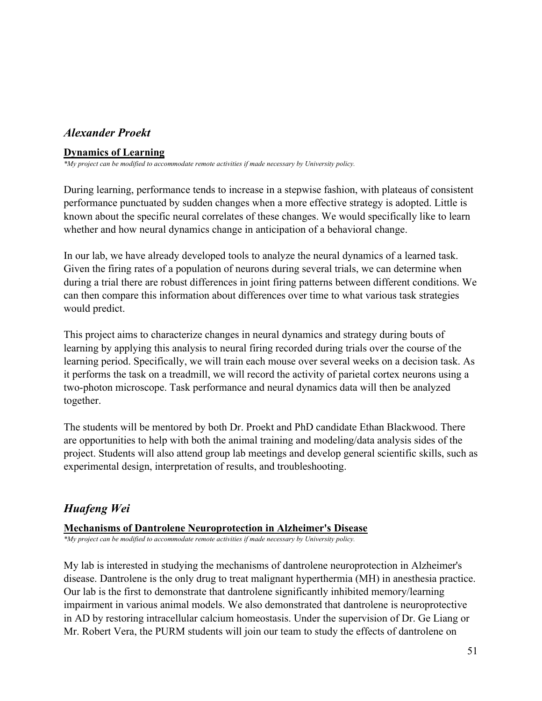# *Alexander Proekt*

## **Dynamics of Learning**

*\*My project can be modified to accommodate remote activities if made necessary by University policy.*

During learning, performance tends to increase in a stepwise fashion, with plateaus of consistent performance punctuated by sudden changes when a more effective strategy is adopted. Little is known about the specific neural correlates of these changes. We would specifically like to learn whether and how neural dynamics change in anticipation of a behavioral change.

In our lab, we have already developed tools to analyze the neural dynamics of a learned task. Given the firing rates of a population of neurons during several trials, we can determine when during a trial there are robust differences in joint firing patterns between different conditions. We can then compare this information about differences over time to what various task strategies would predict.

This project aims to characterize changes in neural dynamics and strategy during bouts of learning by applying this analysis to neural firing recorded during trials over the course of the learning period. Specifically, we will train each mouse over several weeks on a decision task. As it performs the task on a treadmill, we will record the activity of parietal cortex neurons using a two-photon microscope. Task performance and neural dynamics data will then be analyzed together.

The students will be mentored by both Dr. Proekt and PhD candidate Ethan Blackwood. There are opportunities to help with both the animal training and modeling/data analysis sides of the project. Students will also attend group lab meetings and develop general scientific skills, such as experimental design, interpretation of results, and troubleshooting.

# *Huafeng Wei*

## **Mechanisms of Dantrolene Neuroprotection in Alzheimer's Disease**

*\*My project can be modified to accommodate remote activities if made necessary by University policy.*

My lab is interested in studying the mechanisms of dantrolene neuroprotection in Alzheimer's disease. Dantrolene is the only drug to treat malignant hyperthermia (MH) in anesthesia practice. Our lab is the first to demonstrate that dantrolene significantly inhibited memory/learning impairment in various animal models. We also demonstrated that dantrolene is neuroprotective in AD by restoring intracellular calcium homeostasis. Under the supervision of Dr. Ge Liang or Mr. Robert Vera, the PURM students will join our team to study the effects of dantrolene on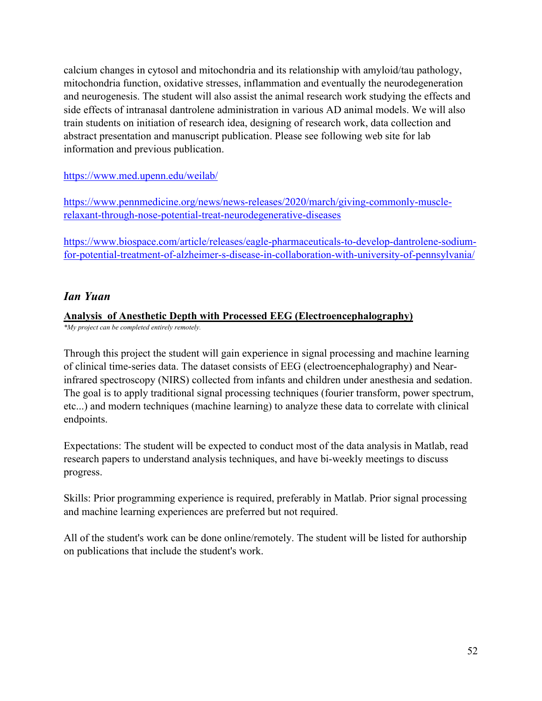calcium changes in cytosol and mitochondria and its relationship with amyloid/tau pathology, mitochondria function, oxidative stresses, inflammation and eventually the neurodegeneration and neurogenesis. The student will also assist the animal research work studying the effects and side effects of intranasal dantrolene administration in various AD animal models. We will also train students on initiation of research idea, designing of research work, data collection and abstract presentation and manuscript publication. Please see following web site for lab information and previous publication.

<https://www.med.upenn.edu/weilab/>

[https://www.pennmedicine.org/news/news-releases/2020/march/giving-commonly-muscle](https://www.pennmedicine.org/news/news-releases/2020/march/giving-commonly-muscle-relaxant-through-nose-potential-treat-neurodegenerative-diseases)[relaxant-through-nose-potential-treat-neurodegenerative-diseases](https://www.pennmedicine.org/news/news-releases/2020/march/giving-commonly-muscle-relaxant-through-nose-potential-treat-neurodegenerative-diseases)

[https://www.biospace.com/article/releases/eagle-pharmaceuticals-to-develop-dantrolene-sodium](https://www.biospace.com/article/releases/eagle-pharmaceuticals-to-develop-dantrolene-sodium-for-potential-treatment-of-alzheimer-s-disease-in-collaboration-with-university-of-pennsylvania/)[for-potential-treatment-of-alzheimer-s-disease-in-collaboration-with-university-of-pennsylvania/](https://www.biospace.com/article/releases/eagle-pharmaceuticals-to-develop-dantrolene-sodium-for-potential-treatment-of-alzheimer-s-disease-in-collaboration-with-university-of-pennsylvania/)

# *Ian Yuan*

## **Analysis of Anesthetic Depth with Processed EEG (Electroencephalography)**

*\*My project can be completed entirely remotely.*

Through this project the student will gain experience in signal processing and machine learning of clinical time-series data. The dataset consists of EEG (electroencephalography) and Nearinfrared spectroscopy (NIRS) collected from infants and children under anesthesia and sedation. The goal is to apply traditional signal processing techniques (fourier transform, power spectrum, etc...) and modern techniques (machine learning) to analyze these data to correlate with clinical endpoints.

Expectations: The student will be expected to conduct most of the data analysis in Matlab, read research papers to understand analysis techniques, and have bi-weekly meetings to discuss progress.

Skills: Prior programming experience is required, preferably in Matlab. Prior signal processing and machine learning experiences are preferred but not required.

All of the student's work can be done online/remotely. The student will be listed for authorship on publications that include the student's work.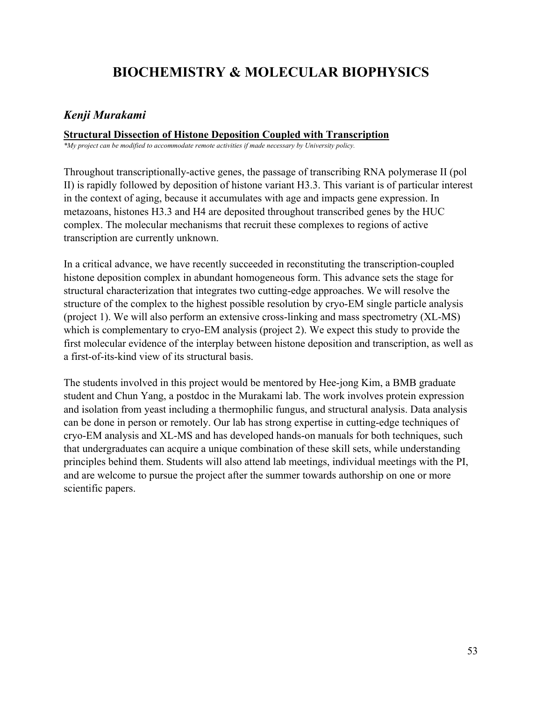# **BIOCHEMISTRY & MOLECULAR BIOPHYSICS**

## *Kenji Murakami*

## **Structural Dissection of Histone Deposition Coupled with Transcription**

*\*My project can be modified to accommodate remote activities if made necessary by University policy.*

Throughout transcriptionally-active genes, the passage of transcribing RNA polymerase II (pol II) is rapidly followed by deposition of histone variant H3.3. This variant is of particular interest in the context of aging, because it accumulates with age and impacts gene expression. In metazoans, histones H3.3 and H4 are deposited throughout transcribed genes by the HUC complex. The molecular mechanisms that recruit these complexes to regions of active transcription are currently unknown.

In a critical advance, we have recently succeeded in reconstituting the transcription-coupled histone deposition complex in abundant homogeneous form. This advance sets the stage for structural characterization that integrates two cutting-edge approaches. We will resolve the structure of the complex to the highest possible resolution by cryo-EM single particle analysis (project 1). We will also perform an extensive cross-linking and mass spectrometry (XL-MS) which is complementary to cryo-EM analysis (project 2). We expect this study to provide the first molecular evidence of the interplay between histone deposition and transcription, as well as a first-of-its-kind view of its structural basis.

The students involved in this project would be mentored by Hee-jong Kim, a BMB graduate student and Chun Yang, a postdoc in the Murakami lab. The work involves protein expression and isolation from yeast including a thermophilic fungus, and structural analysis. Data analysis can be done in person or remotely. Our lab has strong expertise in cutting-edge techniques of cryo-EM analysis and XL-MS and has developed hands-on manuals for both techniques, such that undergraduates can acquire a unique combination of these skill sets, while understanding principles behind them. Students will also attend lab meetings, individual meetings with the PI, and are welcome to pursue the project after the summer towards authorship on one or more scientific papers.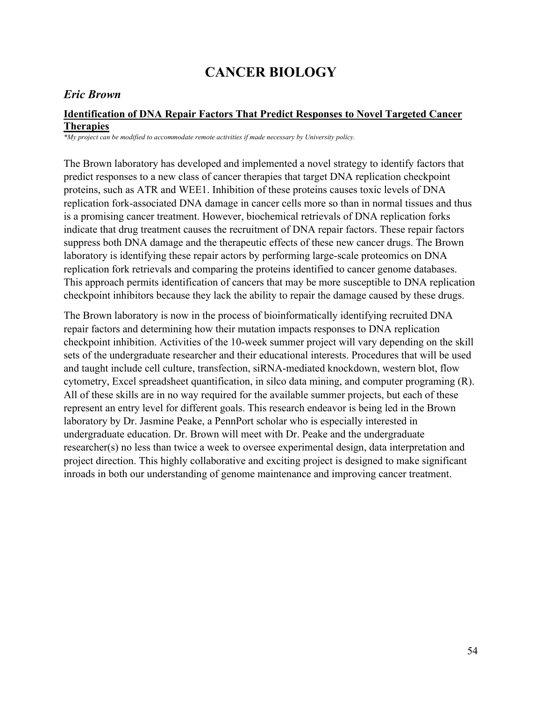# **CANCER BIOLOGY**

## *Eric Brown*

## **Identification of DNA Repair Factors That Predict Responses to Novel Targeted Cancer Therapies**

*\*My project can be modified to accommodate remote activities if made necessary by University policy.*

The Brown laboratory has developed and implemented a novel strategy to identify factors that predict responses to a new class of cancer therapies that target DNA replication checkpoint proteins, such as ATR and WEE1. Inhibition of these proteins causes toxic levels of DNA replication fork-associated DNA damage in cancer cells more so than in normal tissues and thus is a promising cancer treatment. However, biochemical retrievals of DNA replication forks indicate that drug treatment causes the recruitment of DNA repair factors. These repair factors suppress both DNA damage and the therapeutic effects of these new cancer drugs. The Brown laboratory is identifying these repair actors by performing large-scale proteomics on DNA replication fork retrievals and comparing the proteins identified to cancer genome databases. This approach permits identification of cancers that may be more susceptible to DNA replication checkpoint inhibitors because they lack the ability to repair the damage caused by these drugs.

The Brown laboratory is now in the process of bioinformatically identifying recruited DNA repair factors and determining how their mutation impacts responses to DNA replication checkpoint inhibition. Activities of the 10-week summer project will vary depending on the skill sets of the undergraduate researcher and their educational interests. Procedures that will be used and taught include cell culture, transfection, siRNA-mediated knockdown, western blot, flow cytometry, Excel spreadsheet quantification, in silco data mining, and computer programing (R). All of these skills are in no way required for the available summer projects, but each of these represent an entry level for different goals. This research endeavor is being led in the Brown laboratory by Dr. Jasmine Peake, a PennPort scholar who is especially interested in undergraduate education. Dr. Brown will meet with Dr. Peake and the undergraduate researcher(s) no less than twice a week to oversee experimental design, data interpretation and project direction. This highly collaborative and exciting project is designed to make significant inroads in both our understanding of genome maintenance and improving cancer treatment.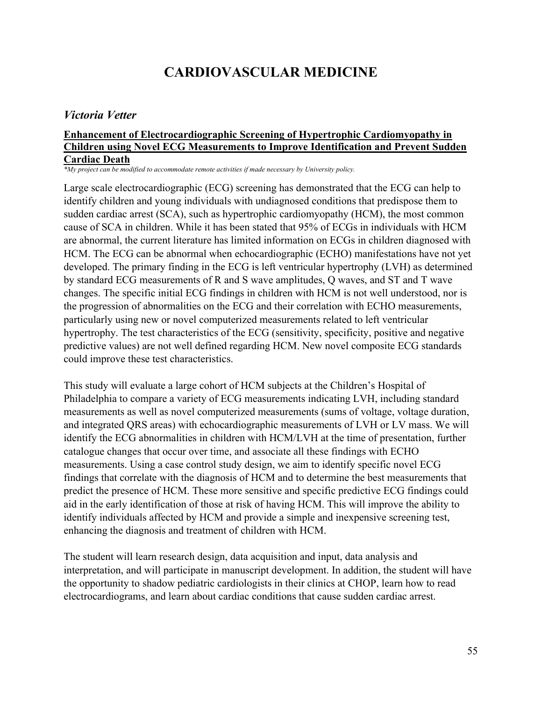# **CARDIOVASCULAR MEDICINE**

## *Victoria Vetter*

#### **Enhancement of Electrocardiographic Screening of Hypertrophic Cardiomyopathy in Children using Novel ECG Measurements to Improve Identification and Prevent Sudden Cardiac Death**

*\*My project can be modified to accommodate remote activities if made necessary by University policy.*

Large scale electrocardiographic (ECG) screening has demonstrated that the ECG can help to identify children and young individuals with undiagnosed conditions that predispose them to sudden cardiac arrest (SCA), such as hypertrophic cardiomyopathy (HCM), the most common cause of SCA in children. While it has been stated that 95% of ECGs in individuals with HCM are abnormal, the current literature has limited information on ECGs in children diagnosed with HCM. The ECG can be abnormal when echocardiographic (ECHO) manifestations have not yet developed. The primary finding in the ECG is left ventricular hypertrophy (LVH) as determined by standard ECG measurements of R and S wave amplitudes, Q waves, and ST and T wave changes. The specific initial ECG findings in children with HCM is not well understood, nor is the progression of abnormalities on the ECG and their correlation with ECHO measurements, particularly using new or novel computerized measurements related to left ventricular hypertrophy. The test characteristics of the ECG (sensitivity, specificity, positive and negative predictive values) are not well defined regarding HCM. New novel composite ECG standards could improve these test characteristics.

This study will evaluate a large cohort of HCM subjects at the Children's Hospital of Philadelphia to compare a variety of ECG measurements indicating LVH, including standard measurements as well as novel computerized measurements (sums of voltage, voltage duration, and integrated QRS areas) with echocardiographic measurements of LVH or LV mass. We will identify the ECG abnormalities in children with HCM/LVH at the time of presentation, further catalogue changes that occur over time, and associate all these findings with ECHO measurements. Using a case control study design, we aim to identify specific novel ECG findings that correlate with the diagnosis of HCM and to determine the best measurements that predict the presence of HCM. These more sensitive and specific predictive ECG findings could aid in the early identification of those at risk of having HCM. This will improve the ability to identify individuals affected by HCM and provide a simple and inexpensive screening test, enhancing the diagnosis and treatment of children with HCM.

The student will learn research design, data acquisition and input, data analysis and interpretation, and will participate in manuscript development. In addition, the student will have the opportunity to shadow pediatric cardiologists in their clinics at CHOP, learn how to read electrocardiograms, and learn about cardiac conditions that cause sudden cardiac arrest.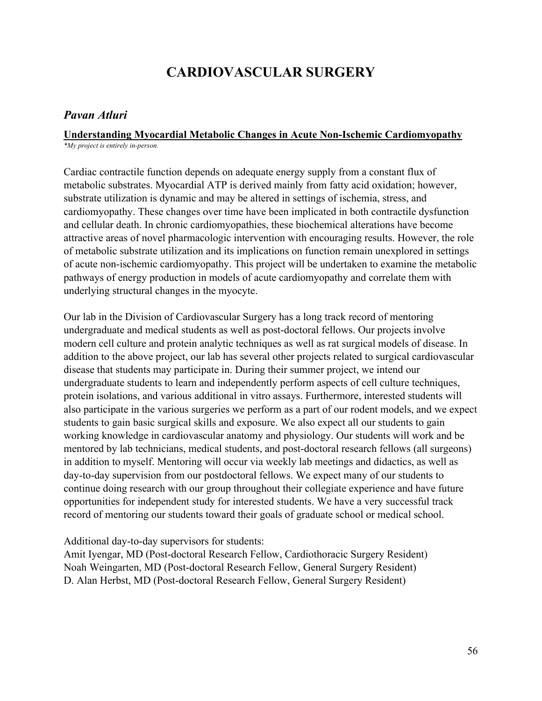# **CARDIOVASCULAR SURGERY**

### *Pavan Atluri*

## **Understanding Myocardial Metabolic Changes in Acute Non-Ischemic Cardiomyopathy**

*\*My project is entirely in-person.*

Cardiac contractile function depends on adequate energy supply from a constant flux of metabolic substrates. Myocardial ATP is derived mainly from fatty acid oxidation; however, substrate utilization is dynamic and may be altered in settings of ischemia, stress, and cardiomyopathy. These changes over time have been implicated in both contractile dysfunction and cellular death. In chronic cardiomyopathies, these biochemical alterations have become attractive areas of novel pharmacologic intervention with encouraging results. However, the role of metabolic substrate utilization and its implications on function remain unexplored in settings of acute non-ischemic cardiomyopathy. This project will be undertaken to examine the metabolic pathways of energy production in models of acute cardiomyopathy and correlate them with underlying structural changes in the myocyte.

Our lab in the Division of Cardiovascular Surgery has a long track record of mentoring undergraduate and medical students as well as post-doctoral fellows. Our projects involve modern cell culture and protein analytic techniques as well as rat surgical models of disease. In addition to the above project, our lab has several other projects related to surgical cardiovascular disease that students may participate in. During their summer project, we intend our undergraduate students to learn and independently perform aspects of cell culture techniques, protein isolations, and various additional in vitro assays. Furthermore, interested students will also participate in the various surgeries we perform as a part of our rodent models, and we expect students to gain basic surgical skills and exposure. We also expect all our students to gain working knowledge in cardiovascular anatomy and physiology. Our students will work and be mentored by lab technicians, medical students, and post-doctoral research fellows (all surgeons) in addition to myself. Mentoring will occur via weekly lab meetings and didactics, as well as day-to-day supervision from our postdoctoral fellows. We expect many of our students to continue doing research with our group throughout their collegiate experience and have future opportunities for independent study for interested students. We have a very successful track record of mentoring our students toward their goals of graduate school or medical school.

#### Additional day-to-day supervisors for students:

Amit Iyengar, MD (Post-doctoral Research Fellow, Cardiothoracic Surgery Resident) Noah Weingarten, MD (Post-doctoral Research Fellow, General Surgery Resident) D. Alan Herbst, MD (Post-doctoral Research Fellow, General Surgery Resident)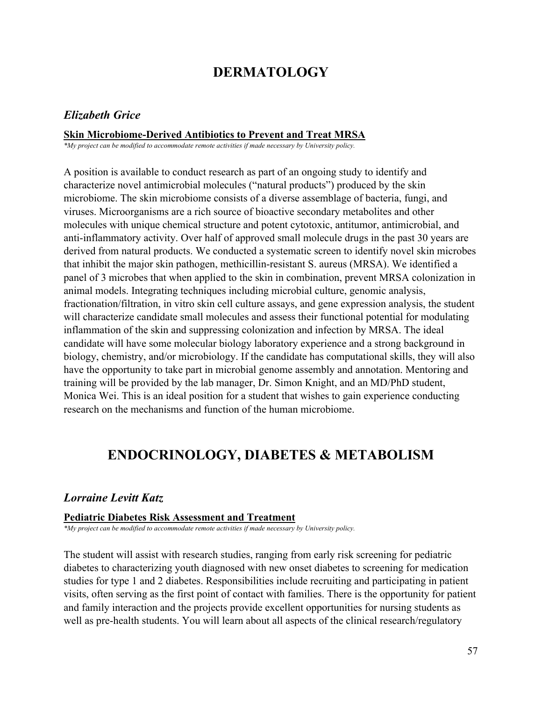# **DERMATOLOGY**

#### *Elizabeth Grice*

#### **Skin Microbiome-Derived Antibiotics to Prevent and Treat MRSA**

*\*My project can be modified to accommodate remote activities if made necessary by University policy.*

A position is available to conduct research as part of an ongoing study to identify and characterize novel antimicrobial molecules ("natural products") produced by the skin microbiome. The skin microbiome consists of a diverse assemblage of bacteria, fungi, and viruses. Microorganisms are a rich source of bioactive secondary metabolites and other molecules with unique chemical structure and potent cytotoxic, antitumor, antimicrobial, and anti-inflammatory activity. Over half of approved small molecule drugs in the past 30 years are derived from natural products. We conducted a systematic screen to identify novel skin microbes that inhibit the major skin pathogen, methicillin-resistant S. aureus (MRSA). We identified a panel of 3 microbes that when applied to the skin in combination, prevent MRSA colonization in animal models. Integrating techniques including microbial culture, genomic analysis, fractionation/filtration, in vitro skin cell culture assays, and gene expression analysis, the student will characterize candidate small molecules and assess their functional potential for modulating inflammation of the skin and suppressing colonization and infection by MRSA. The ideal candidate will have some molecular biology laboratory experience and a strong background in biology, chemistry, and/or microbiology. If the candidate has computational skills, they will also have the opportunity to take part in microbial genome assembly and annotation. Mentoring and training will be provided by the lab manager, Dr. Simon Knight, and an MD/PhD student, Monica Wei. This is an ideal position for a student that wishes to gain experience conducting research on the mechanisms and function of the human microbiome.

# **ENDOCRINOLOGY, DIABETES & METABOLISM**

## *Lorraine Levitt Katz*

#### **Pediatric Diabetes Risk Assessment and Treatment**

*\*My project can be modified to accommodate remote activities if made necessary by University policy.*

The student will assist with research studies, ranging from early risk screening for pediatric diabetes to characterizing youth diagnosed with new onset diabetes to screening for medication studies for type 1 and 2 diabetes. Responsibilities include recruiting and participating in patient visits, often serving as the first point of contact with families. There is the opportunity for patient and family interaction and the projects provide excellent opportunities for nursing students as well as pre-health students. You will learn about all aspects of the clinical research/regulatory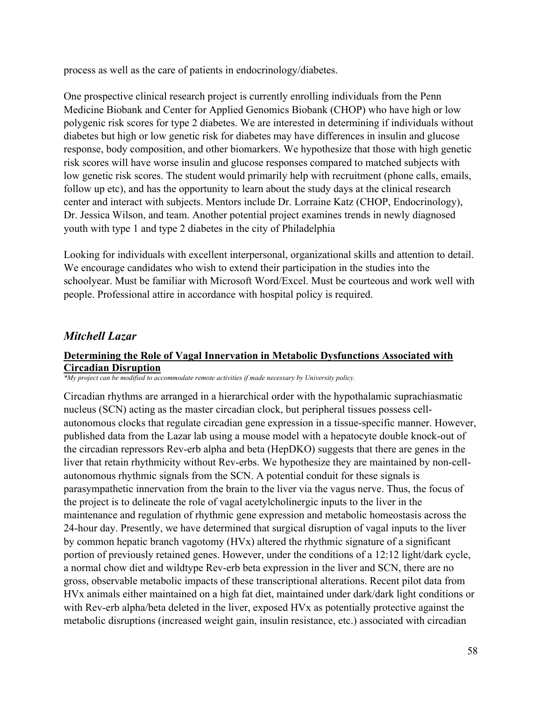process as well as the care of patients in endocrinology/diabetes.

One prospective clinical research project is currently enrolling individuals from the Penn Medicine Biobank and Center for Applied Genomics Biobank (CHOP) who have high or low polygenic risk scores for type 2 diabetes. We are interested in determining if individuals without diabetes but high or low genetic risk for diabetes may have differences in insulin and glucose response, body composition, and other biomarkers. We hypothesize that those with high genetic risk scores will have worse insulin and glucose responses compared to matched subjects with low genetic risk scores. The student would primarily help with recruitment (phone calls, emails, follow up etc), and has the opportunity to learn about the study days at the clinical research center and interact with subjects. Mentors include Dr. Lorraine Katz (CHOP, Endocrinology), Dr. Jessica Wilson, and team. Another potential project examines trends in newly diagnosed youth with type 1 and type 2 diabetes in the city of Philadelphia

Looking for individuals with excellent interpersonal, organizational skills and attention to detail. We encourage candidates who wish to extend their participation in the studies into the schoolyear. Must be familiar with Microsoft Word/Excel. Must be courteous and work well with people. Professional attire in accordance with hospital policy is required.

## *Mitchell Lazar*

## **Determining the Role of Vagal Innervation in Metabolic Dysfunctions Associated with Circadian Disruption**

*\*My project can be modified to accommodate remote activities if made necessary by University policy.*

Circadian rhythms are arranged in a hierarchical order with the hypothalamic suprachiasmatic nucleus (SCN) acting as the master circadian clock, but peripheral tissues possess cellautonomous clocks that regulate circadian gene expression in a tissue-specific manner. However, published data from the Lazar lab using a mouse model with a hepatocyte double knock-out of the circadian repressors Rev-erb alpha and beta (HepDKO) suggests that there are genes in the liver that retain rhythmicity without Rev-erbs. We hypothesize they are maintained by non-cellautonomous rhythmic signals from the SCN. A potential conduit for these signals is parasympathetic innervation from the brain to the liver via the vagus nerve. Thus, the focus of the project is to delineate the role of vagal acetylcholinergic inputs to the liver in the maintenance and regulation of rhythmic gene expression and metabolic homeostasis across the 24-hour day. Presently, we have determined that surgical disruption of vagal inputs to the liver by common hepatic branch vagotomy (HVx) altered the rhythmic signature of a significant portion of previously retained genes. However, under the conditions of a 12:12 light/dark cycle, a normal chow diet and wildtype Rev-erb beta expression in the liver and SCN, there are no gross, observable metabolic impacts of these transcriptional alterations. Recent pilot data from HVx animals either maintained on a high fat diet, maintained under dark/dark light conditions or with Rev-erb alpha/beta deleted in the liver, exposed HVx as potentially protective against the metabolic disruptions (increased weight gain, insulin resistance, etc.) associated with circadian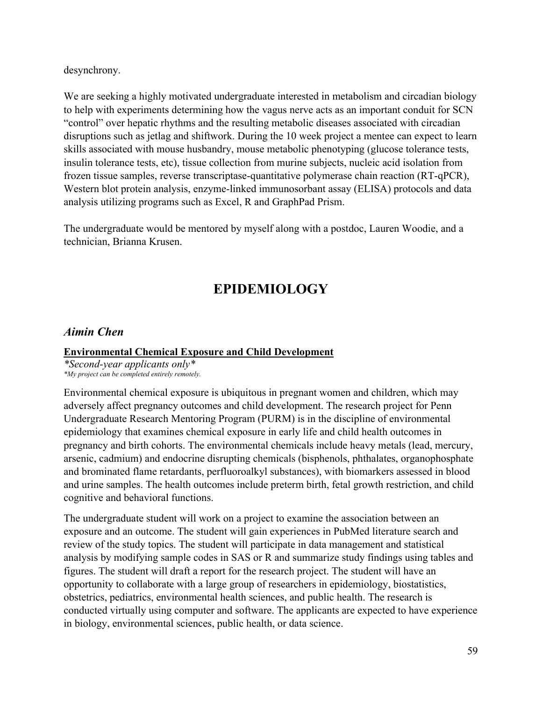desynchrony.

We are seeking a highly motivated undergraduate interested in metabolism and circadian biology to help with experiments determining how the vagus nerve acts as an important conduit for SCN "control" over hepatic rhythms and the resulting metabolic diseases associated with circadian disruptions such as jetlag and shiftwork. During the 10 week project a mentee can expect to learn skills associated with mouse husbandry, mouse metabolic phenotyping (glucose tolerance tests, insulin tolerance tests, etc), tissue collection from murine subjects, nucleic acid isolation from frozen tissue samples, reverse transcriptase-quantitative polymerase chain reaction (RT-qPCR), Western blot protein analysis, enzyme-linked immunosorbant assay (ELISA) protocols and data analysis utilizing programs such as Excel, R and GraphPad Prism.

The undergraduate would be mentored by myself along with a postdoc, Lauren Woodie, and a technician, Brianna Krusen.

# **EPIDEMIOLOGY**

## *Aimin Chen*

#### **Environmental Chemical Exposure and Child Development**

*\*Second-year applicants only\* \*My project can be completed entirely remotely.*

Environmental chemical exposure is ubiquitous in pregnant women and children, which may adversely affect pregnancy outcomes and child development. The research project for Penn Undergraduate Research Mentoring Program (PURM) is in the discipline of environmental epidemiology that examines chemical exposure in early life and child health outcomes in pregnancy and birth cohorts. The environmental chemicals include heavy metals (lead, mercury, arsenic, cadmium) and endocrine disrupting chemicals (bisphenols, phthalates, organophosphate and brominated flame retardants, perfluoroalkyl substances), with biomarkers assessed in blood and urine samples. The health outcomes include preterm birth, fetal growth restriction, and child cognitive and behavioral functions.

The undergraduate student will work on a project to examine the association between an exposure and an outcome. The student will gain experiences in PubMed literature search and review of the study topics. The student will participate in data management and statistical analysis by modifying sample codes in SAS or R and summarize study findings using tables and figures. The student will draft a report for the research project. The student will have an opportunity to collaborate with a large group of researchers in epidemiology, biostatistics, obstetrics, pediatrics, environmental health sciences, and public health. The research is conducted virtually using computer and software. The applicants are expected to have experience in biology, environmental sciences, public health, or data science.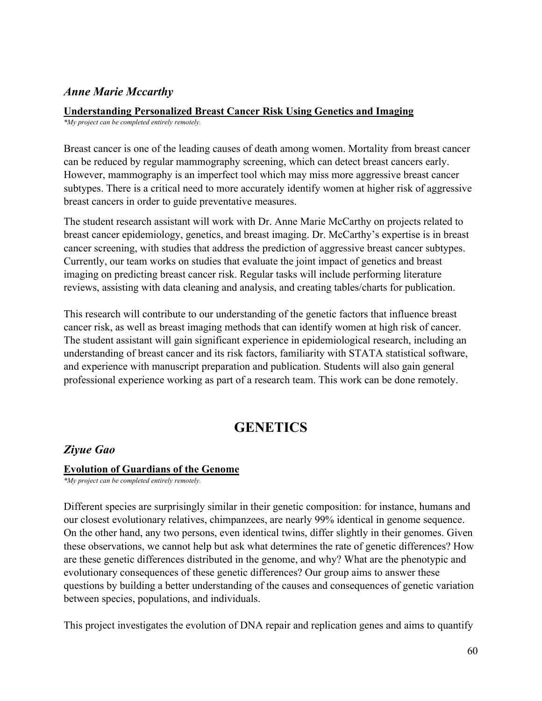# *Anne Marie Mccarthy*

## **Understanding Personalized Breast Cancer Risk Using Genetics and Imaging**

*\*My project can be completed entirely remotely.*

Breast cancer is one of the leading causes of death among women. Mortality from breast cancer can be reduced by regular mammography screening, which can detect breast cancers early. However, mammography is an imperfect tool which may miss more aggressive breast cancer subtypes. There is a critical need to more accurately identify women at higher risk of aggressive breast cancers in order to guide preventative measures.

The student research assistant will work with Dr. Anne Marie McCarthy on projects related to breast cancer epidemiology, genetics, and breast imaging. Dr. McCarthy's expertise is in breast cancer screening, with studies that address the prediction of aggressive breast cancer subtypes. Currently, our team works on studies that evaluate the joint impact of genetics and breast imaging on predicting breast cancer risk. Regular tasks will include performing literature reviews, assisting with data cleaning and analysis, and creating tables/charts for publication.

This research will contribute to our understanding of the genetic factors that influence breast cancer risk, as well as breast imaging methods that can identify women at high risk of cancer. The student assistant will gain significant experience in epidemiological research, including an understanding of breast cancer and its risk factors, familiarity with STATA statistical software, and experience with manuscript preparation and publication. Students will also gain general professional experience working as part of a research team. This work can be done remotely.

# **GENETICS**

## *Ziyue Gao*

#### **Evolution of Guardians of the Genome**

*\*My project can be completed entirely remotely.*

Different species are surprisingly similar in their genetic composition: for instance, humans and our closest evolutionary relatives, chimpanzees, are nearly 99% identical in genome sequence. On the other hand, any two persons, even identical twins, differ slightly in their genomes. Given these observations, we cannot help but ask what determines the rate of genetic differences? How are these genetic differences distributed in the genome, and why? What are the phenotypic and evolutionary consequences of these genetic differences? Our group aims to answer these questions by building a better understanding of the causes and consequences of genetic variation between species, populations, and individuals.

This project investigates the evolution of DNA repair and replication genes and aims to quantify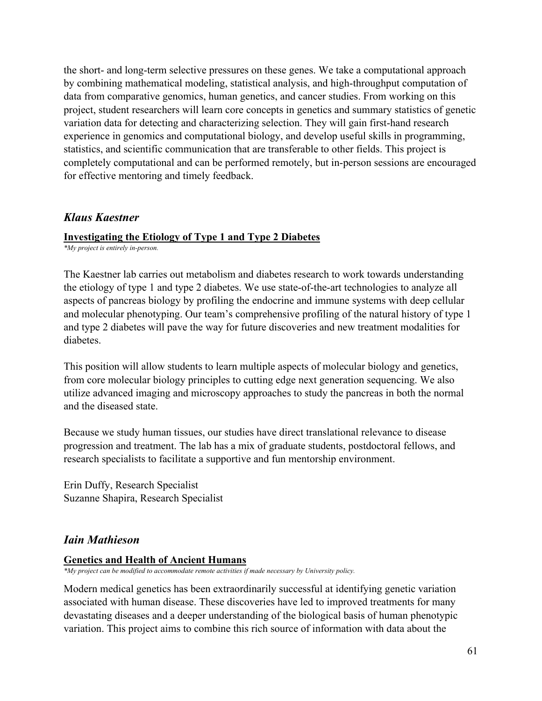the short- and long-term selective pressures on these genes. We take a computational approach by combining mathematical modeling, statistical analysis, and high-throughput computation of data from comparative genomics, human genetics, and cancer studies. From working on this project, student researchers will learn core concepts in genetics and summary statistics of genetic variation data for detecting and characterizing selection. They will gain first-hand research experience in genomics and computational biology, and develop useful skills in programming, statistics, and scientific communication that are transferable to other fields. This project is completely computational and can be performed remotely, but in-person sessions are encouraged for effective mentoring and timely feedback.

## *Klaus Kaestner*

#### **Investigating the Etiology of Type 1 and Type 2 Diabetes**

*\*My project is entirely in-person.*

The Kaestner lab carries out metabolism and diabetes research to work towards understanding the etiology of type 1 and type 2 diabetes. We use state-of-the-art technologies to analyze all aspects of pancreas biology by profiling the endocrine and immune systems with deep cellular and molecular phenotyping. Our team's comprehensive profiling of the natural history of type 1 and type 2 diabetes will pave the way for future discoveries and new treatment modalities for diabetes.

This position will allow students to learn multiple aspects of molecular biology and genetics, from core molecular biology principles to cutting edge next generation sequencing. We also utilize advanced imaging and microscopy approaches to study the pancreas in both the normal and the diseased state.

Because we study human tissues, our studies have direct translational relevance to disease progression and treatment. The lab has a mix of graduate students, postdoctoral fellows, and research specialists to facilitate a supportive and fun mentorship environment.

Erin Duffy, Research Specialist Suzanne Shapira, Research Specialist

## *Iain Mathieson*

#### **Genetics and Health of Ancient Humans**

*\*My project can be modified to accommodate remote activities if made necessary by University policy.*

Modern medical genetics has been extraordinarily successful at identifying genetic variation associated with human disease. These discoveries have led to improved treatments for many devastating diseases and a deeper understanding of the biological basis of human phenotypic variation. This project aims to combine this rich source of information with data about the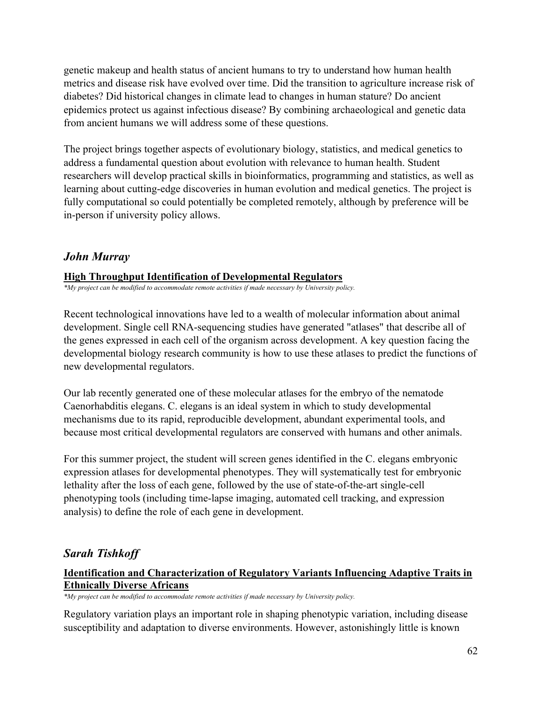genetic makeup and health status of ancient humans to try to understand how human health metrics and disease risk have evolved over time. Did the transition to agriculture increase risk of diabetes? Did historical changes in climate lead to changes in human stature? Do ancient epidemics protect us against infectious disease? By combining archaeological and genetic data from ancient humans we will address some of these questions.

The project brings together aspects of evolutionary biology, statistics, and medical genetics to address a fundamental question about evolution with relevance to human health. Student researchers will develop practical skills in bioinformatics, programming and statistics, as well as learning about cutting-edge discoveries in human evolution and medical genetics. The project is fully computational so could potentially be completed remotely, although by preference will be in-person if university policy allows.

## *John Murray*

#### **High Throughput Identification of Developmental Regulators**

*\*My project can be modified to accommodate remote activities if made necessary by University policy.*

Recent technological innovations have led to a wealth of molecular information about animal development. Single cell RNA-sequencing studies have generated "atlases" that describe all of the genes expressed in each cell of the organism across development. A key question facing the developmental biology research community is how to use these atlases to predict the functions of new developmental regulators.

Our lab recently generated one of these molecular atlases for the embryo of the nematode Caenorhabditis elegans. C. elegans is an ideal system in which to study developmental mechanisms due to its rapid, reproducible development, abundant experimental tools, and because most critical developmental regulators are conserved with humans and other animals.

For this summer project, the student will screen genes identified in the C. elegans embryonic expression atlases for developmental phenotypes. They will systematically test for embryonic lethality after the loss of each gene, followed by the use of state-of-the-art single-cell phenotyping tools (including time-lapse imaging, automated cell tracking, and expression analysis) to define the role of each gene in development.

# *Sarah Tishkoff*

## **Identification and Characterization of Regulatory Variants Influencing Adaptive Traits in Ethnically Diverse Africans**

*\*My project can be modified to accommodate remote activities if made necessary by University policy.*

Regulatory variation plays an important role in shaping phenotypic variation, including disease susceptibility and adaptation to diverse environments. However, astonishingly little is known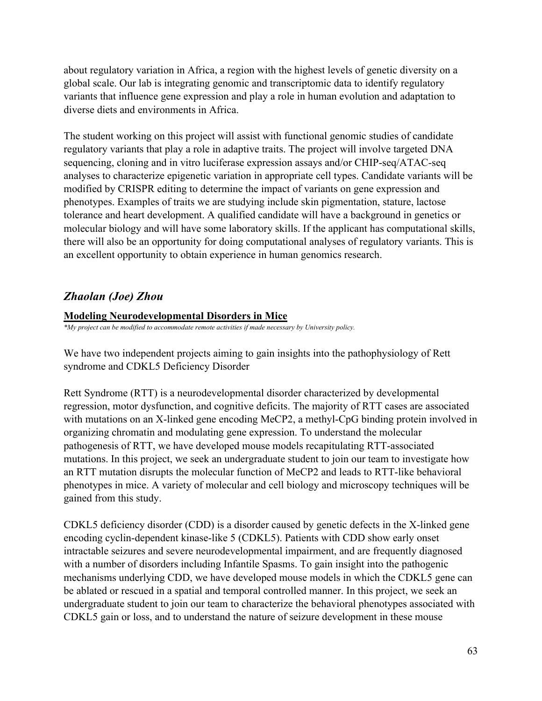about regulatory variation in Africa, a region with the highest levels of genetic diversity on a global scale. Our lab is integrating genomic and transcriptomic data to identify regulatory variants that influence gene expression and play a role in human evolution and adaptation to diverse diets and environments in Africa.

The student working on this project will assist with functional genomic studies of candidate regulatory variants that play a role in adaptive traits. The project will involve targeted DNA sequencing, cloning and in vitro luciferase expression assays and/or CHIP-seq/ATAC-seq analyses to characterize epigenetic variation in appropriate cell types. Candidate variants will be modified by CRISPR editing to determine the impact of variants on gene expression and phenotypes. Examples of traits we are studying include skin pigmentation, stature, lactose tolerance and heart development. A qualified candidate will have a background in genetics or molecular biology and will have some laboratory skills. If the applicant has computational skills, there will also be an opportunity for doing computational analyses of regulatory variants. This is an excellent opportunity to obtain experience in human genomics research.

# *Zhaolan (Joe) Zhou*

## **Modeling Neurodevelopmental Disorders in Mice**

*\*My project can be modified to accommodate remote activities if made necessary by University policy.*

We have two independent projects aiming to gain insights into the pathophysiology of Rett syndrome and CDKL5 Deficiency Disorder

Rett Syndrome (RTT) is a neurodevelopmental disorder characterized by developmental regression, motor dysfunction, and cognitive deficits. The majority of RTT cases are associated with mutations on an X-linked gene encoding MeCP2, a methyl-CpG binding protein involved in organizing chromatin and modulating gene expression. To understand the molecular pathogenesis of RTT, we have developed mouse models recapitulating RTT-associated mutations. In this project, we seek an undergraduate student to join our team to investigate how an RTT mutation disrupts the molecular function of MeCP2 and leads to RTT-like behavioral phenotypes in mice. A variety of molecular and cell biology and microscopy techniques will be gained from this study.

CDKL5 deficiency disorder (CDD) is a disorder caused by genetic defects in the X-linked gene encoding cyclin-dependent kinase-like 5 (CDKL5). Patients with CDD show early onset intractable seizures and severe neurodevelopmental impairment, and are frequently diagnosed with a number of disorders including Infantile Spasms. To gain insight into the pathogenic mechanisms underlying CDD, we have developed mouse models in which the CDKL5 gene can be ablated or rescued in a spatial and temporal controlled manner. In this project, we seek an undergraduate student to join our team to characterize the behavioral phenotypes associated with CDKL5 gain or loss, and to understand the nature of seizure development in these mouse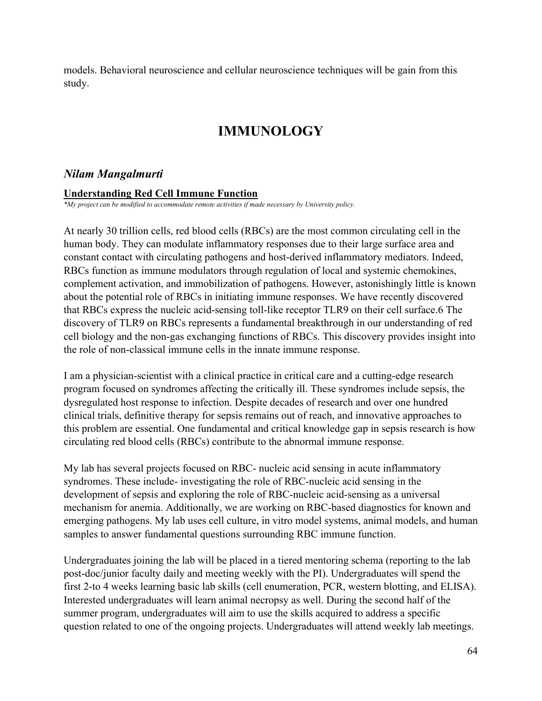models. Behavioral neuroscience and cellular neuroscience techniques will be gain from this study.

# **IMMUNOLOGY**

## *Nilam Mangalmurti*

#### **Understanding Red Cell Immune Function**

*\*My project can be modified to accommodate remote activities if made necessary by University policy.*

At nearly 30 trillion cells, red blood cells (RBCs) are the most common circulating cell in the human body. They can modulate inflammatory responses due to their large surface area and constant contact with circulating pathogens and host-derived inflammatory mediators. Indeed, RBCs function as immune modulators through regulation of local and systemic chemokines, complement activation, and immobilization of pathogens. However, astonishingly little is known about the potential role of RBCs in initiating immune responses. We have recently discovered that RBCs express the nucleic acid-sensing toll-like receptor TLR9 on their cell surface.6 The discovery of TLR9 on RBCs represents a fundamental breakthrough in our understanding of red cell biology and the non-gas exchanging functions of RBCs. This discovery provides insight into the role of non-classical immune cells in the innate immune response.

I am a physician-scientist with a clinical practice in critical care and a cutting-edge research program focused on syndromes affecting the critically ill. These syndromes include sepsis, the dysregulated host response to infection. Despite decades of research and over one hundred clinical trials, definitive therapy for sepsis remains out of reach, and innovative approaches to this problem are essential. One fundamental and critical knowledge gap in sepsis research is how circulating red blood cells (RBCs) contribute to the abnormal immune response.

My lab has several projects focused on RBC- nucleic acid sensing in acute inflammatory syndromes. These include- investigating the role of RBC-nucleic acid sensing in the development of sepsis and exploring the role of RBC-nucleic acid-sensing as a universal mechanism for anemia. Additionally, we are working on RBC-based diagnostics for known and emerging pathogens. My lab uses cell culture, in vitro model systems, animal models, and human samples to answer fundamental questions surrounding RBC immune function.

Undergraduates joining the lab will be placed in a tiered mentoring schema (reporting to the lab post-doc/junior faculty daily and meeting weekly with the PI). Undergraduates will spend the first 2-to 4 weeks learning basic lab skills (cell enumeration, PCR, western blotting, and ELISA). Interested undergraduates will learn animal necropsy as well. During the second half of the summer program, undergraduates will aim to use the skills acquired to address a specific question related to one of the ongoing projects. Undergraduates will attend weekly lab meetings.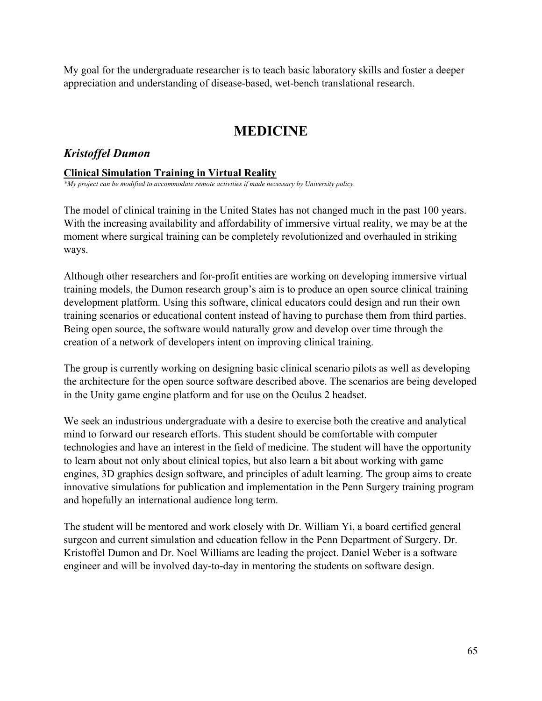My goal for the undergraduate researcher is to teach basic laboratory skills and foster a deeper appreciation and understanding of disease-based, wet-bench translational research.

# **MEDICINE**

## *Kristoffel Dumon*

#### **Clinical Simulation Training in Virtual Reality**

*\*My project can be modified to accommodate remote activities if made necessary by University policy.*

The model of clinical training in the United States has not changed much in the past 100 years. With the increasing availability and affordability of immersive virtual reality, we may be at the moment where surgical training can be completely revolutionized and overhauled in striking ways.

Although other researchers and for-profit entities are working on developing immersive virtual training models, the Dumon research group's aim is to produce an open source clinical training development platform. Using this software, clinical educators could design and run their own training scenarios or educational content instead of having to purchase them from third parties. Being open source, the software would naturally grow and develop over time through the creation of a network of developers intent on improving clinical training.

The group is currently working on designing basic clinical scenario pilots as well as developing the architecture for the open source software described above. The scenarios are being developed in the Unity game engine platform and for use on the Oculus 2 headset.

We seek an industrious undergraduate with a desire to exercise both the creative and analytical mind to forward our research efforts. This student should be comfortable with computer technologies and have an interest in the field of medicine. The student will have the opportunity to learn about not only about clinical topics, but also learn a bit about working with game engines, 3D graphics design software, and principles of adult learning. The group aims to create innovative simulations for publication and implementation in the Penn Surgery training program and hopefully an international audience long term.

The student will be mentored and work closely with Dr. William Yi, a board certified general surgeon and current simulation and education fellow in the Penn Department of Surgery. Dr. Kristoffel Dumon and Dr. Noel Williams are leading the project. Daniel Weber is a software engineer and will be involved day-to-day in mentoring the students on software design.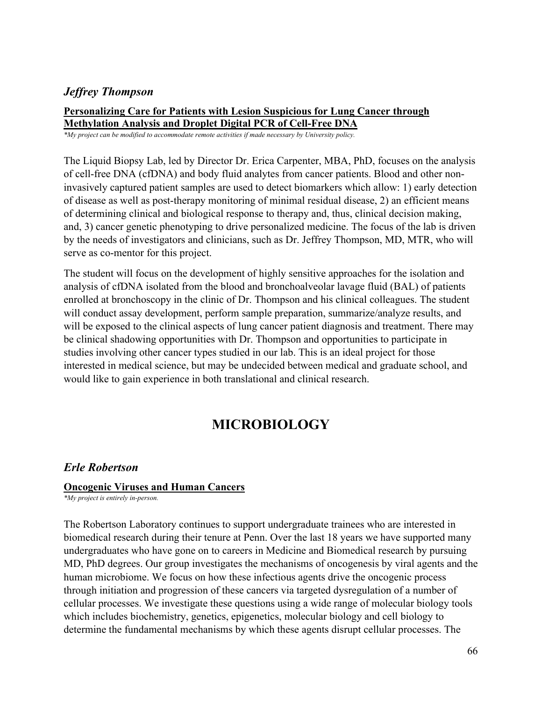## *Jeffrey Thompson*

#### **Personalizing Care for Patients with Lesion Suspicious for Lung Cancer through Methylation Analysis and Droplet Digital PCR of Cell-Free DNA**

*\*My project can be modified to accommodate remote activities if made necessary by University policy.*

The Liquid Biopsy Lab, led by Director Dr. Erica Carpenter, MBA, PhD, focuses on the analysis of cell-free DNA (cfDNA) and body fluid analytes from cancer patients. Blood and other noninvasively captured patient samples are used to detect biomarkers which allow: 1) early detection of disease as well as post-therapy monitoring of minimal residual disease, 2) an efficient means of determining clinical and biological response to therapy and, thus, clinical decision making, and, 3) cancer genetic phenotyping to drive personalized medicine. The focus of the lab is driven by the needs of investigators and clinicians, such as Dr. Jeffrey Thompson, MD, MTR, who will serve as co-mentor for this project.

The student will focus on the development of highly sensitive approaches for the isolation and analysis of cfDNA isolated from the blood and bronchoalveolar lavage fluid (BAL) of patients enrolled at bronchoscopy in the clinic of Dr. Thompson and his clinical colleagues. The student will conduct assay development, perform sample preparation, summarize/analyze results, and will be exposed to the clinical aspects of lung cancer patient diagnosis and treatment. There may be clinical shadowing opportunities with Dr. Thompson and opportunities to participate in studies involving other cancer types studied in our lab. This is an ideal project for those interested in medical science, but may be undecided between medical and graduate school, and would like to gain experience in both translational and clinical research.

# **MICROBIOLOGY**

## *Erle Robertson*

#### **Oncogenic Viruses and Human Cancers**

*\*My project is entirely in-person.*

The Robertson Laboratory continues to support undergraduate trainees who are interested in biomedical research during their tenure at Penn. Over the last 18 years we have supported many undergraduates who have gone on to careers in Medicine and Biomedical research by pursuing MD, PhD degrees. Our group investigates the mechanisms of oncogenesis by viral agents and the human microbiome. We focus on how these infectious agents drive the oncogenic process through initiation and progression of these cancers via targeted dysregulation of a number of cellular processes. We investigate these questions using a wide range of molecular biology tools which includes biochemistry, genetics, epigenetics, molecular biology and cell biology to determine the fundamental mechanisms by which these agents disrupt cellular processes. The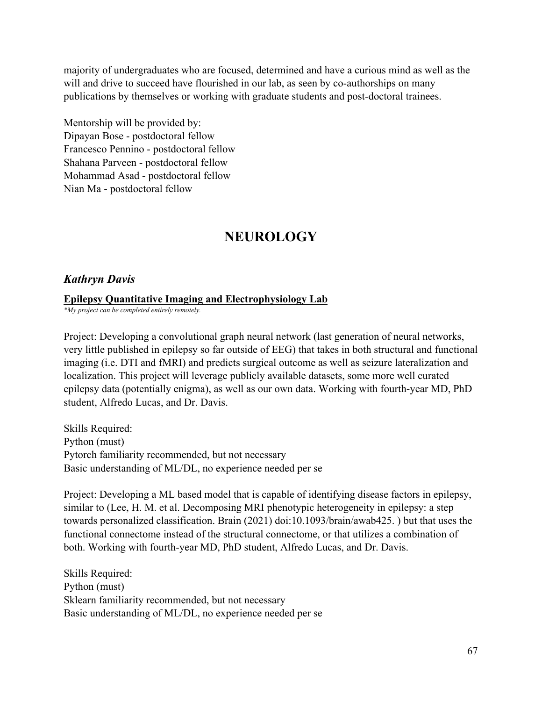majority of undergraduates who are focused, determined and have a curious mind as well as the will and drive to succeed have flourished in our lab, as seen by co-authorships on many publications by themselves or working with graduate students and post-doctoral trainees.

Mentorship will be provided by: Dipayan Bose - postdoctoral fellow Francesco Pennino - postdoctoral fellow Shahana Parveen - postdoctoral fellow Mohammad Asad - postdoctoral fellow Nian Ma - postdoctoral fellow

# **NEUROLOGY**

## *Kathryn Davis*

#### **Epilepsy Quantitative Imaging and Electrophysiology Lab**

*\*My project can be completed entirely remotely.*

Project: Developing a convolutional graph neural network (last generation of neural networks, very little published in epilepsy so far outside of EEG) that takes in both structural and functional imaging (i.e. DTI and fMRI) and predicts surgical outcome as well as seizure lateralization and localization. This project will leverage publicly available datasets, some more well curated epilepsy data (potentially enigma), as well as our own data. Working with fourth-year MD, PhD student, Alfredo Lucas, and Dr. Davis.

Skills Required: Python (must) Pytorch familiarity recommended, but not necessary Basic understanding of ML/DL, no experience needed per se

Project: Developing a ML based model that is capable of identifying disease factors in epilepsy, similar to (Lee, H. M. et al. Decomposing MRI phenotypic heterogeneity in epilepsy: a step towards personalized classification. Brain (2021) doi:10.1093/brain/awab425. ) but that uses the functional connectome instead of the structural connectome, or that utilizes a combination of both. Working with fourth-year MD, PhD student, Alfredo Lucas, and Dr. Davis.

Skills Required: Python (must) Sklearn familiarity recommended, but not necessary Basic understanding of ML/DL, no experience needed per se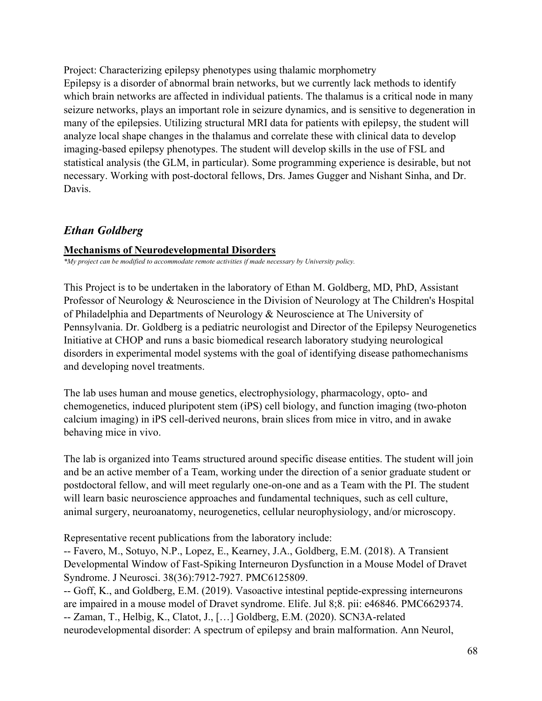Project: Characterizing epilepsy phenotypes using thalamic morphometry Epilepsy is a disorder of abnormal brain networks, but we currently lack methods to identify which brain networks are affected in individual patients. The thalamus is a critical node in many seizure networks, plays an important role in seizure dynamics, and is sensitive to degeneration in many of the epilepsies. Utilizing structural MRI data for patients with epilepsy, the student will analyze local shape changes in the thalamus and correlate these with clinical data to develop imaging-based epilepsy phenotypes. The student will develop skills in the use of FSL and statistical analysis (the GLM, in particular). Some programming experience is desirable, but not necessary. Working with post-doctoral fellows, Drs. James Gugger and Nishant Sinha, and Dr. Davis.

## *Ethan Goldberg*

#### **Mechanisms of Neurodevelopmental Disorders**

*\*My project can be modified to accommodate remote activities if made necessary by University policy.*

This Project is to be undertaken in the laboratory of Ethan M. Goldberg, MD, PhD, Assistant Professor of Neurology & Neuroscience in the Division of Neurology at The Children's Hospital of Philadelphia and Departments of Neurology & Neuroscience at The University of Pennsylvania. Dr. Goldberg is a pediatric neurologist and Director of the Epilepsy Neurogenetics Initiative at CHOP and runs a basic biomedical research laboratory studying neurological disorders in experimental model systems with the goal of identifying disease pathomechanisms and developing novel treatments.

The lab uses human and mouse genetics, electrophysiology, pharmacology, opto- and chemogenetics, induced pluripotent stem (iPS) cell biology, and function imaging (two-photon calcium imaging) in iPS cell-derived neurons, brain slices from mice in vitro, and in awake behaving mice in vivo.

The lab is organized into Teams structured around specific disease entities. The student will join and be an active member of a Team, working under the direction of a senior graduate student or postdoctoral fellow, and will meet regularly one-on-one and as a Team with the PI. The student will learn basic neuroscience approaches and fundamental techniques, such as cell culture, animal surgery, neuroanatomy, neurogenetics, cellular neurophysiology, and/or microscopy.

Representative recent publications from the laboratory include:

-- Favero, M., Sotuyo, N.P., Lopez, E., Kearney, J.A., Goldberg, E.M. (2018). A Transient Developmental Window of Fast-Spiking Interneuron Dysfunction in a Mouse Model of Dravet Syndrome. J Neurosci. 38(36):7912-7927. PMC6125809.

-- Goff, K., and Goldberg, E.M. (2019). Vasoactive intestinal peptide-expressing interneurons are impaired in a mouse model of Dravet syndrome. Elife. Jul 8;8. pii: e46846. PMC6629374. -- Zaman, T., Helbig, K., Clatot, J., […] Goldberg, E.M. (2020). SCN3A-related neurodevelopmental disorder: A spectrum of epilepsy and brain malformation. Ann Neurol,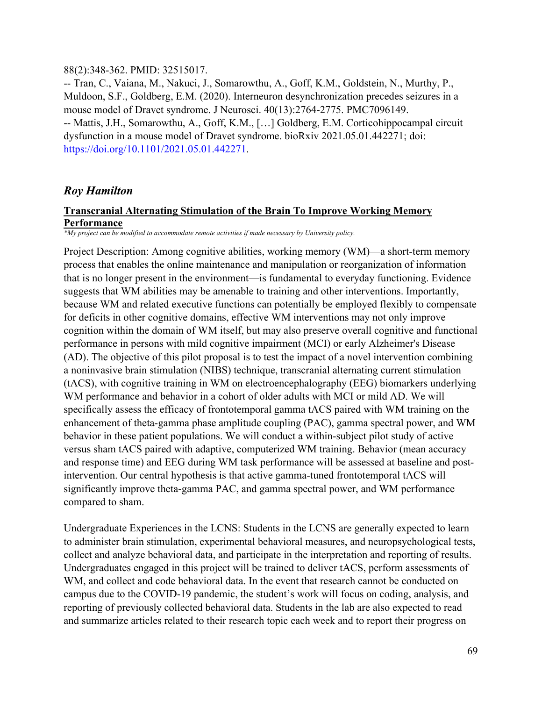#### 88(2):348-362. PMID: 32515017.

-- Tran, C., Vaiana, M., Nakuci, J., Somarowthu, A., Goff, K.M., Goldstein, N., Murthy, P., Muldoon, S.F., Goldberg, E.M. (2020). Interneuron desynchronization precedes seizures in a mouse model of Dravet syndrome. J Neurosci. 40(13):2764-2775. PMC7096149. -- Mattis, J.H., Somarowthu, A., Goff, K.M., […] Goldberg, E.M. Corticohippocampal circuit dysfunction in a mouse model of Dravet syndrome. bioRxiv 2021.05.01.442271; doi: [https://doi.org/10.1101/2021.05.01.442271.](https://doi.org/10.1101/2021.05.01.442271)

## *Roy Hamilton*

#### **Transcranial Alternating Stimulation of the Brain To Improve Working Memory Performance**

*\*My project can be modified to accommodate remote activities if made necessary by University policy.*

Project Description: Among cognitive abilities, working memory (WM)—a short-term memory process that enables the online maintenance and manipulation or reorganization of information that is no longer present in the environment—is fundamental to everyday functioning. Evidence suggests that WM abilities may be amenable to training and other interventions. Importantly, because WM and related executive functions can potentially be employed flexibly to compensate for deficits in other cognitive domains, effective WM interventions may not only improve cognition within the domain of WM itself, but may also preserve overall cognitive and functional performance in persons with mild cognitive impairment (MCI) or early Alzheimer's Disease (AD). The objective of this pilot proposal is to test the impact of a novel intervention combining a noninvasive brain stimulation (NIBS) technique, transcranial alternating current stimulation (tACS), with cognitive training in WM on electroencephalography (EEG) biomarkers underlying WM performance and behavior in a cohort of older adults with MCI or mild AD. We will specifically assess the efficacy of frontotemporal gamma tACS paired with WM training on the enhancement of theta-gamma phase amplitude coupling (PAC), gamma spectral power, and WM behavior in these patient populations. We will conduct a within-subject pilot study of active versus sham tACS paired with adaptive, computerized WM training. Behavior (mean accuracy and response time) and EEG during WM task performance will be assessed at baseline and postintervention. Our central hypothesis is that active gamma-tuned frontotemporal tACS will significantly improve theta-gamma PAC, and gamma spectral power, and WM performance compared to sham.

Undergraduate Experiences in the LCNS: Students in the LCNS are generally expected to learn to administer brain stimulation, experimental behavioral measures, and neuropsychological tests, collect and analyze behavioral data, and participate in the interpretation and reporting of results. Undergraduates engaged in this project will be trained to deliver tACS, perform assessments of WM, and collect and code behavioral data. In the event that research cannot be conducted on campus due to the COVID-19 pandemic, the student's work will focus on coding, analysis, and reporting of previously collected behavioral data. Students in the lab are also expected to read and summarize articles related to their research topic each week and to report their progress on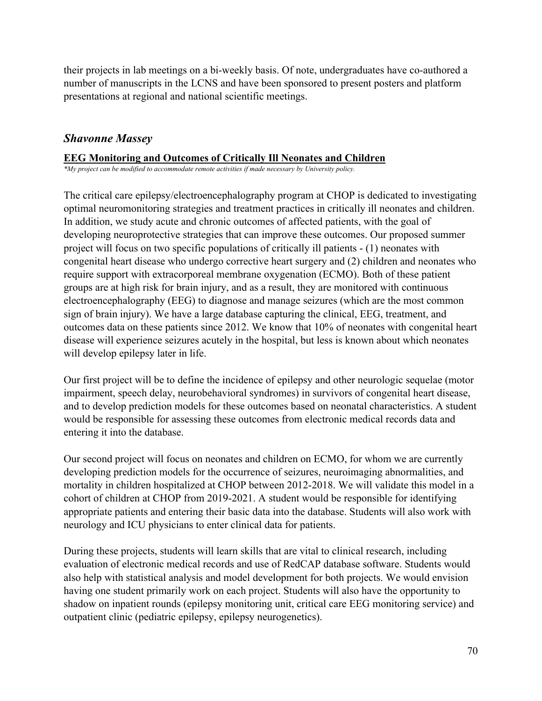their projects in lab meetings on a bi-weekly basis. Of note, undergraduates have co-authored a number of manuscripts in the LCNS and have been sponsored to present posters and platform presentations at regional and national scientific meetings.

## *Shavonne Massey*

## **EEG Monitoring and Outcomes of Critically Ill Neonates and Children**

*\*My project can be modified to accommodate remote activities if made necessary by University policy.*

The critical care epilepsy/electroencephalography program at CHOP is dedicated to investigating optimal neuromonitoring strategies and treatment practices in critically ill neonates and children. In addition, we study acute and chronic outcomes of affected patients, with the goal of developing neuroprotective strategies that can improve these outcomes. Our proposed summer project will focus on two specific populations of critically ill patients - (1) neonates with congenital heart disease who undergo corrective heart surgery and (2) children and neonates who require support with extracorporeal membrane oxygenation (ECMO). Both of these patient groups are at high risk for brain injury, and as a result, they are monitored with continuous electroencephalography (EEG) to diagnose and manage seizures (which are the most common sign of brain injury). We have a large database capturing the clinical, EEG, treatment, and outcomes data on these patients since 2012. We know that 10% of neonates with congenital heart disease will experience seizures acutely in the hospital, but less is known about which neonates will develop epilepsy later in life.

Our first project will be to define the incidence of epilepsy and other neurologic sequelae (motor impairment, speech delay, neurobehavioral syndromes) in survivors of congenital heart disease, and to develop prediction models for these outcomes based on neonatal characteristics. A student would be responsible for assessing these outcomes from electronic medical records data and entering it into the database.

Our second project will focus on neonates and children on ECMO, for whom we are currently developing prediction models for the occurrence of seizures, neuroimaging abnormalities, and mortality in children hospitalized at CHOP between 2012-2018. We will validate this model in a cohort of children at CHOP from 2019-2021. A student would be responsible for identifying appropriate patients and entering their basic data into the database. Students will also work with neurology and ICU physicians to enter clinical data for patients.

During these projects, students will learn skills that are vital to clinical research, including evaluation of electronic medical records and use of RedCAP database software. Students would also help with statistical analysis and model development for both projects. We would envision having one student primarily work on each project. Students will also have the opportunity to shadow on inpatient rounds (epilepsy monitoring unit, critical care EEG monitoring service) and outpatient clinic (pediatric epilepsy, epilepsy neurogenetics).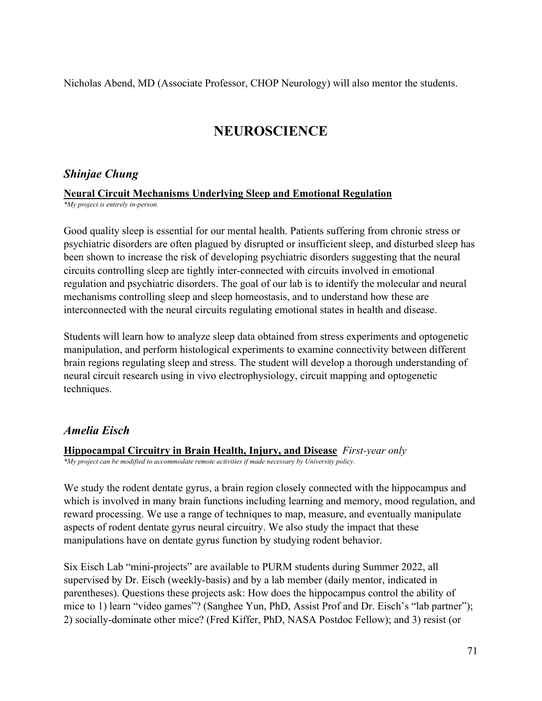Nicholas Abend, MD (Associate Professor, CHOP Neurology) will also mentor the students.

# **NEUROSCIENCE**

## *Shinjae Chung*

## **Neural Circuit Mechanisms Underlying Sleep and Emotional Regulation**

*\*My project is entirely in-person.*

Good quality sleep is essential for our mental health. Patients suffering from chronic stress or psychiatric disorders are often plagued by disrupted or insufficient sleep, and disturbed sleep has been shown to increase the risk of developing psychiatric disorders suggesting that the neural circuits controlling sleep are tightly inter-connected with circuits involved in emotional regulation and psychiatric disorders. The goal of our lab is to identify the molecular and neural mechanisms controlling sleep and sleep homeostasis, and to understand how these are interconnected with the neural circuits regulating emotional states in health and disease.

Students will learn how to analyze sleep data obtained from stress experiments and optogenetic manipulation, and perform histological experiments to examine connectivity between different brain regions regulating sleep and stress. The student will develop a thorough understanding of neural circuit research using in vivo electrophysiology, circuit mapping and optogenetic techniques.

# *Amelia Eisch*

**Hippocampal Circuitry in Brain Health, Injury, and Disease** *First-year only*

*\*My project can be modified to accommodate remote activities if made necessary by University policy.*

We study the rodent dentate gyrus, a brain region closely connected with the hippocampus and which is involved in many brain functions including learning and memory, mood regulation, and reward processing. We use a range of techniques to map, measure, and eventually manipulate aspects of rodent dentate gyrus neural circuitry. We also study the impact that these manipulations have on dentate gyrus function by studying rodent behavior.

Six Eisch Lab "mini-projects" are available to PURM students during Summer 2022, all supervised by Dr. Eisch (weekly-basis) and by a lab member (daily mentor, indicated in parentheses). Questions these projects ask: How does the hippocampus control the ability of mice to 1) learn "video games"? (Sanghee Yun, PhD, Assist Prof and Dr. Eisch's "lab partner"); 2) socially-dominate other mice? (Fred Kiffer, PhD, NASA Postdoc Fellow); and 3) resist (or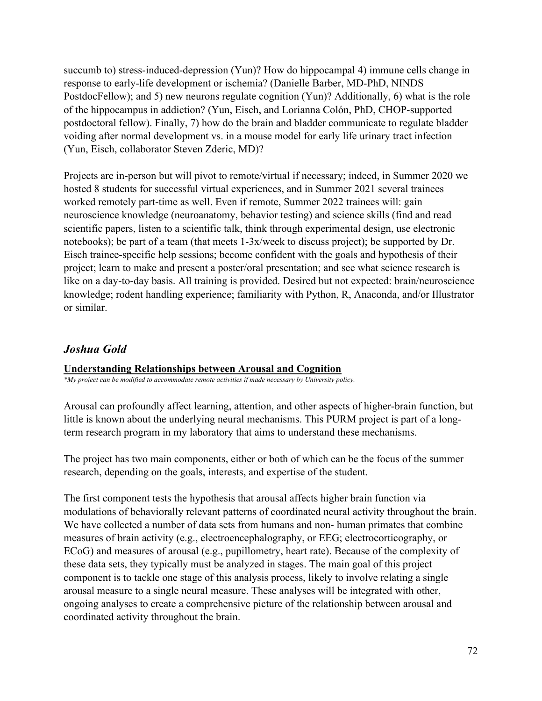succumb to) stress-induced-depression (Yun)? How do hippocampal 4) immune cells change in response to early-life development or ischemia? (Danielle Barber, MD-PhD, NINDS PostdocFellow); and 5) new neurons regulate cognition (Yun)? Additionally, 6) what is the role of the hippocampus in addiction? (Yun, Eisch, and Lorianna Colón, PhD, CHOP-supported postdoctoral fellow). Finally, 7) how do the brain and bladder communicate to regulate bladder voiding after normal development vs. in a mouse model for early life urinary tract infection (Yun, Eisch, collaborator Steven Zderic, MD)?

Projects are in-person but will pivot to remote/virtual if necessary; indeed, in Summer 2020 we hosted 8 students for successful virtual experiences, and in Summer 2021 several trainees worked remotely part-time as well. Even if remote, Summer 2022 trainees will: gain neuroscience knowledge (neuroanatomy, behavior testing) and science skills (find and read scientific papers, listen to a scientific talk, think through experimental design, use electronic notebooks); be part of a team (that meets 1-3x/week to discuss project); be supported by Dr. Eisch trainee-specific help sessions; become confident with the goals and hypothesis of their project; learn to make and present a poster/oral presentation; and see what science research is like on a day-to-day basis. All training is provided. Desired but not expected: brain/neuroscience knowledge; rodent handling experience; familiarity with Python, R, Anaconda, and/or Illustrator or similar.

## *Joshua Gold*

## **Understanding Relationships between Arousal and Cognition**

*\*My project can be modified to accommodate remote activities if made necessary by University policy.*

Arousal can profoundly affect learning, attention, and other aspects of higher-brain function, but little is known about the underlying neural mechanisms. This PURM project is part of a longterm research program in my laboratory that aims to understand these mechanisms.

The project has two main components, either or both of which can be the focus of the summer research, depending on the goals, interests, and expertise of the student.

The first component tests the hypothesis that arousal affects higher brain function via modulations of behaviorally relevant patterns of coordinated neural activity throughout the brain. We have collected a number of data sets from humans and non- human primates that combine measures of brain activity (e.g., electroencephalography, or EEG; electrocorticography, or ECoG) and measures of arousal (e.g., pupillometry, heart rate). Because of the complexity of these data sets, they typically must be analyzed in stages. The main goal of this project component is to tackle one stage of this analysis process, likely to involve relating a single arousal measure to a single neural measure. These analyses will be integrated with other, ongoing analyses to create a comprehensive picture of the relationship between arousal and coordinated activity throughout the brain.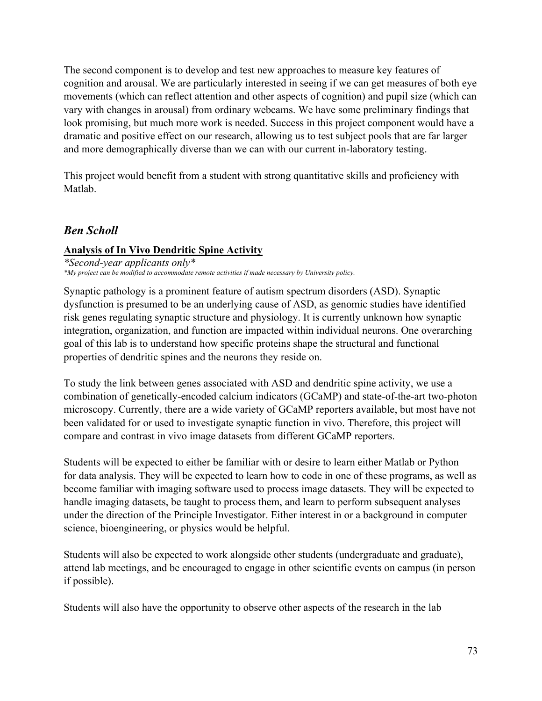The second component is to develop and test new approaches to measure key features of cognition and arousal. We are particularly interested in seeing if we can get measures of both eye movements (which can reflect attention and other aspects of cognition) and pupil size (which can vary with changes in arousal) from ordinary webcams. We have some preliminary findings that look promising, but much more work is needed. Success in this project component would have a dramatic and positive effect on our research, allowing us to test subject pools that are far larger and more demographically diverse than we can with our current in-laboratory testing.

This project would benefit from a student with strong quantitative skills and proficiency with Matlab.

## *Ben Scholl*

## **Analysis of In Vivo Dendritic Spine Activity**

*\*Second-year applicants only\* \*My project can be modified to accommodate remote activities if made necessary by University policy.*

Synaptic pathology is a prominent feature of autism spectrum disorders (ASD). Synaptic dysfunction is presumed to be an underlying cause of ASD, as genomic studies have identified risk genes regulating synaptic structure and physiology. It is currently unknown how synaptic integration, organization, and function are impacted within individual neurons. One overarching goal of this lab is to understand how specific proteins shape the structural and functional properties of dendritic spines and the neurons they reside on.

To study the link between genes associated with ASD and dendritic spine activity, we use a combination of genetically-encoded calcium indicators (GCaMP) and state-of-the-art two-photon microscopy. Currently, there are a wide variety of GCaMP reporters available, but most have not been validated for or used to investigate synaptic function in vivo. Therefore, this project will compare and contrast in vivo image datasets from different GCaMP reporters.

Students will be expected to either be familiar with or desire to learn either Matlab or Python for data analysis. They will be expected to learn how to code in one of these programs, as well as become familiar with imaging software used to process image datasets. They will be expected to handle imaging datasets, be taught to process them, and learn to perform subsequent analyses under the direction of the Principle Investigator. Either interest in or a background in computer science, bioengineering, or physics would be helpful.

Students will also be expected to work alongside other students (undergraduate and graduate), attend lab meetings, and be encouraged to engage in other scientific events on campus (in person if possible).

Students will also have the opportunity to observe other aspects of the research in the lab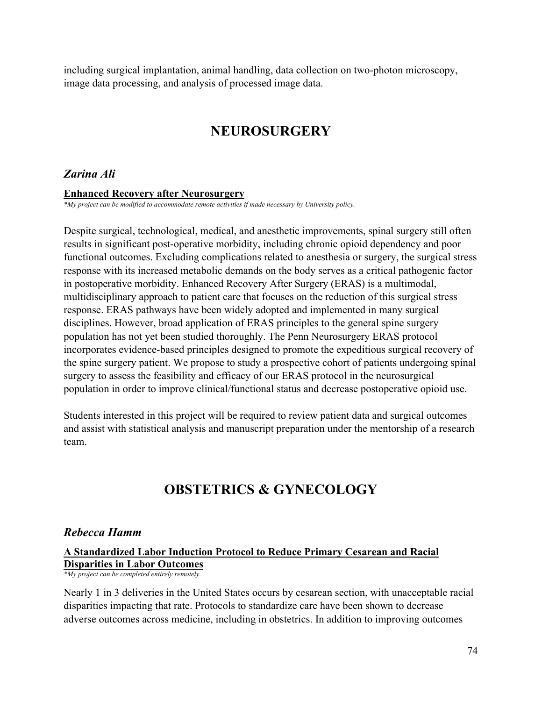including surgical implantation, animal handling, data collection on two-photon microscopy, image data processing, and analysis of processed image data.

# **NEUROSURGERY**

## *Zarina Ali*

#### **Enhanced Recovery after Neurosurgery**

*\*My project can be modified to accommodate remote activities if made necessary by University policy.*

Despite surgical, technological, medical, and anesthetic improvements, spinal surgery still often results in significant post-operative morbidity, including chronic opioid dependency and poor functional outcomes. Excluding complications related to anesthesia or surgery, the surgical stress response with its increased metabolic demands on the body serves as a critical pathogenic factor in postoperative morbidity. Enhanced Recovery After Surgery (ERAS) is a multimodal, multidisciplinary approach to patient care that focuses on the reduction of this surgical stress response. ERAS pathways have been widely adopted and implemented in many surgical disciplines. However, broad application of ERAS principles to the general spine surgery population has not yet been studied thoroughly. The Penn Neurosurgery ERAS protocol incorporates evidence-based principles designed to promote the expeditious surgical recovery of the spine surgery patient. We propose to study a prospective cohort of patients undergoing spinal surgery to assess the feasibility and efficacy of our ERAS protocol in the neurosurgical population in order to improve clinical/functional status and decrease postoperative opioid use.

Students interested in this project will be required to review patient data and surgical outcomes and assist with statistical analysis and manuscript preparation under the mentorship of a research team.

# **OBSTETRICS & GYNECOLOGY**

### *Rebecca Hamm*

### **A Standardized Labor Induction Protocol to Reduce Primary Cesarean and Racial Disparities in Labor Outcomes**

*\*My project can be completed entirely remotely.*

Nearly 1 in 3 deliveries in the United States occurs by cesarean section, with unacceptable racial disparities impacting that rate. Protocols to standardize care have been shown to decrease adverse outcomes across medicine, including in obstetrics. In addition to improving outcomes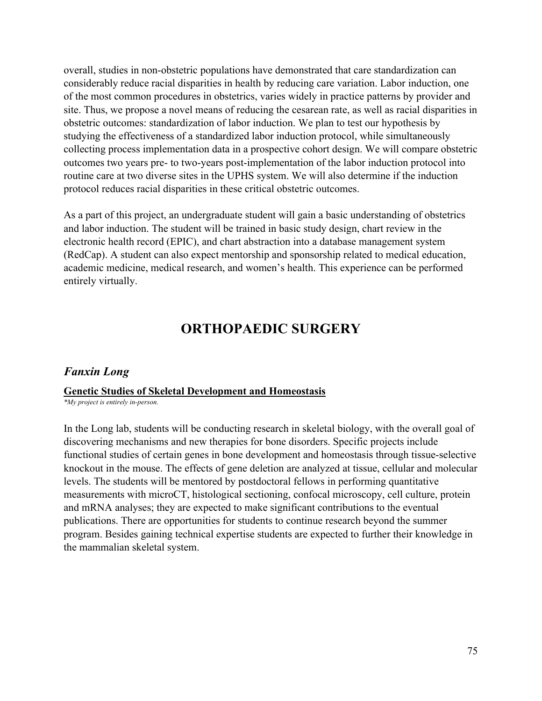overall, studies in non-obstetric populations have demonstrated that care standardization can considerably reduce racial disparities in health by reducing care variation. Labor induction, one of the most common procedures in obstetrics, varies widely in practice patterns by provider and site. Thus, we propose a novel means of reducing the cesarean rate, as well as racial disparities in obstetric outcomes: standardization of labor induction. We plan to test our hypothesis by studying the effectiveness of a standardized labor induction protocol, while simultaneously collecting process implementation data in a prospective cohort design. We will compare obstetric outcomes two years pre- to two-years post-implementation of the labor induction protocol into routine care at two diverse sites in the UPHS system. We will also determine if the induction protocol reduces racial disparities in these critical obstetric outcomes.

As a part of this project, an undergraduate student will gain a basic understanding of obstetrics and labor induction. The student will be trained in basic study design, chart review in the electronic health record (EPIC), and chart abstraction into a database management system (RedCap). A student can also expect mentorship and sponsorship related to medical education, academic medicine, medical research, and women's health. This experience can be performed entirely virtually.

## **ORTHOPAEDIC SURGERY**

### *Fanxin Long*

### **Genetic Studies of Skeletal Development and Homeostasis**

*\*My project is entirely in-person.*

In the Long lab, students will be conducting research in skeletal biology, with the overall goal of discovering mechanisms and new therapies for bone disorders. Specific projects include functional studies of certain genes in bone development and homeostasis through tissue-selective knockout in the mouse. The effects of gene deletion are analyzed at tissue, cellular and molecular levels. The students will be mentored by postdoctoral fellows in performing quantitative measurements with microCT, histological sectioning, confocal microscopy, cell culture, protein and mRNA analyses; they are expected to make significant contributions to the eventual publications. There are opportunities for students to continue research beyond the summer program. Besides gaining technical expertise students are expected to further their knowledge in the mammalian skeletal system.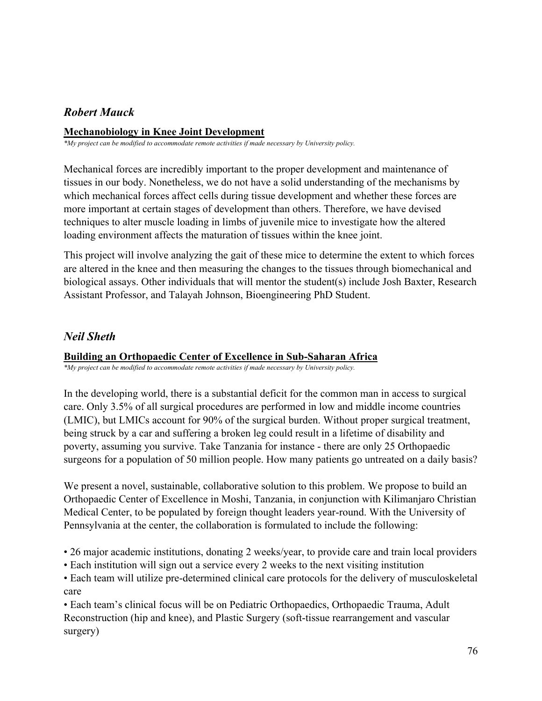## *Robert Mauck*

### **Mechanobiology in Knee Joint Development**

*\*My project can be modified to accommodate remote activities if made necessary by University policy.*

Mechanical forces are incredibly important to the proper development and maintenance of tissues in our body. Nonetheless, we do not have a solid understanding of the mechanisms by which mechanical forces affect cells during tissue development and whether these forces are more important at certain stages of development than others. Therefore, we have devised techniques to alter muscle loading in limbs of juvenile mice to investigate how the altered loading environment affects the maturation of tissues within the knee joint.

This project will involve analyzing the gait of these mice to determine the extent to which forces are altered in the knee and then measuring the changes to the tissues through biomechanical and biological assays. Other individuals that will mentor the student(s) include Josh Baxter, Research Assistant Professor, and Talayah Johnson, Bioengineering PhD Student.

### *Neil Sheth*

### **Building an Orthopaedic Center of Excellence in Sub-Saharan Africa**

*\*My project can be modified to accommodate remote activities if made necessary by University policy.*

In the developing world, there is a substantial deficit for the common man in access to surgical care. Only 3.5% of all surgical procedures are performed in low and middle income countries (LMIC), but LMICs account for 90% of the surgical burden. Without proper surgical treatment, being struck by a car and suffering a broken leg could result in a lifetime of disability and poverty, assuming you survive. Take Tanzania for instance - there are only 25 Orthopaedic surgeons for a population of 50 million people. How many patients go untreated on a daily basis?

We present a novel, sustainable, collaborative solution to this problem. We propose to build an Orthopaedic Center of Excellence in Moshi, Tanzania, in conjunction with Kilimanjaro Christian Medical Center, to be populated by foreign thought leaders year-round. With the University of Pennsylvania at the center, the collaboration is formulated to include the following:

- 26 major academic institutions, donating 2 weeks/year, to provide care and train local providers
- Each institution will sign out a service every 2 weeks to the next visiting institution
- Each team will utilize pre-determined clinical care protocols for the delivery of musculoskeletal care

• Each team's clinical focus will be on Pediatric Orthopaedics, Orthopaedic Trauma, Adult Reconstruction (hip and knee), and Plastic Surgery (soft-tissue rearrangement and vascular surgery)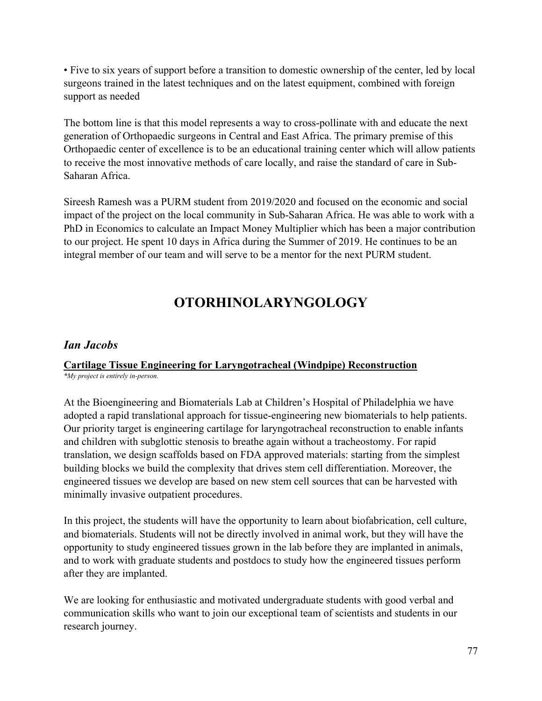• Five to six years of support before a transition to domestic ownership of the center, led by local surgeons trained in the latest techniques and on the latest equipment, combined with foreign support as needed

The bottom line is that this model represents a way to cross-pollinate with and educate the next generation of Orthopaedic surgeons in Central and East Africa. The primary premise of this Orthopaedic center of excellence is to be an educational training center which will allow patients to receive the most innovative methods of care locally, and raise the standard of care in Sub-Saharan Africa.

Sireesh Ramesh was a PURM student from 2019/2020 and focused on the economic and social impact of the project on the local community in Sub-Saharan Africa. He was able to work with a PhD in Economics to calculate an Impact Money Multiplier which has been a major contribution to our project. He spent 10 days in Africa during the Summer of 2019. He continues to be an integral member of our team and will serve to be a mentor for the next PURM student.

# **OTORHINOLARYNGOLOGY**

## *Ian Jacobs*

## **Cartilage Tissue Engineering for Laryngotracheal (Windpipe) Reconstruction**

*\*My project is entirely in-person.*

At the Bioengineering and Biomaterials Lab at Children's Hospital of Philadelphia we have adopted a rapid translational approach for tissue-engineering new biomaterials to help patients. Our priority target is engineering cartilage for laryngotracheal reconstruction to enable infants and children with subglottic stenosis to breathe again without a tracheostomy. For rapid translation, we design scaffolds based on FDA approved materials: starting from the simplest building blocks we build the complexity that drives stem cell differentiation. Moreover, the engineered tissues we develop are based on new stem cell sources that can be harvested with minimally invasive outpatient procedures.

In this project, the students will have the opportunity to learn about biofabrication, cell culture, and biomaterials. Students will not be directly involved in animal work, but they will have the opportunity to study engineered tissues grown in the lab before they are implanted in animals, and to work with graduate students and postdocs to study how the engineered tissues perform after they are implanted.

We are looking for enthusiastic and motivated undergraduate students with good verbal and communication skills who want to join our exceptional team of scientists and students in our research journey.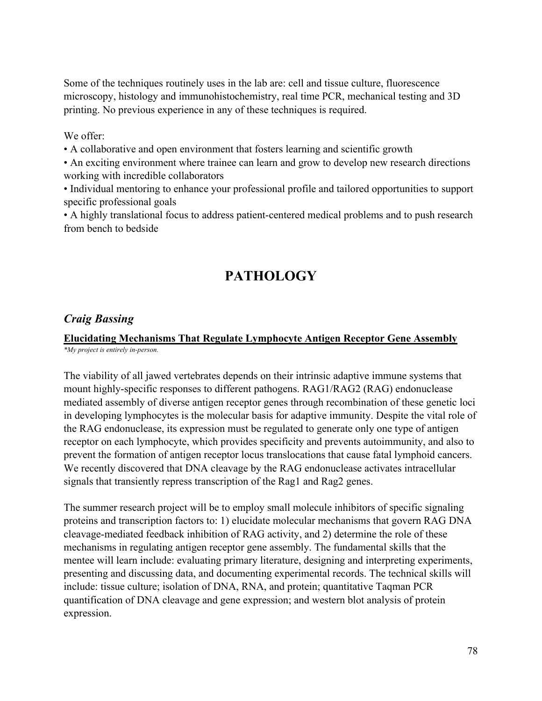Some of the techniques routinely uses in the lab are: cell and tissue culture, fluorescence microscopy, histology and immunohistochemistry, real time PCR, mechanical testing and 3D printing. No previous experience in any of these techniques is required.

### We offer:

- A collaborative and open environment that fosters learning and scientific growth
- An exciting environment where trainee can learn and grow to develop new research directions working with incredible collaborators
- Individual mentoring to enhance your professional profile and tailored opportunities to support specific professional goals
- A highly translational focus to address patient-centered medical problems and to push research from bench to bedside

# **PATHOLOGY**

## *Craig Bassing*

### **Elucidating Mechanisms That Regulate Lymphocyte Antigen Receptor Gene Assembly** *\*My project is entirely in-person.*

The viability of all jawed vertebrates depends on their intrinsic adaptive immune systems that mount highly-specific responses to different pathogens. RAG1/RAG2 (RAG) endonuclease mediated assembly of diverse antigen receptor genes through recombination of these genetic loci in developing lymphocytes is the molecular basis for adaptive immunity. Despite the vital role of the RAG endonuclease, its expression must be regulated to generate only one type of antigen receptor on each lymphocyte, which provides specificity and prevents autoimmunity, and also to prevent the formation of antigen receptor locus translocations that cause fatal lymphoid cancers. We recently discovered that DNA cleavage by the RAG endonuclease activates intracellular signals that transiently repress transcription of the Rag1 and Rag2 genes.

The summer research project will be to employ small molecule inhibitors of specific signaling proteins and transcription factors to: 1) elucidate molecular mechanisms that govern RAG DNA cleavage-mediated feedback inhibition of RAG activity, and 2) determine the role of these mechanisms in regulating antigen receptor gene assembly. The fundamental skills that the mentee will learn include: evaluating primary literature, designing and interpreting experiments, presenting and discussing data, and documenting experimental records. The technical skills will include: tissue culture; isolation of DNA, RNA, and protein; quantitative Taqman PCR quantification of DNA cleavage and gene expression; and western blot analysis of protein expression.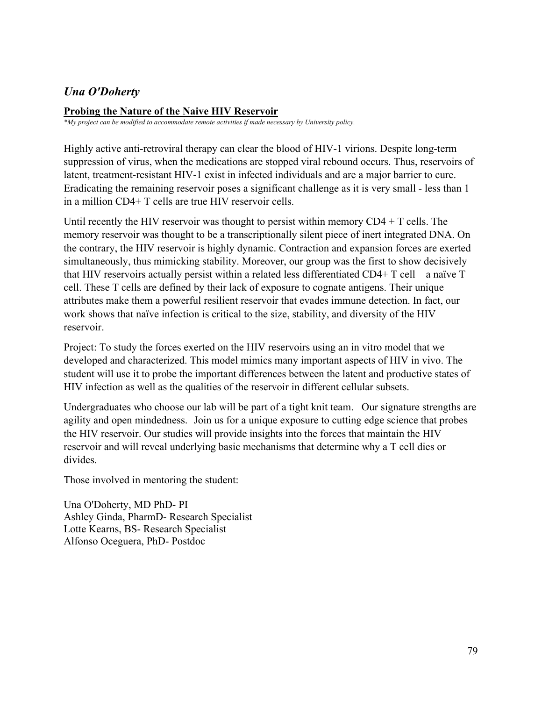## *Una O'Doherty*

### **Probing the Nature of the Naive HIV Reservoir**

*\*My project can be modified to accommodate remote activities if made necessary by University policy.*

Highly active anti-retroviral therapy can clear the blood of HIV-1 virions. Despite long-term suppression of virus, when the medications are stopped viral rebound occurs. Thus, reservoirs of latent, treatment-resistant HIV-1 exist in infected individuals and are a major barrier to cure. Eradicating the remaining reservoir poses a significant challenge as it is very small - less than 1 in a million CD4+ T cells are true HIV reservoir cells.

Until recently the HIV reservoir was thought to persist within memory  $CD4 + T$  cells. The memory reservoir was thought to be a transcriptionally silent piece of inert integrated DNA. On the contrary, the HIV reservoir is highly dynamic. Contraction and expansion forces are exerted simultaneously, thus mimicking stability. Moreover, our group was the first to show decisively that HIV reservoirs actually persist within a related less differentiated CD4+ T cell – a naïve T cell. These T cells are defined by their lack of exposure to cognate antigens. Their unique attributes make them a powerful resilient reservoir that evades immune detection. In fact, our work shows that naïve infection is critical to the size, stability, and diversity of the HIV reservoir.

Project: To study the forces exerted on the HIV reservoirs using an in vitro model that we developed and characterized. This model mimics many important aspects of HIV in vivo. The student will use it to probe the important differences between the latent and productive states of HIV infection as well as the qualities of the reservoir in different cellular subsets.

Undergraduates who choose our lab will be part of a tight knit team. Our signature strengths are agility and open mindedness. Join us for a unique exposure to cutting edge science that probes the HIV reservoir. Our studies will provide insights into the forces that maintain the HIV reservoir and will reveal underlying basic mechanisms that determine why a T cell dies or divides.

Those involved in mentoring the student:

Una O'Doherty, MD PhD- PI Ashley Ginda, PharmD- Research Specialist Lotte Kearns, BS- Research Specialist Alfonso Oceguera, PhD- Postdoc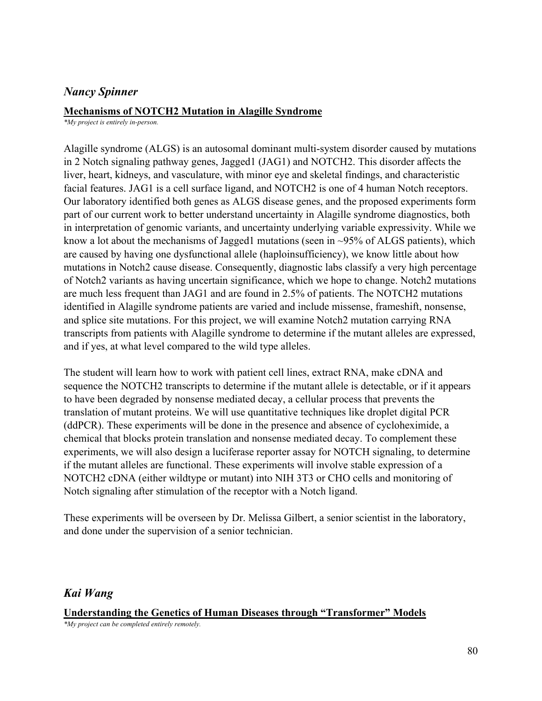### *Nancy Spinner*

### **Mechanisms of NOTCH2 Mutation in Alagille Syndrome**

*\*My project is entirely in-person.*

Alagille syndrome (ALGS) is an autosomal dominant multi-system disorder caused by mutations in 2 Notch signaling pathway genes, Jagged1 (JAG1) and NOTCH2. This disorder affects the liver, heart, kidneys, and vasculature, with minor eye and skeletal findings, and characteristic facial features. JAG1 is a cell surface ligand, and NOTCH2 is one of 4 human Notch receptors. Our laboratory identified both genes as ALGS disease genes, and the proposed experiments form part of our current work to better understand uncertainty in Alagille syndrome diagnostics, both in interpretation of genomic variants, and uncertainty underlying variable expressivity. While we know a lot about the mechanisms of Jagged1 mutations (seen in  $\sim$ 95% of ALGS patients), which are caused by having one dysfunctional allele (haploinsufficiency), we know little about how mutations in Notch2 cause disease. Consequently, diagnostic labs classify a very high percentage of Notch2 variants as having uncertain significance, which we hope to change. Notch2 mutations are much less frequent than JAG1 and are found in 2.5% of patients. The NOTCH2 mutations identified in Alagille syndrome patients are varied and include missense, frameshift, nonsense, and splice site mutations. For this project, we will examine Notch2 mutation carrying RNA transcripts from patients with Alagille syndrome to determine if the mutant alleles are expressed, and if yes, at what level compared to the wild type alleles.

The student will learn how to work with patient cell lines, extract RNA, make cDNA and sequence the NOTCH2 transcripts to determine if the mutant allele is detectable, or if it appears to have been degraded by nonsense mediated decay, a cellular process that prevents the translation of mutant proteins. We will use quantitative techniques like droplet digital PCR (ddPCR). These experiments will be done in the presence and absence of cycloheximide, a chemical that blocks protein translation and nonsense mediated decay. To complement these experiments, we will also design a luciferase reporter assay for NOTCH signaling, to determine if the mutant alleles are functional. These experiments will involve stable expression of a NOTCH2 cDNA (either wildtype or mutant) into NIH 3T3 or CHO cells and monitoring of Notch signaling after stimulation of the receptor with a Notch ligand.

These experiments will be overseen by Dr. Melissa Gilbert, a senior scientist in the laboratory, and done under the supervision of a senior technician.

## *Kai Wang*

### **Understanding the Genetics of Human Diseases through "Transformer" Models**

*\*My project can be completed entirely remotely.*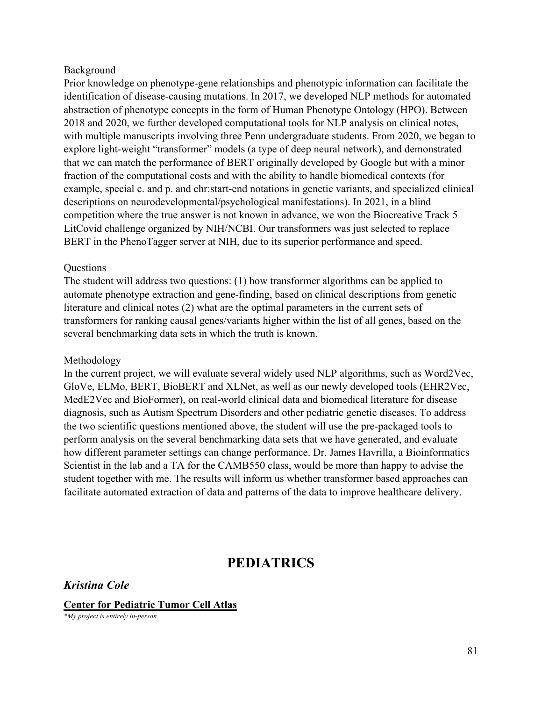#### Background

Prior knowledge on phenotype-gene relationships and phenotypic information can facilitate the identification of disease-causing mutations. In 2017, we developed NLP methods for automated abstraction of phenotype concepts in the form of Human Phenotype Ontology (HPO). Between 2018 and 2020, we further developed computational tools for NLP analysis on clinical notes, with multiple manuscripts involving three Penn undergraduate students. From 2020, we began to explore light-weight "transformer" models (a type of deep neural network), and demonstrated that we can match the performance of BERT originally developed by Google but with a minor fraction of the computational costs and with the ability to handle biomedical contexts (for example, special c. and p. and chr:start-end notations in genetic variants, and specialized clinical descriptions on neurodevelopmental/psychological manifestations). In 2021, in a blind competition where the true answer is not known in advance, we won the Biocreative Track 5 LitCovid challenge organized by NIH/NCBI. Our transformers was just selected to replace BERT in the PhenoTagger server at NIH, due to its superior performance and speed.

#### **Questions**

The student will address two questions: (1) how transformer algorithms can be applied to automate phenotype extraction and gene-finding, based on clinical descriptions from genetic literature and clinical notes (2) what are the optimal parameters in the current sets of transformers for ranking causal genes/variants higher within the list of all genes, based on the several benchmarking data sets in which the truth is known.

#### Methodology

In the current project, we will evaluate several widely used NLP algorithms, such as Word2Vec, GloVe, ELMo, BERT, BioBERT and XLNet, as well as our newly developed tools (EHR2Vec, MedE2Vec and BioFormer), on real-world clinical data and biomedical literature for disease diagnosis, such as Autism Spectrum Disorders and other pediatric genetic diseases. To address the two scientific questions mentioned above, the student will use the pre-packaged tools to perform analysis on the several benchmarking data sets that we have generated, and evaluate how different parameter settings can change performance. Dr. James Havrilla, a Bioinformatics Scientist in the lab and a TA for the CAMB550 class, would be more than happy to advise the student together with me. The results will inform us whether transformer based approaches can facilitate automated extraction of data and patterns of the data to improve healthcare delivery.

## **PEDIATRICS**

*Kristina Cole*

**Center for Pediatric Tumor Cell Atlas**

*\*My project is entirely in-person.*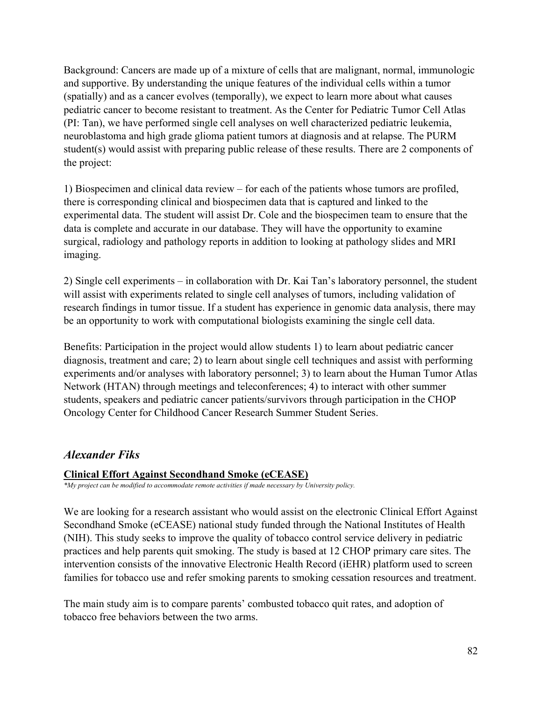Background: Cancers are made up of a mixture of cells that are malignant, normal, immunologic and supportive. By understanding the unique features of the individual cells within a tumor (spatially) and as a cancer evolves (temporally), we expect to learn more about what causes pediatric cancer to become resistant to treatment. As the Center for Pediatric Tumor Cell Atlas (PI: Tan), we have performed single cell analyses on well characterized pediatric leukemia, neuroblastoma and high grade glioma patient tumors at diagnosis and at relapse. The PURM student(s) would assist with preparing public release of these results. There are 2 components of the project:

1) Biospecimen and clinical data review – for each of the patients whose tumors are profiled, there is corresponding clinical and biospecimen data that is captured and linked to the experimental data. The student will assist Dr. Cole and the biospecimen team to ensure that the data is complete and accurate in our database. They will have the opportunity to examine surgical, radiology and pathology reports in addition to looking at pathology slides and MRI imaging.

2) Single cell experiments – in collaboration with Dr. Kai Tan's laboratory personnel, the student will assist with experiments related to single cell analyses of tumors, including validation of research findings in tumor tissue. If a student has experience in genomic data analysis, there may be an opportunity to work with computational biologists examining the single cell data.

Benefits: Participation in the project would allow students 1) to learn about pediatric cancer diagnosis, treatment and care; 2) to learn about single cell techniques and assist with performing experiments and/or analyses with laboratory personnel; 3) to learn about the Human Tumor Atlas Network (HTAN) through meetings and teleconferences; 4) to interact with other summer students, speakers and pediatric cancer patients/survivors through participation in the CHOP Oncology Center for Childhood Cancer Research Summer Student Series.

## *Alexander Fiks*

## **Clinical Effort Against Secondhand Smoke (eCEASE)**

*\*My project can be modified to accommodate remote activities if made necessary by University policy.*

We are looking for a research assistant who would assist on the electronic Clinical Effort Against Secondhand Smoke (eCEASE) national study funded through the National Institutes of Health (NIH). This study seeks to improve the quality of tobacco control service delivery in pediatric practices and help parents quit smoking. The study is based at 12 CHOP primary care sites. The intervention consists of the innovative Electronic Health Record (iEHR) platform used to screen families for tobacco use and refer smoking parents to smoking cessation resources and treatment.

The main study aim is to compare parents' combusted tobacco quit rates, and adoption of tobacco free behaviors between the two arms.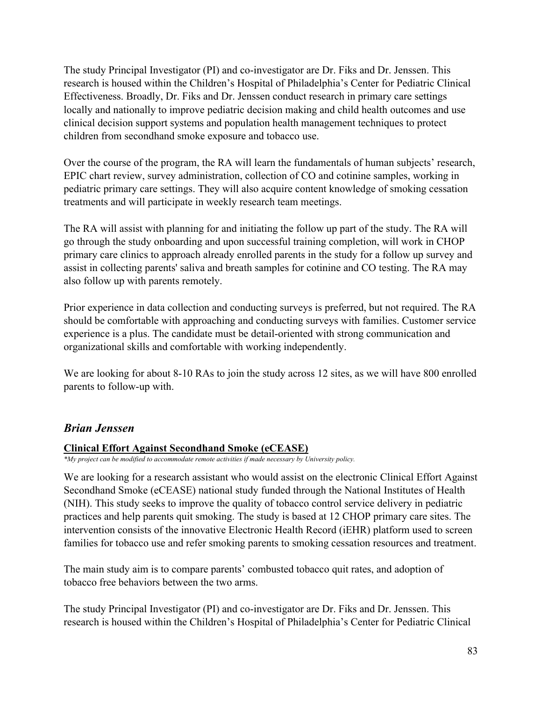The study Principal Investigator (PI) and co-investigator are Dr. Fiks and Dr. Jenssen. This research is housed within the Children's Hospital of Philadelphia's Center for Pediatric Clinical Effectiveness. Broadly, Dr. Fiks and Dr. Jenssen conduct research in primary care settings locally and nationally to improve pediatric decision making and child health outcomes and use clinical decision support systems and population health management techniques to protect children from secondhand smoke exposure and tobacco use.

Over the course of the program, the RA will learn the fundamentals of human subjects' research, EPIC chart review, survey administration, collection of CO and cotinine samples, working in pediatric primary care settings. They will also acquire content knowledge of smoking cessation treatments and will participate in weekly research team meetings.

The RA will assist with planning for and initiating the follow up part of the study. The RA will go through the study onboarding and upon successful training completion, will work in CHOP primary care clinics to approach already enrolled parents in the study for a follow up survey and assist in collecting parents' saliva and breath samples for cotinine and CO testing. The RA may also follow up with parents remotely.

Prior experience in data collection and conducting surveys is preferred, but not required. The RA should be comfortable with approaching and conducting surveys with families. Customer service experience is a plus. The candidate must be detail-oriented with strong communication and organizational skills and comfortable with working independently.

We are looking for about 8-10 RAs to join the study across 12 sites, as we will have 800 enrolled parents to follow-up with.

## *Brian Jenssen*

## **Clinical Effort Against Secondhand Smoke (eCEASE)**

*\*My project can be modified to accommodate remote activities if made necessary by University policy.*

We are looking for a research assistant who would assist on the electronic Clinical Effort Against Secondhand Smoke (eCEASE) national study funded through the National Institutes of Health (NIH). This study seeks to improve the quality of tobacco control service delivery in pediatric practices and help parents quit smoking. The study is based at 12 CHOP primary care sites. The intervention consists of the innovative Electronic Health Record (iEHR) platform used to screen families for tobacco use and refer smoking parents to smoking cessation resources and treatment.

The main study aim is to compare parents' combusted tobacco quit rates, and adoption of tobacco free behaviors between the two arms.

The study Principal Investigator (PI) and co-investigator are Dr. Fiks and Dr. Jenssen. This research is housed within the Children's Hospital of Philadelphia's Center for Pediatric Clinical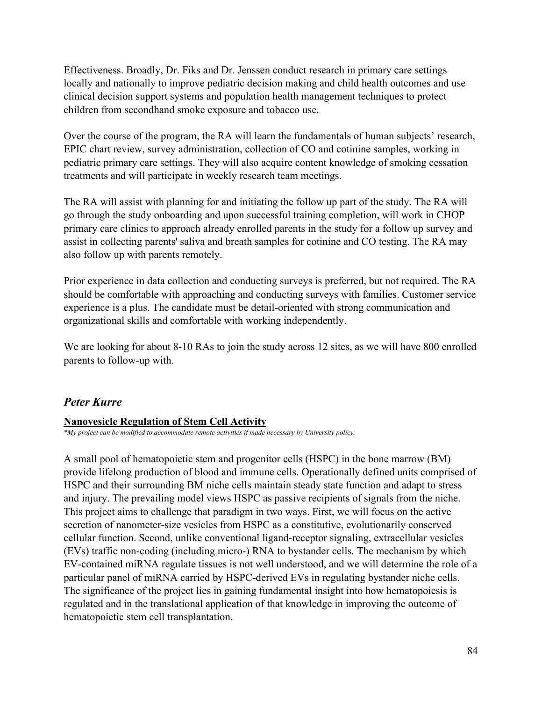Effectiveness. Broadly, Dr. Fiks and Dr. Jenssen conduct research in primary care settings locally and nationally to improve pediatric decision making and child health outcomes and use clinical decision support systems and population health management techniques to protect children from secondhand smoke exposure and tobacco use.

Over the course of the program, the RA will learn the fundamentals of human subjects' research, EPIC chart review, survey administration, collection of CO and cotinine samples, working in pediatric primary care settings. They will also acquire content knowledge of smoking cessation treatments and will participate in weekly research team meetings.

The RA will assist with planning for and initiating the follow up part of the study. The RA will go through the study onboarding and upon successful training completion, will work in CHOP primary care clinics to approach already enrolled parents in the study for a follow up survey and assist in collecting parents' saliva and breath samples for cotinine and CO testing. The RA may also follow up with parents remotely.

Prior experience in data collection and conducting surveys is preferred, but not required. The RA should be comfortable with approaching and conducting surveys with families. Customer service experience is a plus. The candidate must be detail-oriented with strong communication and organizational skills and comfortable with working independently.

We are looking for about 8-10 RAs to join the study across 12 sites, as we will have 800 enrolled parents to follow-up with.

## *Peter Kurre*

### **Nanovesicle Regulation of Stem Cell Activity**

*\*My project can be modified to accommodate remote activities if made necessary by University policy.*

A small pool of hematopoietic stem and progenitor cells (HSPC) in the bone marrow (BM) provide lifelong production of blood and immune cells. Operationally defined units comprised of HSPC and their surrounding BM niche cells maintain steady state function and adapt to stress and injury. The prevailing model views HSPC as passive recipients of signals from the niche. This project aims to challenge that paradigm in two ways. First, we will focus on the active secretion of nanometer-size vesicles from HSPC as a constitutive, evolutionarily conserved cellular function. Second, unlike conventional ligand-receptor signaling, extracellular vesicles (EVs) traffic non-coding (including micro-) RNA to bystander cells. The mechanism by which EV-contained miRNA regulate tissues is not well understood, and we will determine the role of a particular panel of miRNA carried by HSPC-derived EVs in regulating bystander niche cells. The significance of the project lies in gaining fundamental insight into how hematopoiesis is regulated and in the translational application of that knowledge in improving the outcome of hematopoietic stem cell transplantation.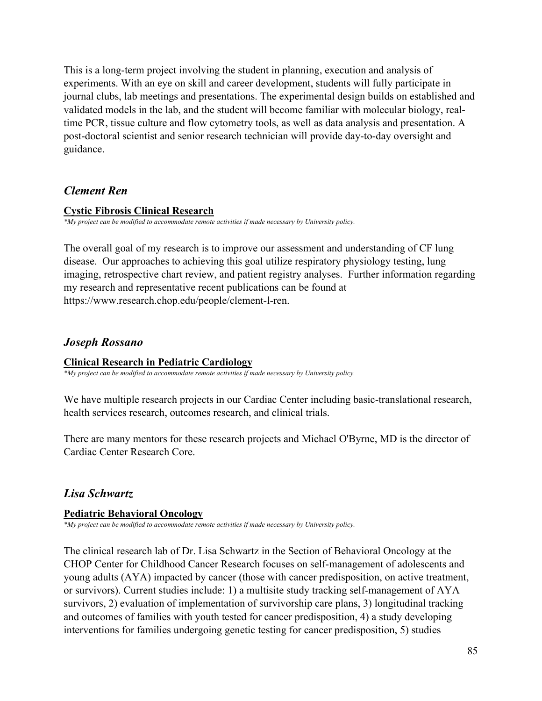This is a long-term project involving the student in planning, execution and analysis of experiments. With an eye on skill and career development, students will fully participate in journal clubs, lab meetings and presentations. The experimental design builds on established and validated models in the lab, and the student will become familiar with molecular biology, realtime PCR, tissue culture and flow cytometry tools, as well as data analysis and presentation. A post-doctoral scientist and senior research technician will provide day-to-day oversight and guidance.

### *Clement Ren*

### **Cystic Fibrosis Clinical Research**

*\*My project can be modified to accommodate remote activities if made necessary by University policy.*

The overall goal of my research is to improve our assessment and understanding of CF lung disease. Our approaches to achieving this goal utilize respiratory physiology testing, lung imaging, retrospective chart review, and patient registry analyses. Further information regarding my research and representative recent publications can be found at https://www.research.chop.edu/people/clement-l-ren.

### *Joseph Rossano*

### **Clinical Research in Pediatric Cardiology**

*\*My project can be modified to accommodate remote activities if made necessary by University policy.*

We have multiple research projects in our Cardiac Center including basic-translational research, health services research, outcomes research, and clinical trials.

There are many mentors for these research projects and Michael O'Byrne, MD is the director of Cardiac Center Research Core.

## *Lisa Schwartz*

### **Pediatric Behavioral Oncology**

*\*My project can be modified to accommodate remote activities if made necessary by University policy.*

The clinical research lab of Dr. Lisa Schwartz in the Section of Behavioral Oncology at the CHOP Center for Childhood Cancer Research focuses on self-management of adolescents and young adults (AYA) impacted by cancer (those with cancer predisposition, on active treatment, or survivors). Current studies include: 1) a multisite study tracking self-management of AYA survivors, 2) evaluation of implementation of survivorship care plans, 3) longitudinal tracking and outcomes of families with youth tested for cancer predisposition, 4) a study developing interventions for families undergoing genetic testing for cancer predisposition, 5) studies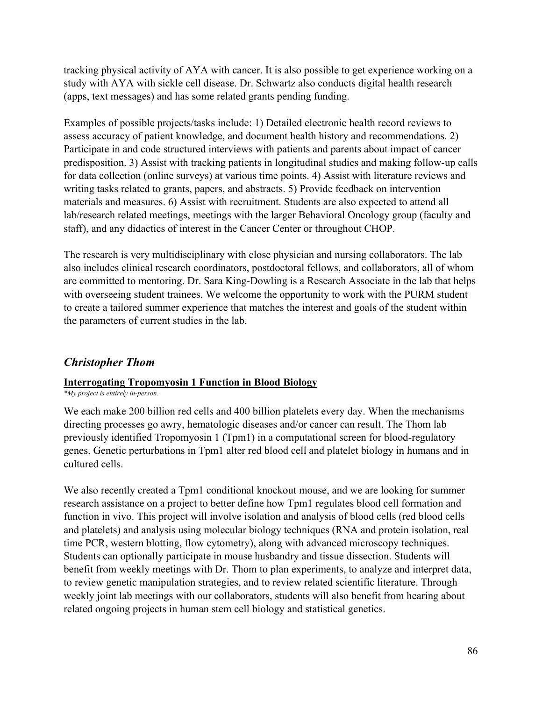tracking physical activity of AYA with cancer. It is also possible to get experience working on a study with AYA with sickle cell disease. Dr. Schwartz also conducts digital health research (apps, text messages) and has some related grants pending funding.

Examples of possible projects/tasks include: 1) Detailed electronic health record reviews to assess accuracy of patient knowledge, and document health history and recommendations. 2) Participate in and code structured interviews with patients and parents about impact of cancer predisposition. 3) Assist with tracking patients in longitudinal studies and making follow-up calls for data collection (online surveys) at various time points. 4) Assist with literature reviews and writing tasks related to grants, papers, and abstracts. 5) Provide feedback on intervention materials and measures. 6) Assist with recruitment. Students are also expected to attend all lab/research related meetings, meetings with the larger Behavioral Oncology group (faculty and staff), and any didactics of interest in the Cancer Center or throughout CHOP.

The research is very multidisciplinary with close physician and nursing collaborators. The lab also includes clinical research coordinators, postdoctoral fellows, and collaborators, all of whom are committed to mentoring. Dr. Sara King-Dowling is a Research Associate in the lab that helps with overseeing student trainees. We welcome the opportunity to work with the PURM student to create a tailored summer experience that matches the interest and goals of the student within the parameters of current studies in the lab.

## *Christopher Thom*

### **Interrogating Tropomyosin 1 Function in Blood Biology**

*\*My project is entirely in-person.*

We each make 200 billion red cells and 400 billion platelets every day. When the mechanisms directing processes go awry, hematologic diseases and/or cancer can result. The Thom lab previously identified Tropomyosin 1 (Tpm1) in a computational screen for blood-regulatory genes. Genetic perturbations in Tpm1 alter red blood cell and platelet biology in humans and in cultured cells.

We also recently created a Tpm1 conditional knockout mouse, and we are looking for summer research assistance on a project to better define how Tpm1 regulates blood cell formation and function in vivo. This project will involve isolation and analysis of blood cells (red blood cells and platelets) and analysis using molecular biology techniques (RNA and protein isolation, real time PCR, western blotting, flow cytometry), along with advanced microscopy techniques. Students can optionally participate in mouse husbandry and tissue dissection. Students will benefit from weekly meetings with Dr. Thom to plan experiments, to analyze and interpret data, to review genetic manipulation strategies, and to review related scientific literature. Through weekly joint lab meetings with our collaborators, students will also benefit from hearing about related ongoing projects in human stem cell biology and statistical genetics.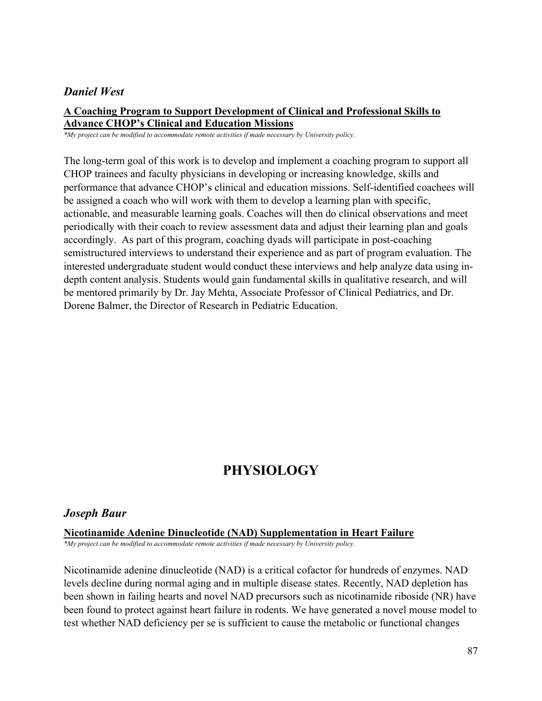### *Daniel West*

### **A Coaching Program to Support Development of Clinical and Professional Skills to Advance CHOP's Clinical and Education Missions**

*\*My project can be modified to accommodate remote activities if made necessary by University policy.*

The long-term goal of this work is to develop and implement a coaching program to support all CHOP trainees and faculty physicians in developing or increasing knowledge, skills and performance that advance CHOP's clinical and education missions. Self-identified coachees will be assigned a coach who will work with them to develop a learning plan with specific, actionable, and measurable learning goals. Coaches will then do clinical observations and meet periodically with their coach to review assessment data and adjust their learning plan and goals accordingly. As part of this program, coaching dyads will participate in post-coaching semistructured interviews to understand their experience and as part of program evaluation. The interested undergraduate student would conduct these interviews and help analyze data using indepth content analysis. Students would gain fundamental skills in qualitative research, and will be mentored primarily by Dr. Jay Mehta, Associate Professor of Clinical Pediatrics, and Dr. Dorene Balmer, the Director of Research in Pediatric Education.

# **PHYSIOLOGY**

## *Joseph Baur*

### **Nicotinamide Adenine Dinucleotide (NAD) Supplementation in Heart Failure**

*\*My project can be modified to accommodate remote activities if made necessary by University policy.*

Nicotinamide adenine dinucleotide (NAD) is a critical cofactor for hundreds of enzymes. NAD levels decline during normal aging and in multiple disease states. Recently, NAD depletion has been shown in failing hearts and novel NAD precursors such as nicotinamide riboside (NR) have been found to protect against heart failure in rodents. We have generated a novel mouse model to test whether NAD deficiency per se is sufficient to cause the metabolic or functional changes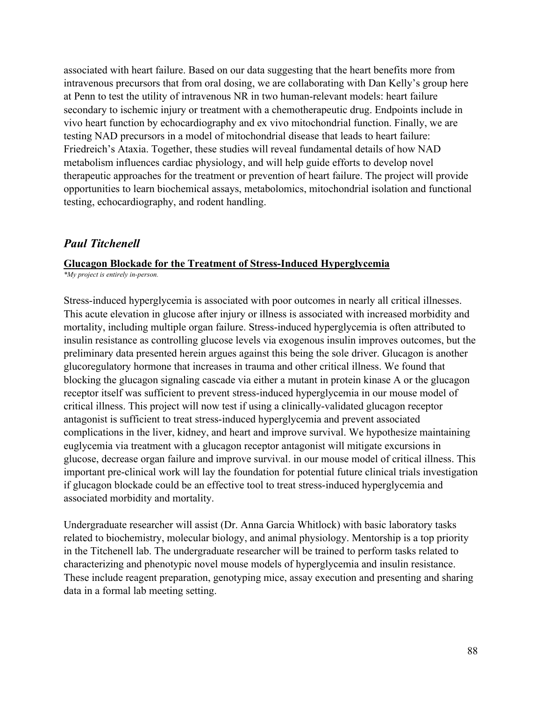associated with heart failure. Based on our data suggesting that the heart benefits more from intravenous precursors that from oral dosing, we are collaborating with Dan Kelly's group here at Penn to test the utility of intravenous NR in two human-relevant models: heart failure secondary to ischemic injury or treatment with a chemotherapeutic drug. Endpoints include in vivo heart function by echocardiography and ex vivo mitochondrial function. Finally, we are testing NAD precursors in a model of mitochondrial disease that leads to heart failure: Friedreich's Ataxia. Together, these studies will reveal fundamental details of how NAD metabolism influences cardiac physiology, and will help guide efforts to develop novel therapeutic approaches for the treatment or prevention of heart failure. The project will provide opportunities to learn biochemical assays, metabolomics, mitochondrial isolation and functional testing, echocardiography, and rodent handling.

### *Paul Titchenell*

#### **Glucagon Blockade for the Treatment of Stress-Induced Hyperglycemia**

*\*My project is entirely in-person.*

Stress-induced hyperglycemia is associated with poor outcomes in nearly all critical illnesses. This acute elevation in glucose after injury or illness is associated with increased morbidity and mortality, including multiple organ failure. Stress-induced hyperglycemia is often attributed to insulin resistance as controlling glucose levels via exogenous insulin improves outcomes, but the preliminary data presented herein argues against this being the sole driver. Glucagon is another glucoregulatory hormone that increases in trauma and other critical illness. We found that blocking the glucagon signaling cascade via either a mutant in protein kinase A or the glucagon receptor itself was sufficient to prevent stress-induced hyperglycemia in our mouse model of critical illness. This project will now test if using a clinically-validated glucagon receptor antagonist is sufficient to treat stress-induced hyperglycemia and prevent associated complications in the liver, kidney, and heart and improve survival. We hypothesize maintaining euglycemia via treatment with a glucagon receptor antagonist will mitigate excursions in glucose, decrease organ failure and improve survival. in our mouse model of critical illness. This important pre-clinical work will lay the foundation for potential future clinical trials investigation if glucagon blockade could be an effective tool to treat stress-induced hyperglycemia and associated morbidity and mortality.

Undergraduate researcher will assist (Dr. Anna Garcia Whitlock) with basic laboratory tasks related to biochemistry, molecular biology, and animal physiology. Mentorship is a top priority in the Titchenell lab. The undergraduate researcher will be trained to perform tasks related to characterizing and phenotypic novel mouse models of hyperglycemia and insulin resistance. These include reagent preparation, genotyping mice, assay execution and presenting and sharing data in a formal lab meeting setting.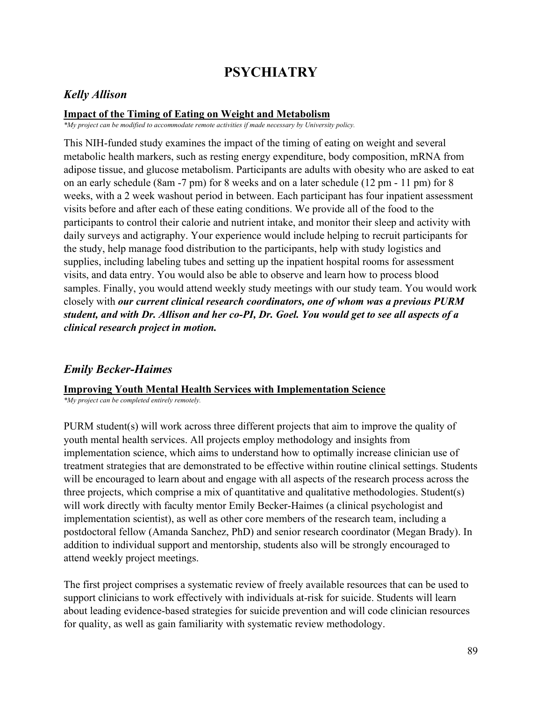# **PSYCHIATRY**

### *Kelly Allison*

### **Impact of the Timing of Eating on Weight and Metabolism**

*\*My project can be modified to accommodate remote activities if made necessary by University policy.*

This NIH-funded study examines the impact of the timing of eating on weight and several metabolic health markers, such as resting energy expenditure, body composition, mRNA from adipose tissue, and glucose metabolism. Participants are adults with obesity who are asked to eat on an early schedule (8am -7 pm) for 8 weeks and on a later schedule (12 pm - 11 pm) for 8 weeks, with a 2 week washout period in between. Each participant has four inpatient assessment visits before and after each of these eating conditions. We provide all of the food to the participants to control their calorie and nutrient intake, and monitor their sleep and activity with daily surveys and actigraphy. Your experience would include helping to recruit participants for the study, help manage food distribution to the participants, help with study logistics and supplies, including labeling tubes and setting up the inpatient hospital rooms for assessment visits, and data entry. You would also be able to observe and learn how to process blood samples. Finally, you would attend weekly study meetings with our study team. You would work closely with *our current clinical research coordinators, one of whom was a previous PURM student, and with Dr. Allison and her co-PI, Dr. Goel. You would get to see all aspects of a clinical research project in motion.*

## *Emily Becker-Haimes*

#### **Improving Youth Mental Health Services with Implementation Science**

*\*My project can be completed entirely remotely.*

PURM student(s) will work across three different projects that aim to improve the quality of youth mental health services. All projects employ methodology and insights from implementation science, which aims to understand how to optimally increase clinician use of treatment strategies that are demonstrated to be effective within routine clinical settings. Students will be encouraged to learn about and engage with all aspects of the research process across the three projects, which comprise a mix of quantitative and qualitative methodologies. Student(s) will work directly with faculty mentor Emily Becker-Haimes (a clinical psychologist and implementation scientist), as well as other core members of the research team, including a postdoctoral fellow (Amanda Sanchez, PhD) and senior research coordinator (Megan Brady). In addition to individual support and mentorship, students also will be strongly encouraged to attend weekly project meetings.

The first project comprises a systematic review of freely available resources that can be used to support clinicians to work effectively with individuals at-risk for suicide. Students will learn about leading evidence-based strategies for suicide prevention and will code clinician resources for quality, as well as gain familiarity with systematic review methodology.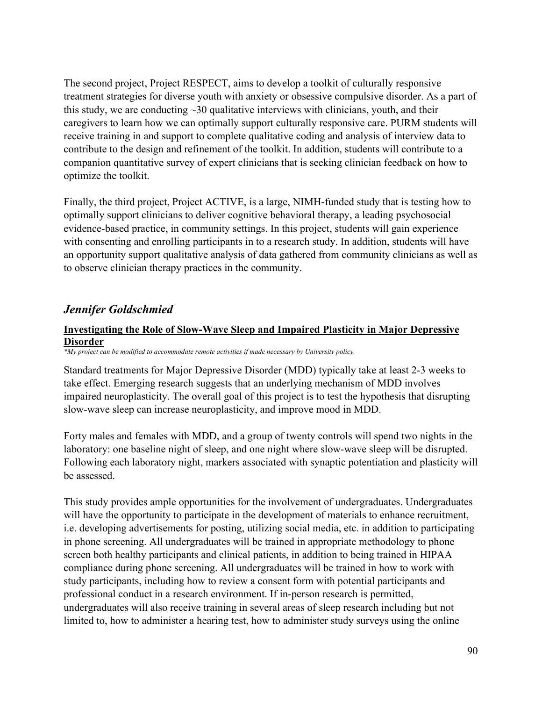The second project, Project RESPECT, aims to develop a toolkit of culturally responsive treatment strategies for diverse youth with anxiety or obsessive compulsive disorder. As a part of this study, we are conducting  $\sim$ 30 qualitative interviews with clinicians, youth, and their caregivers to learn how we can optimally support culturally responsive care. PURM students will receive training in and support to complete qualitative coding and analysis of interview data to contribute to the design and refinement of the toolkit. In addition, students will contribute to a companion quantitative survey of expert clinicians that is seeking clinician feedback on how to optimize the toolkit.

Finally, the third project, Project ACTIVE, is a large, NIMH-funded study that is testing how to optimally support clinicians to deliver cognitive behavioral therapy, a leading psychosocial evidence-based practice, in community settings. In this project, students will gain experience with consenting and enrolling participants in to a research study. In addition, students will have an opportunity support qualitative analysis of data gathered from community clinicians as well as to observe clinician therapy practices in the community.

## *Jennifer Goldschmied*

### **Investigating the Role of Slow-Wave Sleep and Impaired Plasticity in Major Depressive Disorder**

*\*My project can be modified to accommodate remote activities if made necessary by University policy.*

Standard treatments for Major Depressive Disorder (MDD) typically take at least 2-3 weeks to take effect. Emerging research suggests that an underlying mechanism of MDD involves impaired neuroplasticity. The overall goal of this project is to test the hypothesis that disrupting slow-wave sleep can increase neuroplasticity, and improve mood in MDD.

Forty males and females with MDD, and a group of twenty controls will spend two nights in the laboratory: one baseline night of sleep, and one night where slow-wave sleep will be disrupted. Following each laboratory night, markers associated with synaptic potentiation and plasticity will be assessed.

This study provides ample opportunities for the involvement of undergraduates. Undergraduates will have the opportunity to participate in the development of materials to enhance recruitment, i.e. developing advertisements for posting, utilizing social media, etc. in addition to participating in phone screening. All undergraduates will be trained in appropriate methodology to phone screen both healthy participants and clinical patients, in addition to being trained in HIPAA compliance during phone screening. All undergraduates will be trained in how to work with study participants, including how to review a consent form with potential participants and professional conduct in a research environment. If in-person research is permitted, undergraduates will also receive training in several areas of sleep research including but not limited to, how to administer a hearing test, how to administer study surveys using the online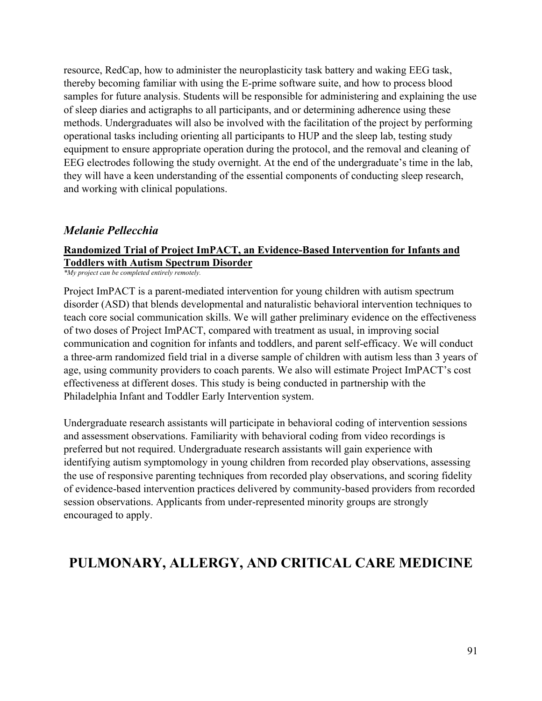resource, RedCap, how to administer the neuroplasticity task battery and waking EEG task, thereby becoming familiar with using the E-prime software suite, and how to process blood samples for future analysis. Students will be responsible for administering and explaining the use of sleep diaries and actigraphs to all participants, and or determining adherence using these methods. Undergraduates will also be involved with the facilitation of the project by performing operational tasks including orienting all participants to HUP and the sleep lab, testing study equipment to ensure appropriate operation during the protocol, and the removal and cleaning of EEG electrodes following the study overnight. At the end of the undergraduate's time in the lab, they will have a keen understanding of the essential components of conducting sleep research, and working with clinical populations.

## *Melanie Pellecchia*

## **Randomized Trial of Project ImPACT, an Evidence-Based Intervention for Infants and Toddlers with Autism Spectrum Disorder**

*\*My project can be completed entirely remotely.*

Project ImPACT is a parent-mediated intervention for young children with autism spectrum disorder (ASD) that blends developmental and naturalistic behavioral intervention techniques to teach core social communication skills. We will gather preliminary evidence on the effectiveness of two doses of Project ImPACT, compared with treatment as usual, in improving social communication and cognition for infants and toddlers, and parent self-efficacy. We will conduct a three-arm randomized field trial in a diverse sample of children with autism less than 3 years of age, using community providers to coach parents. We also will estimate Project ImPACT's cost effectiveness at different doses. This study is being conducted in partnership with the Philadelphia Infant and Toddler Early Intervention system.

Undergraduate research assistants will participate in behavioral coding of intervention sessions and assessment observations. Familiarity with behavioral coding from video recordings is preferred but not required. Undergraduate research assistants will gain experience with identifying autism symptomology in young children from recorded play observations, assessing the use of responsive parenting techniques from recorded play observations, and scoring fidelity of evidence-based intervention practices delivered by community-based providers from recorded session observations. Applicants from under-represented minority groups are strongly encouraged to apply.

## **PULMONARY, ALLERGY, AND CRITICAL CARE MEDICINE**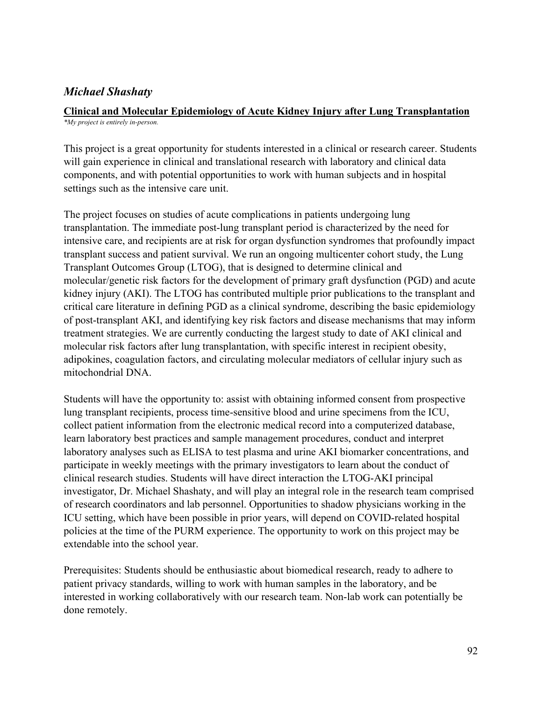## *Michael Shashaty*

#### **Clinical and Molecular Epidemiology of Acute Kidney Injury after Lung Transplantation** *\*My project is entirely in-person.*

This project is a great opportunity for students interested in a clinical or research career. Students will gain experience in clinical and translational research with laboratory and clinical data components, and with potential opportunities to work with human subjects and in hospital settings such as the intensive care unit.

The project focuses on studies of acute complications in patients undergoing lung transplantation. The immediate post-lung transplant period is characterized by the need for intensive care, and recipients are at risk for organ dysfunction syndromes that profoundly impact transplant success and patient survival. We run an ongoing multicenter cohort study, the Lung Transplant Outcomes Group (LTOG), that is designed to determine clinical and molecular/genetic risk factors for the development of primary graft dysfunction (PGD) and acute kidney injury (AKI). The LTOG has contributed multiple prior publications to the transplant and critical care literature in defining PGD as a clinical syndrome, describing the basic epidemiology of post-transplant AKI, and identifying key risk factors and disease mechanisms that may inform treatment strategies. We are currently conducting the largest study to date of AKI clinical and molecular risk factors after lung transplantation, with specific interest in recipient obesity, adipokines, coagulation factors, and circulating molecular mediators of cellular injury such as mitochondrial DNA.

Students will have the opportunity to: assist with obtaining informed consent from prospective lung transplant recipients, process time-sensitive blood and urine specimens from the ICU, collect patient information from the electronic medical record into a computerized database, learn laboratory best practices and sample management procedures, conduct and interpret laboratory analyses such as ELISA to test plasma and urine AKI biomarker concentrations, and participate in weekly meetings with the primary investigators to learn about the conduct of clinical research studies. Students will have direct interaction the LTOG-AKI principal investigator, Dr. Michael Shashaty, and will play an integral role in the research team comprised of research coordinators and lab personnel. Opportunities to shadow physicians working in the ICU setting, which have been possible in prior years, will depend on COVID-related hospital policies at the time of the PURM experience. The opportunity to work on this project may be extendable into the school year.

Prerequisites: Students should be enthusiastic about biomedical research, ready to adhere to patient privacy standards, willing to work with human samples in the laboratory, and be interested in working collaboratively with our research team. Non-lab work can potentially be done remotely.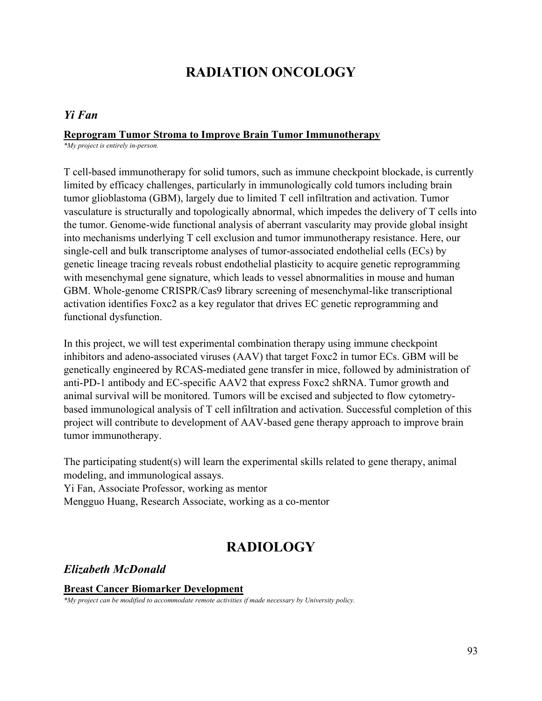# **RADIATION ONCOLOGY**

### *Yi Fan*

#### **Reprogram Tumor Stroma to Improve Brain Tumor Immunotherapy**

*\*My project is entirely in-person.*

T cell-based immunotherapy for solid tumors, such as immune checkpoint blockade, is currently limited by efficacy challenges, particularly in immunologically cold tumors including brain tumor glioblastoma (GBM), largely due to limited T cell infiltration and activation. Tumor vasculature is structurally and topologically abnormal, which impedes the delivery of T cells into the tumor. Genome-wide functional analysis of aberrant vascularity may provide global insight into mechanisms underlying T cell exclusion and tumor immunotherapy resistance. Here, our single-cell and bulk transcriptome analyses of tumor-associated endothelial cells (ECs) by genetic lineage tracing reveals robust endothelial plasticity to acquire genetic reprogramming with mesenchymal gene signature, which leads to vessel abnormalities in mouse and human GBM. Whole-genome CRISPR/Cas9 library screening of mesenchymal-like transcriptional activation identifies Foxc2 as a key regulator that drives EC genetic reprogramming and functional dysfunction.

In this project, we will test experimental combination therapy using immune checkpoint inhibitors and adeno-associated viruses (AAV) that target Foxc2 in tumor ECs. GBM will be genetically engineered by RCAS-mediated gene transfer in mice, followed by administration of anti-PD-1 antibody and EC-specific AAV2 that express Foxc2 shRNA. Tumor growth and animal survival will be monitored. Tumors will be excised and subjected to flow cytometrybased immunological analysis of T cell infiltration and activation. Successful completion of this project will contribute to development of AAV-based gene therapy approach to improve brain tumor immunotherapy.

The participating student(s) will learn the experimental skills related to gene therapy, animal modeling, and immunological assays.

Yi Fan, Associate Professor, working as mentor

Mengguo Huang, Research Associate, working as a co-mentor

# **RADIOLOGY**

### *Elizabeth McDonald*

### **Breast Cancer Biomarker Development**

*\*My project can be modified to accommodate remote activities if made necessary by University policy.*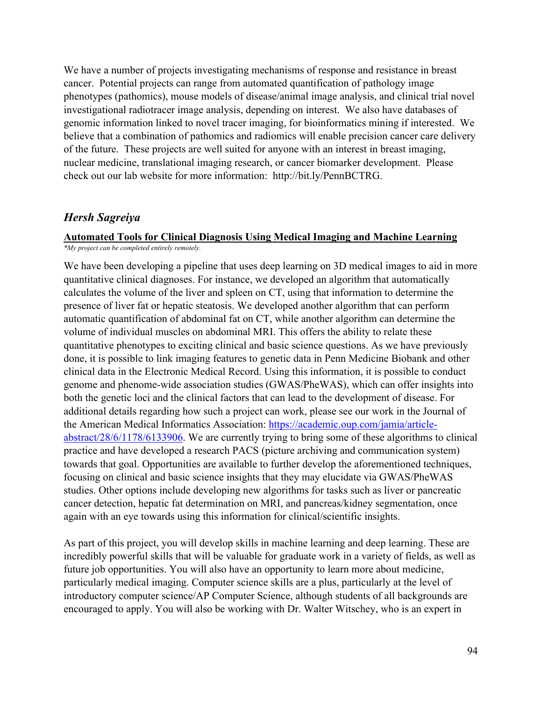We have a number of projects investigating mechanisms of response and resistance in breast cancer. Potential projects can range from automated quantification of pathology image phenotypes (pathomics), mouse models of disease/animal image analysis, and clinical trial novel investigational radiotracer image analysis, depending on interest. We also have databases of genomic information linked to novel tracer imaging, for bioinformatics mining if interested. We believe that a combination of pathomics and radiomics will enable precision cancer care delivery of the future. These projects are well suited for anyone with an interest in breast imaging, nuclear medicine, translational imaging research, or cancer biomarker development. Please check out our lab website for more information: http://bit.ly/PennBCTRG.

### *Hersh Sagreiya*

### **Automated Tools for Clinical Diagnosis Using Medical Imaging and Machine Learning**

*\*My project can be completed entirely remotely.*

We have been developing a pipeline that uses deep learning on 3D medical images to aid in more quantitative clinical diagnoses. For instance, we developed an algorithm that automatically calculates the volume of the liver and spleen on CT, using that information to determine the presence of liver fat or hepatic steatosis. We developed another algorithm that can perform automatic quantification of abdominal fat on CT, while another algorithm can determine the volume of individual muscles on abdominal MRI. This offers the ability to relate these quantitative phenotypes to exciting clinical and basic science questions. As we have previously done, it is possible to link imaging features to genetic data in Penn Medicine Biobank and other clinical data in the Electronic Medical Record. Using this information, it is possible to conduct genome and phenome-wide association studies (GWAS/PheWAS), which can offer insights into both the genetic loci and the clinical factors that can lead to the development of disease. For additional details regarding how such a project can work, please see our work in the Journal of the American Medical Informatics Association: [https://academic.oup.com/jamia/article](https://academic.oup.com/jamia/article-abstract/28/6/1178/6133906)[abstract/28/6/1178/6133906.](https://academic.oup.com/jamia/article-abstract/28/6/1178/6133906) We are currently trying to bring some of these algorithms to clinical practice and have developed a research PACS (picture archiving and communication system) towards that goal. Opportunities are available to further develop the aforementioned techniques, focusing on clinical and basic science insights that they may elucidate via GWAS/PheWAS studies. Other options include developing new algorithms for tasks such as liver or pancreatic cancer detection, hepatic fat determination on MRI, and pancreas/kidney segmentation, once again with an eye towards using this information for clinical/scientific insights.

As part of this project, you will develop skills in machine learning and deep learning. These are incredibly powerful skills that will be valuable for graduate work in a variety of fields, as well as future job opportunities. You will also have an opportunity to learn more about medicine, particularly medical imaging. Computer science skills are a plus, particularly at the level of introductory computer science/AP Computer Science, although students of all backgrounds are encouraged to apply. You will also be working with Dr. Walter Witschey, who is an expert in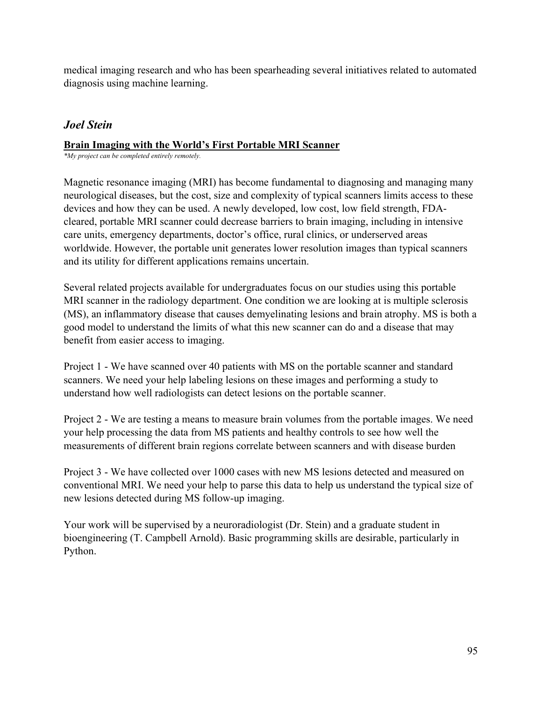medical imaging research and who has been spearheading several initiatives related to automated diagnosis using machine learning.

## *Joel Stein*

### **Brain Imaging with the World's First Portable MRI Scanner**

*\*My project can be completed entirely remotely.*

Magnetic resonance imaging (MRI) has become fundamental to diagnosing and managing many neurological diseases, but the cost, size and complexity of typical scanners limits access to these devices and how they can be used. A newly developed, low cost, low field strength, FDAcleared, portable MRI scanner could decrease barriers to brain imaging, including in intensive care units, emergency departments, doctor's office, rural clinics, or underserved areas worldwide. However, the portable unit generates lower resolution images than typical scanners and its utility for different applications remains uncertain.

Several related projects available for undergraduates focus on our studies using this portable MRI scanner in the radiology department. One condition we are looking at is multiple sclerosis (MS), an inflammatory disease that causes demyelinating lesions and brain atrophy. MS is both a good model to understand the limits of what this new scanner can do and a disease that may benefit from easier access to imaging.

Project 1 - We have scanned over 40 patients with MS on the portable scanner and standard scanners. We need your help labeling lesions on these images and performing a study to understand how well radiologists can detect lesions on the portable scanner.

Project 2 - We are testing a means to measure brain volumes from the portable images. We need your help processing the data from MS patients and healthy controls to see how well the measurements of different brain regions correlate between scanners and with disease burden

Project 3 - We have collected over 1000 cases with new MS lesions detected and measured on conventional MRI. We need your help to parse this data to help us understand the typical size of new lesions detected during MS follow-up imaging.

Your work will be supervised by a neuroradiologist (Dr. Stein) and a graduate student in bioengineering (T. Campbell Arnold). Basic programming skills are desirable, particularly in Python.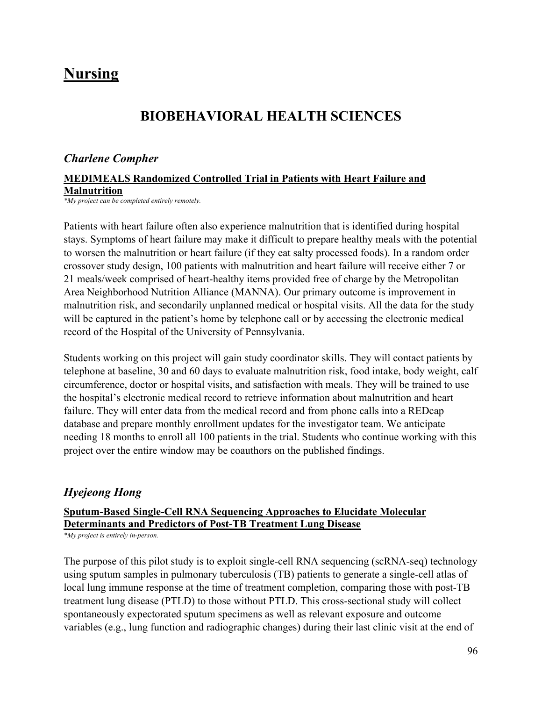# **Nursing**

## **BIOBEHAVIORAL HEALTH SCIENCES**

### *Charlene Compher*

### **MEDIMEALS Randomized Controlled Trial in Patients with Heart Failure and Malnutrition**

*\*My project can be completed entirely remotely.*

Patients with heart failure often also experience malnutrition that is identified during hospital stays. Symptoms of heart failure may make it difficult to prepare healthy meals with the potential to worsen the malnutrition or heart failure (if they eat salty processed foods). In a random order crossover study design, 100 patients with malnutrition and heart failure will receive either 7 or 21 meals/week comprised of heart-healthy items provided free of charge by the Metropolitan Area Neighborhood Nutrition Alliance (MANNA). Our primary outcome is improvement in malnutrition risk, and secondarily unplanned medical or hospital visits. All the data for the study will be captured in the patient's home by telephone call or by accessing the electronic medical record of the Hospital of the University of Pennsylvania.

Students working on this project will gain study coordinator skills. They will contact patients by telephone at baseline, 30 and 60 days to evaluate malnutrition risk, food intake, body weight, calf circumference, doctor or hospital visits, and satisfaction with meals. They will be trained to use the hospital's electronic medical record to retrieve information about malnutrition and heart failure. They will enter data from the medical record and from phone calls into a REDcap database and prepare monthly enrollment updates for the investigator team. We anticipate needing 18 months to enroll all 100 patients in the trial. Students who continue working with this project over the entire window may be coauthors on the published findings.

## *Hyejeong Hong*

## **Sputum-Based Single-Cell RNA Sequencing Approaches to Elucidate Molecular Determinants and Predictors of Post-TB Treatment Lung Disease**

*\*My project is entirely in-person.*

The purpose of this pilot study is to exploit single-cell RNA sequencing (scRNA-seq) technology using sputum samples in pulmonary tuberculosis (TB) patients to generate a single-cell atlas of local lung immune response at the time of treatment completion, comparing those with post-TB treatment lung disease (PTLD) to those without PTLD. This cross-sectional study will collect spontaneously expectorated sputum specimens as well as relevant exposure and outcome variables (e.g., lung function and radiographic changes) during their last clinic visit at the end of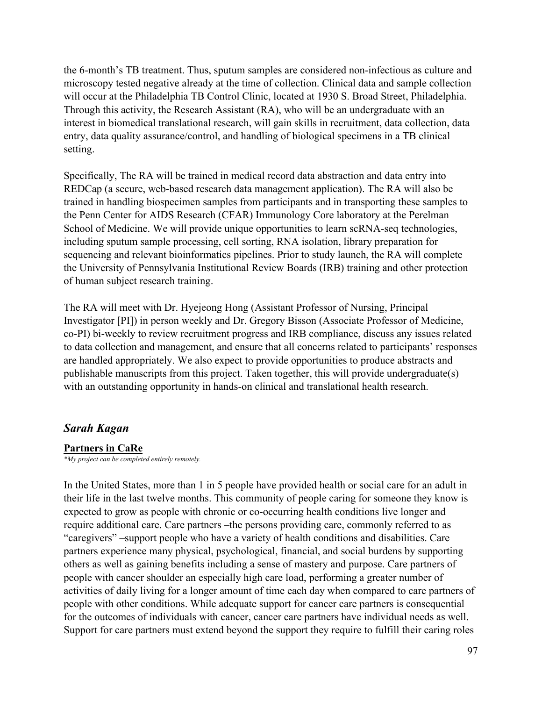the 6-month's TB treatment. Thus, sputum samples are considered non-infectious as culture and microscopy tested negative already at the time of collection. Clinical data and sample collection will occur at the Philadelphia TB Control Clinic, located at 1930 S. Broad Street, Philadelphia. Through this activity, the Research Assistant (RA), who will be an undergraduate with an interest in biomedical translational research, will gain skills in recruitment, data collection, data entry, data quality assurance/control, and handling of biological specimens in a TB clinical setting.

Specifically, The RA will be trained in medical record data abstraction and data entry into REDCap (a secure, web-based research data management application). The RA will also be trained in handling biospecimen samples from participants and in transporting these samples to the Penn Center for AIDS Research (CFAR) Immunology Core laboratory at the Perelman School of Medicine. We will provide unique opportunities to learn scRNA-seq technologies, including sputum sample processing, cell sorting, RNA isolation, library preparation for sequencing and relevant bioinformatics pipelines. Prior to study launch, the RA will complete the University of Pennsylvania Institutional Review Boards (IRB) training and other protection of human subject research training.

The RA will meet with Dr. Hyejeong Hong (Assistant Professor of Nursing, Principal Investigator [PI]) in person weekly and Dr. Gregory Bisson (Associate Professor of Medicine, co-PI) bi-weekly to review recruitment progress and IRB compliance, discuss any issues related to data collection and management, and ensure that all concerns related to participants' responses are handled appropriately. We also expect to provide opportunities to produce abstracts and publishable manuscripts from this project. Taken together, this will provide undergraduate(s) with an outstanding opportunity in hands-on clinical and translational health research.

### *Sarah Kagan*

### **Partners in CaRe**

*\*My project can be completed entirely remotely.*

In the United States, more than 1 in 5 people have provided health or social care for an adult in their life in the last twelve months. This community of people caring for someone they know is expected to grow as people with chronic or co-occurring health conditions live longer and require additional care. Care partners –the persons providing care, commonly referred to as "caregivers" –support people who have a variety of health conditions and disabilities. Care partners experience many physical, psychological, financial, and social burdens by supporting others as well as gaining benefits including a sense of mastery and purpose. Care partners of people with cancer shoulder an especially high care load, performing a greater number of activities of daily living for a longer amount of time each day when compared to care partners of people with other conditions. While adequate support for cancer care partners is consequential for the outcomes of individuals with cancer, cancer care partners have individual needs as well. Support for care partners must extend beyond the support they require to fulfill their caring roles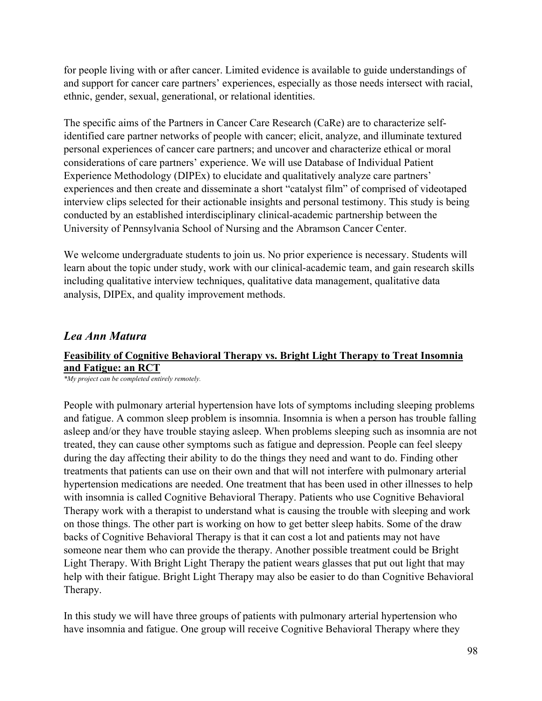for people living with or after cancer. Limited evidence is available to guide understandings of and support for cancer care partners' experiences, especially as those needs intersect with racial, ethnic, gender, sexual, generational, or relational identities.

The specific aims of the Partners in Cancer Care Research (CaRe) are to characterize selfidentified care partner networks of people with cancer; elicit, analyze, and illuminate textured personal experiences of cancer care partners; and uncover and characterize ethical or moral considerations of care partners' experience. We will use Database of Individual Patient Experience Methodology (DIPEx) to elucidate and qualitatively analyze care partners' experiences and then create and disseminate a short "catalyst film" of comprised of videotaped interview clips selected for their actionable insights and personal testimony. This study is being conducted by an established interdisciplinary clinical-academic partnership between the University of Pennsylvania School of Nursing and the Abramson Cancer Center.

We welcome undergraduate students to join us. No prior experience is necessary. Students will learn about the topic under study, work with our clinical-academic team, and gain research skills including qualitative interview techniques, qualitative data management, qualitative data analysis, DIPEx, and quality improvement methods.

## *Lea Ann Matura*

## **Feasibility of Cognitive Behavioral Therapy vs. Bright Light Therapy to Treat Insomnia and Fatigue: an RCT**

*\*My project can be completed entirely remotely.*

People with pulmonary arterial hypertension have lots of symptoms including sleeping problems and fatigue. A common sleep problem is insomnia. Insomnia is when a person has trouble falling asleep and/or they have trouble staying asleep. When problems sleeping such as insomnia are not treated, they can cause other symptoms such as fatigue and depression. People can feel sleepy during the day affecting their ability to do the things they need and want to do. Finding other treatments that patients can use on their own and that will not interfere with pulmonary arterial hypertension medications are needed. One treatment that has been used in other illnesses to help with insomnia is called Cognitive Behavioral Therapy. Patients who use Cognitive Behavioral Therapy work with a therapist to understand what is causing the trouble with sleeping and work on those things. The other part is working on how to get better sleep habits. Some of the draw backs of Cognitive Behavioral Therapy is that it can cost a lot and patients may not have someone near them who can provide the therapy. Another possible treatment could be Bright Light Therapy. With Bright Light Therapy the patient wears glasses that put out light that may help with their fatigue. Bright Light Therapy may also be easier to do than Cognitive Behavioral Therapy.

In this study we will have three groups of patients with pulmonary arterial hypertension who have insomnia and fatigue. One group will receive Cognitive Behavioral Therapy where they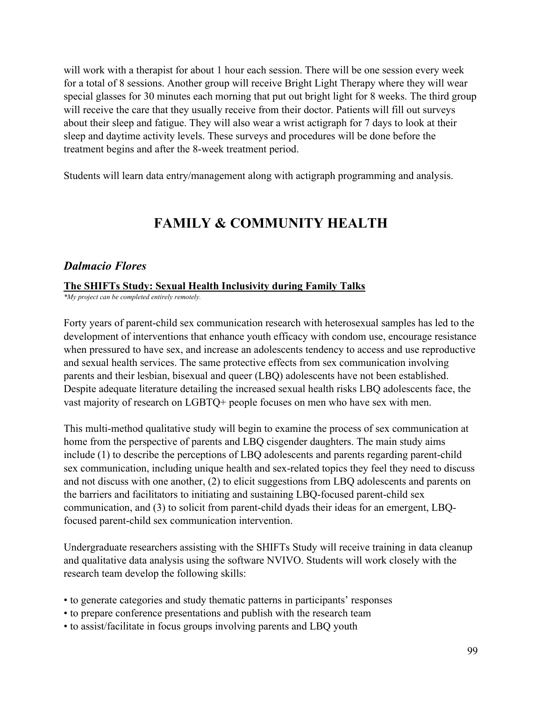will work with a therapist for about 1 hour each session. There will be one session every week for a total of 8 sessions. Another group will receive Bright Light Therapy where they will wear special glasses for 30 minutes each morning that put out bright light for 8 weeks. The third group will receive the care that they usually receive from their doctor. Patients will fill out surveys about their sleep and fatigue. They will also wear a wrist actigraph for 7 days to look at their sleep and daytime activity levels. These surveys and procedures will be done before the treatment begins and after the 8-week treatment period.

Students will learn data entry/management along with actigraph programming and analysis.

## **FAMILY & COMMUNITY HEALTH**

### *Dalmacio Flores*

### **The SHIFTs Study: Sexual Health Inclusivity during Family Talks**

*\*My project can be completed entirely remotely.*

Forty years of parent-child sex communication research with heterosexual samples has led to the development of interventions that enhance youth efficacy with condom use, encourage resistance when pressured to have sex, and increase an adolescents tendency to access and use reproductive and sexual health services. The same protective effects from sex communication involving parents and their lesbian, bisexual and queer (LBQ) adolescents have not been established. Despite adequate literature detailing the increased sexual health risks LBQ adolescents face, the vast majority of research on LGBTQ+ people focuses on men who have sex with men.

This multi-method qualitative study will begin to examine the process of sex communication at home from the perspective of parents and LBQ cisgender daughters. The main study aims include (1) to describe the perceptions of LBQ adolescents and parents regarding parent-child sex communication, including unique health and sex-related topics they feel they need to discuss and not discuss with one another, (2) to elicit suggestions from LBQ adolescents and parents on the barriers and facilitators to initiating and sustaining LBQ-focused parent-child sex communication, and (3) to solicit from parent-child dyads their ideas for an emergent, LBQfocused parent-child sex communication intervention.

Undergraduate researchers assisting with the SHIFTs Study will receive training in data cleanup and qualitative data analysis using the software NVIVO. Students will work closely with the research team develop the following skills:

- to generate categories and study thematic patterns in participants' responses
- to prepare conference presentations and publish with the research team
- to assist/facilitate in focus groups involving parents and LBQ youth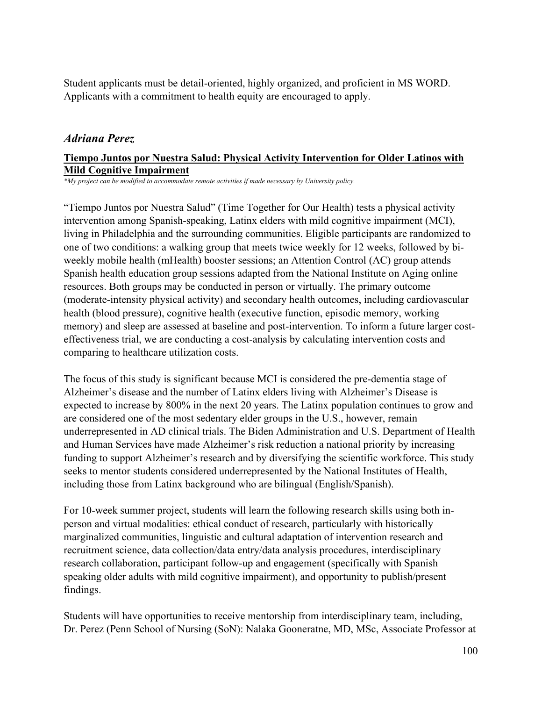Student applicants must be detail-oriented, highly organized, and proficient in MS WORD. Applicants with a commitment to health equity are encouraged to apply.

### *Adriana Perez*

### **Tiempo Juntos por Nuestra Salud: Physical Activity Intervention for Older Latinos with Mild Cognitive Impairment**

*\*My project can be modified to accommodate remote activities if made necessary by University policy.*

"Tiempo Juntos por Nuestra Salud" (Time Together for Our Health) tests a physical activity intervention among Spanish-speaking, Latinx elders with mild cognitive impairment (MCI), living in Philadelphia and the surrounding communities. Eligible participants are randomized to one of two conditions: a walking group that meets twice weekly for 12 weeks, followed by biweekly mobile health (mHealth) booster sessions; an Attention Control (AC) group attends Spanish health education group sessions adapted from the National Institute on Aging online resources. Both groups may be conducted in person or virtually. The primary outcome (moderate-intensity physical activity) and secondary health outcomes, including cardiovascular health (blood pressure), cognitive health (executive function, episodic memory, working memory) and sleep are assessed at baseline and post-intervention. To inform a future larger costeffectiveness trial, we are conducting a cost-analysis by calculating intervention costs and comparing to healthcare utilization costs.

The focus of this study is significant because MCI is considered the pre-dementia stage of Alzheimer's disease and the number of Latinx elders living with Alzheimer's Disease is expected to increase by 800% in the next 20 years. The Latinx population continues to grow and are considered one of the most sedentary elder groups in the U.S., however, remain underrepresented in AD clinical trials. The Biden Administration and U.S. Department of Health and Human Services have made Alzheimer's risk reduction a national priority by increasing funding to support Alzheimer's research and by diversifying the scientific workforce. This study seeks to mentor students considered underrepresented by the National Institutes of Health, including those from Latinx background who are bilingual (English/Spanish).

For 10-week summer project, students will learn the following research skills using both inperson and virtual modalities: ethical conduct of research, particularly with historically marginalized communities, linguistic and cultural adaptation of intervention research and recruitment science, data collection/data entry/data analysis procedures, interdisciplinary research collaboration, participant follow-up and engagement (specifically with Spanish speaking older adults with mild cognitive impairment), and opportunity to publish/present findings.

Students will have opportunities to receive mentorship from interdisciplinary team, including, Dr. Perez (Penn School of Nursing (SoN): Nalaka Gooneratne, MD, MSc, Associate Professor at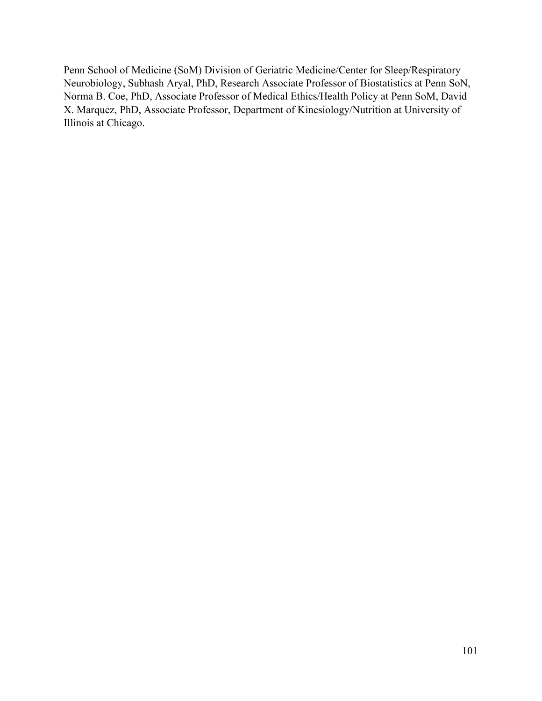Penn School of Medicine (SoM) Division of Geriatric Medicine/Center for Sleep/Respiratory Neurobiology, Subhash Aryal, PhD, Research Associate Professor of Biostatistics at Penn SoN, Norma B. Coe, PhD, Associate Professor of Medical Ethics/Health Policy at Penn SoM, David X. Marquez, PhD, Associate Professor, Department of Kinesiology/Nutrition at University of Illinois at Chicago.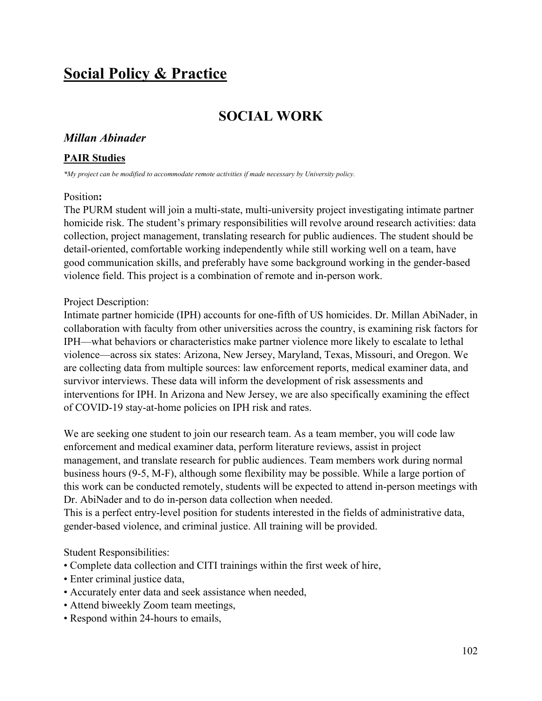# **Social Policy & Practice**

# **SOCIAL WORK**

### *Millan Abinader*

#### **PAIR Studies**

*\*My project can be modified to accommodate remote activities if made necessary by University policy.*

#### Position**:**

The PURM student will join a multi-state, multi-university project investigating intimate partner homicide risk. The student's primary responsibilities will revolve around research activities: data collection, project management, translating research for public audiences. The student should be detail-oriented, comfortable working independently while still working well on a team, have good communication skills, and preferably have some background working in the gender-based violence field. This project is a combination of remote and in-person work.

### Project Description:

Intimate partner homicide (IPH) accounts for one-fifth of US homicides. Dr. Millan AbiNader, in collaboration with faculty from other universities across the country, is examining risk factors for IPH—what behaviors or characteristics make partner violence more likely to escalate to lethal violence—across six states: Arizona, New Jersey, Maryland, Texas, Missouri, and Oregon. We are collecting data from multiple sources: law enforcement reports, medical examiner data, and survivor interviews. These data will inform the development of risk assessments and interventions for IPH. In Arizona and New Jersey, we are also specifically examining the effect of COVID-19 stay-at-home policies on IPH risk and rates.

We are seeking one student to join our research team. As a team member, you will code law enforcement and medical examiner data, perform literature reviews, assist in project management, and translate research for public audiences. Team members work during normal business hours (9-5, M-F), although some flexibility may be possible. While a large portion of this work can be conducted remotely, students will be expected to attend in-person meetings with Dr. AbiNader and to do in-person data collection when needed.

This is a perfect entry-level position for students interested in the fields of administrative data, gender-based violence, and criminal justice. All training will be provided.

### Student Responsibilities:

- Complete data collection and CITI trainings within the first week of hire,
- Enter criminal justice data,
- Accurately enter data and seek assistance when needed,
- Attend biweekly Zoom team meetings,
- Respond within 24-hours to emails,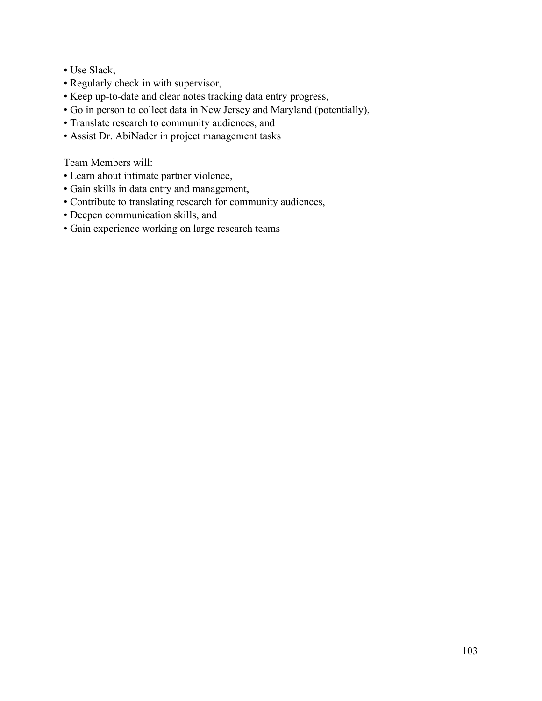- Use Slack,
- Regularly check in with supervisor,
- Keep up-to-date and clear notes tracking data entry progress,
- Go in person to collect data in New Jersey and Maryland (potentially),
- Translate research to community audiences, and
- Assist Dr. AbiNader in project management tasks

Team Members will:

- Learn about intimate partner violence,
- Gain skills in data entry and management,
- Contribute to translating research for community audiences,
- Deepen communication skills, and
- Gain experience working on large research teams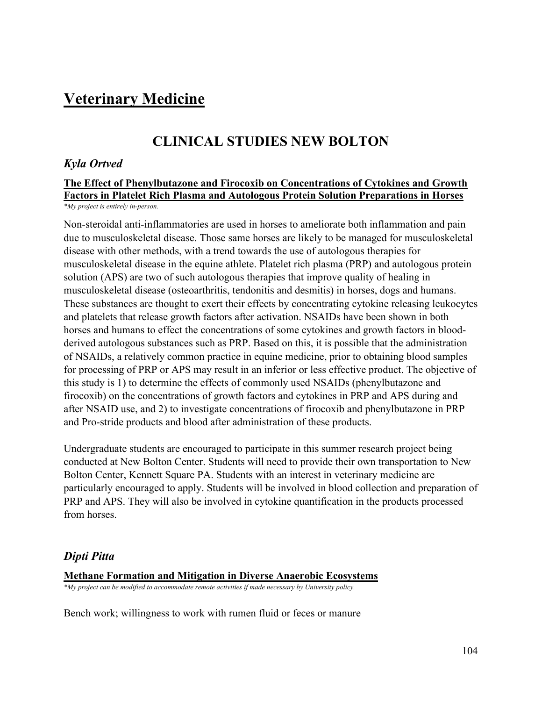# **Veterinary Medicine**

# **CLINICAL STUDIES NEW BOLTON**

### *Kyla Ortved*

#### **The Effect of Phenylbutazone and Firocoxib on Concentrations of Cytokines and Growth Factors in Platelet Rich Plasma and Autologous Protein Solution Preparations in Horses** *\*My project is entirely in-person.*

Non-steroidal anti-inflammatories are used in horses to ameliorate both inflammation and pain due to musculoskeletal disease. Those same horses are likely to be managed for musculoskeletal disease with other methods, with a trend towards the use of autologous therapies for musculoskeletal disease in the equine athlete. Platelet rich plasma (PRP) and autologous protein solution (APS) are two of such autologous therapies that improve quality of healing in musculoskeletal disease (osteoarthritis, tendonitis and desmitis) in horses, dogs and humans. These substances are thought to exert their effects by concentrating cytokine releasing leukocytes and platelets that release growth factors after activation. NSAIDs have been shown in both horses and humans to effect the concentrations of some cytokines and growth factors in bloodderived autologous substances such as PRP. Based on this, it is possible that the administration of NSAIDs, a relatively common practice in equine medicine, prior to obtaining blood samples for processing of PRP or APS may result in an inferior or less effective product. The objective of this study is 1) to determine the effects of commonly used NSAIDs (phenylbutazone and firocoxib) on the concentrations of growth factors and cytokines in PRP and APS during and after NSAID use, and 2) to investigate concentrations of firocoxib and phenylbutazone in PRP and Pro-stride products and blood after administration of these products.

Undergraduate students are encouraged to participate in this summer research project being conducted at New Bolton Center. Students will need to provide their own transportation to New Bolton Center, Kennett Square PA. Students with an interest in veterinary medicine are particularly encouraged to apply. Students will be involved in blood collection and preparation of PRP and APS. They will also be involved in cytokine quantification in the products processed from horses.

### *Dipti Pitta*

#### **Methane Formation and Mitigation in Diverse Anaerobic Ecosystems**

*\*My project can be modified to accommodate remote activities if made necessary by University policy.*

Bench work; willingness to work with rumen fluid or feces or manure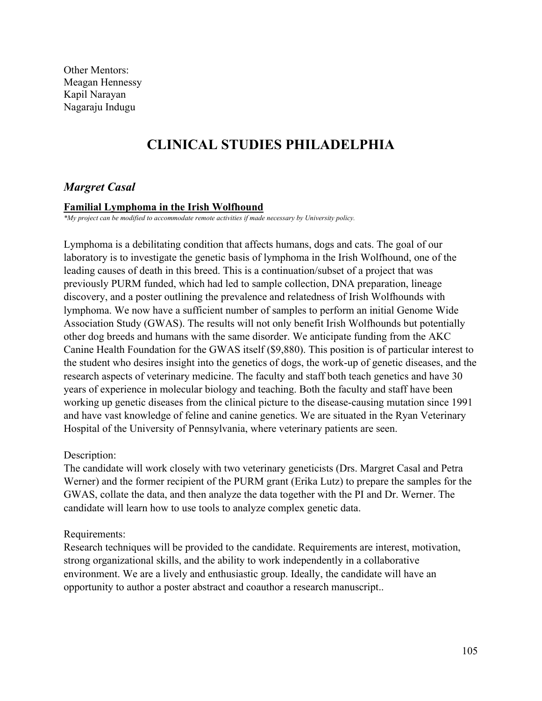Other Mentors: Meagan Hennessy Kapil Narayan Nagaraju Indugu

# **CLINICAL STUDIES PHILADELPHIA**

### *Margret Casal*

#### **Familial Lymphoma in the Irish Wolfhound**

*\*My project can be modified to accommodate remote activities if made necessary by University policy.*

Lymphoma is a debilitating condition that affects humans, dogs and cats. The goal of our laboratory is to investigate the genetic basis of lymphoma in the Irish Wolfhound, one of the leading causes of death in this breed. This is a continuation/subset of a project that was previously PURM funded, which had led to sample collection, DNA preparation, lineage discovery, and a poster outlining the prevalence and relatedness of Irish Wolfhounds with lymphoma. We now have a sufficient number of samples to perform an initial Genome Wide Association Study (GWAS). The results will not only benefit Irish Wolfhounds but potentially other dog breeds and humans with the same disorder. We anticipate funding from the AKC Canine Health Foundation for the GWAS itself (\$9,880). This position is of particular interest to the student who desires insight into the genetics of dogs, the work-up of genetic diseases, and the research aspects of veterinary medicine. The faculty and staff both teach genetics and have 30 years of experience in molecular biology and teaching. Both the faculty and staff have been working up genetic diseases from the clinical picture to the disease-causing mutation since 1991 and have vast knowledge of feline and canine genetics. We are situated in the Ryan Veterinary Hospital of the University of Pennsylvania, where veterinary patients are seen.

#### Description:

The candidate will work closely with two veterinary geneticists (Drs. Margret Casal and Petra Werner) and the former recipient of the PURM grant (Erika Lutz) to prepare the samples for the GWAS, collate the data, and then analyze the data together with the PI and Dr. Werner. The candidate will learn how to use tools to analyze complex genetic data.

#### Requirements:

Research techniques will be provided to the candidate. Requirements are interest, motivation, strong organizational skills, and the ability to work independently in a collaborative environment. We are a lively and enthusiastic group. Ideally, the candidate will have an opportunity to author a poster abstract and coauthor a research manuscript..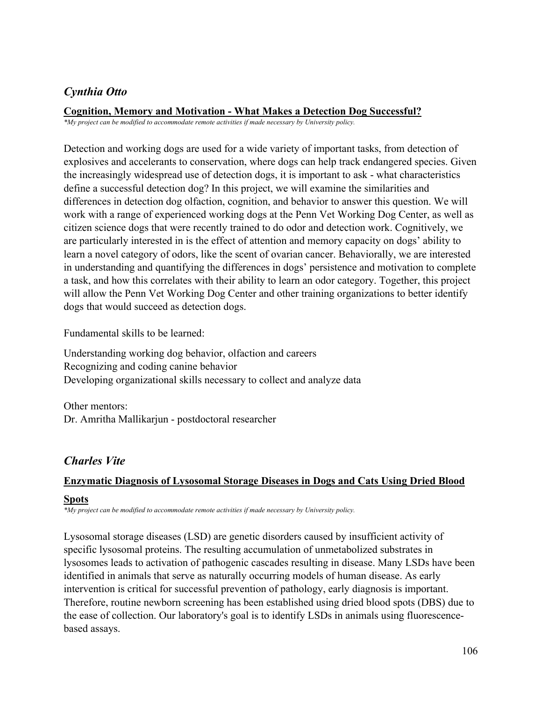## *Cynthia Otto*

### **Cognition, Memory and Motivation - What Makes a Detection Dog Successful?**

*\*My project can be modified to accommodate remote activities if made necessary by University policy.*

Detection and working dogs are used for a wide variety of important tasks, from detection of explosives and accelerants to conservation, where dogs can help track endangered species. Given the increasingly widespread use of detection dogs, it is important to ask - what characteristics define a successful detection dog? In this project, we will examine the similarities and differences in detection dog olfaction, cognition, and behavior to answer this question. We will work with a range of experienced working dogs at the Penn Vet Working Dog Center, as well as citizen science dogs that were recently trained to do odor and detection work. Cognitively, we are particularly interested in is the effect of attention and memory capacity on dogs' ability to learn a novel category of odors, like the scent of ovarian cancer. Behaviorally, we are interested in understanding and quantifying the differences in dogs' persistence and motivation to complete a task, and how this correlates with their ability to learn an odor category. Together, this project will allow the Penn Vet Working Dog Center and other training organizations to better identify dogs that would succeed as detection dogs.

Fundamental skills to be learned:

Understanding working dog behavior, olfaction and careers Recognizing and coding canine behavior Developing organizational skills necessary to collect and analyze data

Other mentors: Dr. Amritha Mallikarjun - postdoctoral researcher

## *Charles Vite*

### **Enzymatic Diagnosis of Lysosomal Storage Diseases in Dogs and Cats Using Dried Blood**

### **Spots**

*\*My project can be modified to accommodate remote activities if made necessary by University policy.*

Lysosomal storage diseases (LSD) are genetic disorders caused by insufficient activity of specific lysosomal proteins. The resulting accumulation of unmetabolized substrates in lysosomes leads to activation of pathogenic cascades resulting in disease. Many LSDs have been identified in animals that serve as naturally occurring models of human disease. As early intervention is critical for successful prevention of pathology, early diagnosis is important. Therefore, routine newborn screening has been established using dried blood spots (DBS) due to the ease of collection. Our laboratory's goal is to identify LSDs in animals using fluorescencebased assays.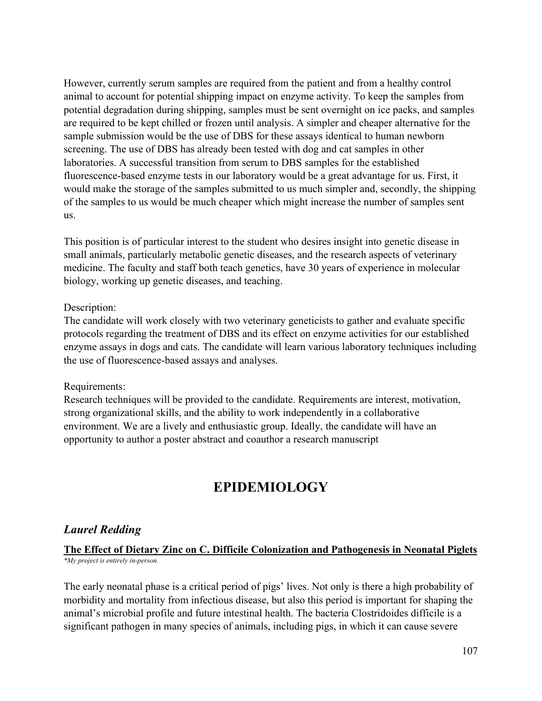However, currently serum samples are required from the patient and from a healthy control animal to account for potential shipping impact on enzyme activity. To keep the samples from potential degradation during shipping, samples must be sent overnight on ice packs, and samples are required to be kept chilled or frozen until analysis. A simpler and cheaper alternative for the sample submission would be the use of DBS for these assays identical to human newborn screening. The use of DBS has already been tested with dog and cat samples in other laboratories. A successful transition from serum to DBS samples for the established fluorescence-based enzyme tests in our laboratory would be a great advantage for us. First, it would make the storage of the samples submitted to us much simpler and, secondly, the shipping of the samples to us would be much cheaper which might increase the number of samples sent us.

This position is of particular interest to the student who desires insight into genetic disease in small animals, particularly metabolic genetic diseases, and the research aspects of veterinary medicine. The faculty and staff both teach genetics, have 30 years of experience in molecular biology, working up genetic diseases, and teaching.

### Description:

The candidate will work closely with two veterinary geneticists to gather and evaluate specific protocols regarding the treatment of DBS and its effect on enzyme activities for our established enzyme assays in dogs and cats. The candidate will learn various laboratory techniques including the use of fluorescence-based assays and analyses.

### Requirements:

Research techniques will be provided to the candidate. Requirements are interest, motivation, strong organizational skills, and the ability to work independently in a collaborative environment. We are a lively and enthusiastic group. Ideally, the candidate will have an opportunity to author a poster abstract and coauthor a research manuscript

## **EPIDEMIOLOGY**

### *Laurel Redding*

### **The Effect of Dietary Zinc on C. Difficile Colonization and Pathogenesis in Neonatal Piglets** *\*My project is entirely in-person.*

The early neonatal phase is a critical period of pigs' lives. Not only is there a high probability of morbidity and mortality from infectious disease, but also this period is important for shaping the animal's microbial profile and future intestinal health. The bacteria Clostridoides difficile is a significant pathogen in many species of animals, including pigs, in which it can cause severe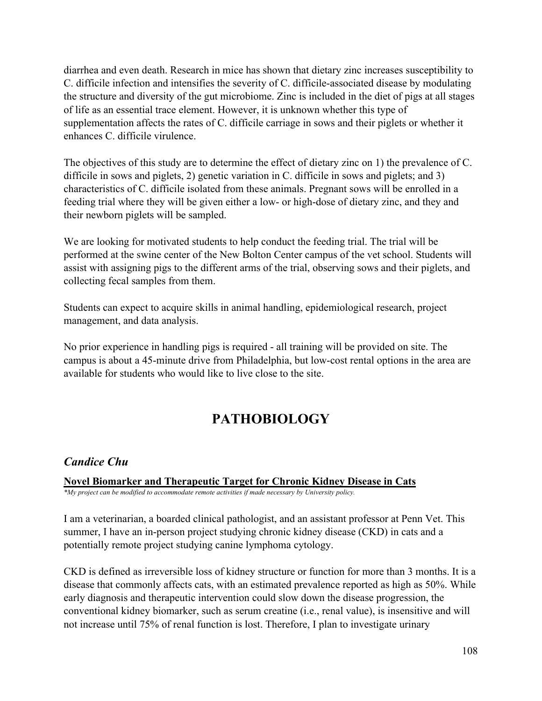diarrhea and even death. Research in mice has shown that dietary zinc increases susceptibility to C. difficile infection and intensifies the severity of C. difficile-associated disease by modulating the structure and diversity of the gut microbiome. Zinc is included in the diet of pigs at all stages of life as an essential trace element. However, it is unknown whether this type of supplementation affects the rates of C. difficile carriage in sows and their piglets or whether it enhances C. difficile virulence.

The objectives of this study are to determine the effect of dietary zinc on 1) the prevalence of C. difficile in sows and piglets, 2) genetic variation in C. difficile in sows and piglets; and 3) characteristics of C. difficile isolated from these animals. Pregnant sows will be enrolled in a feeding trial where they will be given either a low- or high-dose of dietary zinc, and they and their newborn piglets will be sampled.

We are looking for motivated students to help conduct the feeding trial. The trial will be performed at the swine center of the New Bolton Center campus of the vet school. Students will assist with assigning pigs to the different arms of the trial, observing sows and their piglets, and collecting fecal samples from them.

Students can expect to acquire skills in animal handling, epidemiological research, project management, and data analysis.

No prior experience in handling pigs is required - all training will be provided on site. The campus is about a 45-minute drive from Philadelphia, but low-cost rental options in the area are available for students who would like to live close to the site.

# **PATHOBIOLOGY**

## *Candice Chu*

**Novel Biomarker and Therapeutic Target for Chronic Kidney Disease in Cats**

*\*My project can be modified to accommodate remote activities if made necessary by University policy.*

I am a veterinarian, a boarded clinical pathologist, and an assistant professor at Penn Vet. This summer, I have an in-person project studying chronic kidney disease (CKD) in cats and a potentially remote project studying canine lymphoma cytology.

CKD is defined as irreversible loss of kidney structure or function for more than 3 months. It is a disease that commonly affects cats, with an estimated prevalence reported as high as 50%. While early diagnosis and therapeutic intervention could slow down the disease progression, the conventional kidney biomarker, such as serum creatine (i.e., renal value), is insensitive and will not increase until 75% of renal function is lost. Therefore, I plan to investigate urinary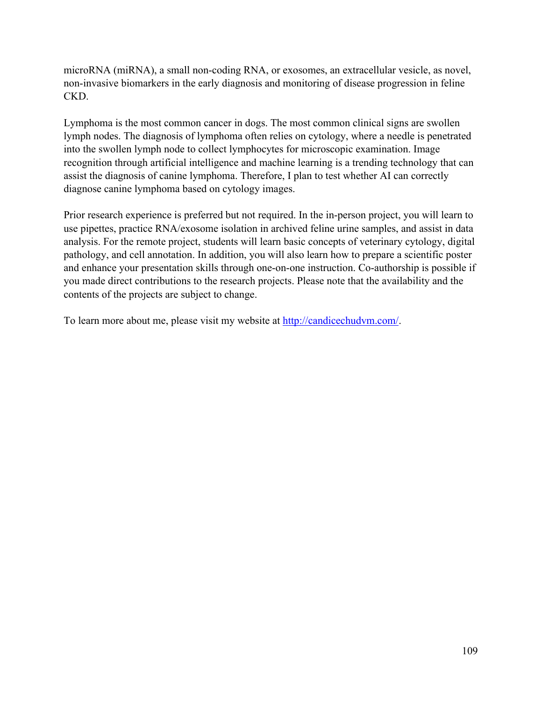microRNA (miRNA), a small non-coding RNA, or exosomes, an extracellular vesicle, as novel, non-invasive biomarkers in the early diagnosis and monitoring of disease progression in feline CKD.

Lymphoma is the most common cancer in dogs. The most common clinical signs are swollen lymph nodes. The diagnosis of lymphoma often relies on cytology, where a needle is penetrated into the swollen lymph node to collect lymphocytes for microscopic examination. Image recognition through artificial intelligence and machine learning is a trending technology that can assist the diagnosis of canine lymphoma. Therefore, I plan to test whether AI can correctly diagnose canine lymphoma based on cytology images.

Prior research experience is preferred but not required. In the in-person project, you will learn to use pipettes, practice RNA/exosome isolation in archived feline urine samples, and assist in data analysis. For the remote project, students will learn basic concepts of veterinary cytology, digital pathology, and cell annotation. In addition, you will also learn how to prepare a scientific poster and enhance your presentation skills through one-on-one instruction. Co-authorship is possible if you made direct contributions to the research projects. Please note that the availability and the contents of the projects are subject to change.

To learn more about me, please visit my website at [http://candicechudvm.com/.](http://candicechudvm.com/)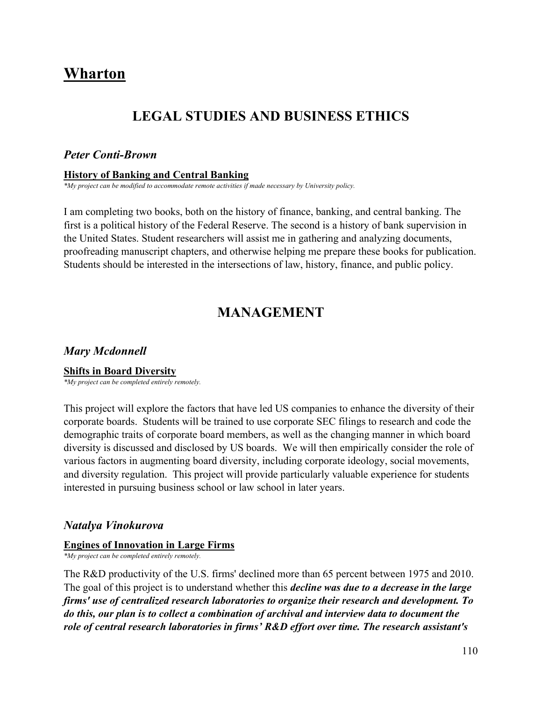# **Wharton**

## **LEGAL STUDIES AND BUSINESS ETHICS**

#### *Peter Conti-Brown*

#### **History of Banking and Central Banking**

*\*My project can be modified to accommodate remote activities if made necessary by University policy.*

I am completing two books, both on the history of finance, banking, and central banking. The first is a political history of the Federal Reserve. The second is a history of bank supervision in the United States. Student researchers will assist me in gathering and analyzing documents, proofreading manuscript chapters, and otherwise helping me prepare these books for publication. Students should be interested in the intersections of law, history, finance, and public policy.

## **MANAGEMENT**

### *Mary Mcdonnell*

#### **Shifts in Board Diversity**

*\*My project can be completed entirely remotely.*

This project will explore the factors that have led US companies to enhance the diversity of their corporate boards. Students will be trained to use corporate SEC filings to research and code the demographic traits of corporate board members, as well as the changing manner in which board diversity is discussed and disclosed by US boards. We will then empirically consider the role of various factors in augmenting board diversity, including corporate ideology, social movements, and diversity regulation. This project will provide particularly valuable experience for students interested in pursuing business school or law school in later years.

### *Natalya Vinokurova*

#### **Engines of Innovation in Large Firms**

*\*My project can be completed entirely remotely.*

The R&D productivity of the U.S. firms' declined more than 65 percent between 1975 and 2010. The goal of this project is to understand whether this *decline was due to a decrease in the large firms' use of centralized research laboratories to organize their research and development. To do this, our plan is to collect a combination of archival and interview data to document the role of central research laboratories in firms' R&D effort over time. The research assistant's*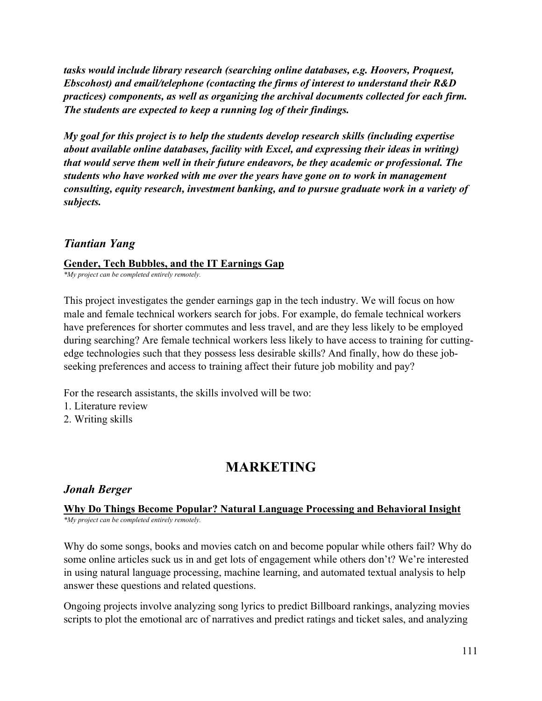*tasks would include library research (searching online databases, e.g. Hoovers, Proquest, Ebscohost) and email/telephone (contacting the firms of interest to understand their R&D practices) components, as well as organizing the archival documents collected for each firm. The students are expected to keep a running log of their findings.*

*My goal for this project is to help the students develop research skills (including expertise about available online databases, facility with Excel, and expressing their ideas in writing) that would serve them well in their future endeavors, be they academic or professional. The students who have worked with me over the years have gone on to work in management consulting, equity research, investment banking, and to pursue graduate work in a variety of subjects.*

### *Tiantian Yang*

#### **Gender, Tech Bubbles, and the IT Earnings Gap**

*\*My project can be completed entirely remotely.*

This project investigates the gender earnings gap in the tech industry. We will focus on how male and female technical workers search for jobs. For example, do female technical workers have preferences for shorter commutes and less travel, and are they less likely to be employed during searching? Are female technical workers less likely to have access to training for cuttingedge technologies such that they possess less desirable skills? And finally, how do these jobseeking preferences and access to training affect their future job mobility and pay?

For the research assistants, the skills involved will be two:

- 1. Literature review
- 2. Writing skills

## **MARKETING**

### *Jonah Berger*

#### **Why Do Things Become Popular? Natural Language Processing and Behavioral Insight** *\*My project can be completed entirely remotely.*

Why do some songs, books and movies catch on and become popular while others fail? Why do some online articles suck us in and get lots of engagement while others don't? We're interested in using natural language processing, machine learning, and automated textual analysis to help answer these questions and related questions.

Ongoing projects involve analyzing song lyrics to predict Billboard rankings, analyzing movies scripts to plot the emotional arc of narratives and predict ratings and ticket sales, and analyzing